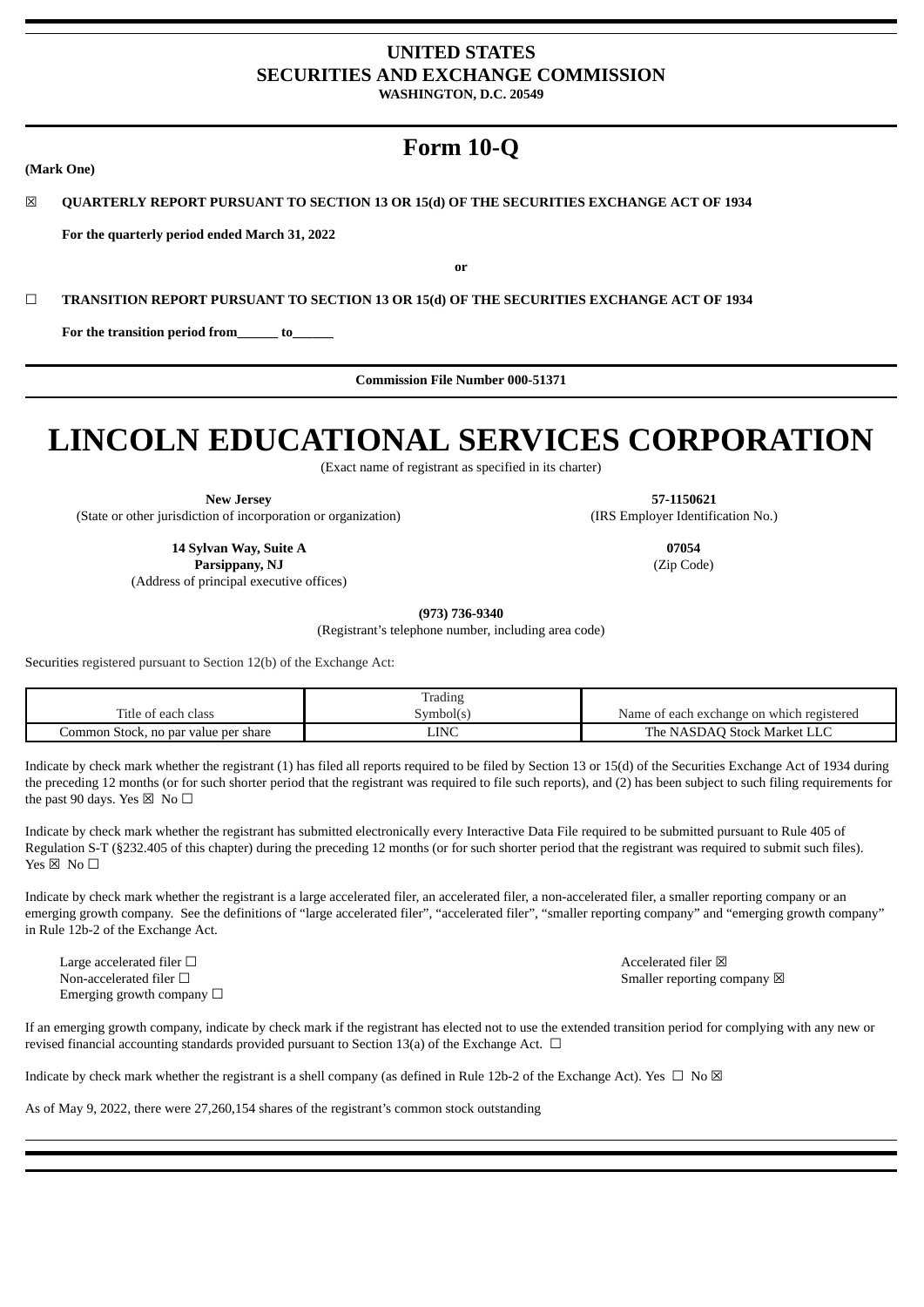# **UNITED STATES SECURITIES AND EXCHANGE COMMISSION**

**WASHINGTON, D.C. 20549**

# **Form 10-Q**

# ☒ **QUARTERLY REPORT PURSUANT TO SECTION 13 OR 15(d) OF THE SECURITIES EXCHANGE ACT OF 1934**

**For the quarterly period ended March 31, 2022**

**or**

☐ **TRANSITION REPORT PURSUANT TO SECTION 13 OR 15(d) OF THE SECURITIES EXCHANGE ACT OF 1934**

**For the transition period from\_\_\_\_\_\_ to\_\_\_\_\_\_**

**Commission File Number 000-51371**

# **LINCOLN EDUCATIONAL SERVICES CORPORATION**

(Exact name of registrant as specified in its charter)

**New Jersey 57-1150621**

(State or other jurisdiction of incorporation or organization) (IRS Employer Identification No.)

**14 Sylvan Way, Suite A 07054 Parsippany, NJ** (Zip Code) (Address of principal executive offices)

**(973) 736-9340**

(Registrant's telephone number, including area code)

Securities registered pursuant to Section 12(b) of the Exchange Act:

|                                      | radıng    |                                           |
|--------------------------------------|-----------|-------------------------------------------|
| Title of each class                  | Symbol(s) | Name of each exchange on which registered |
| Jommon Stock, no par value per share | LINC      | e NASDAO Stock Market LLC<br>The          |

Indicate by check mark whether the registrant (1) has filed all reports required to be filed by Section 13 or 15(d) of the Securities Exchange Act of 1934 during the preceding 12 months (or for such shorter period that the registrant was required to file such reports), and (2) has been subject to such filing requirements for the past 90 days. Yes  $\boxtimes$  No  $\square$ 

Indicate by check mark whether the registrant has submitted electronically every Interactive Data File required to be submitted pursuant to Rule 405 of Regulation S-T (§232.405 of this chapter) during the preceding 12 months (or for such shorter period that the registrant was required to submit such files). Yes  $\boxtimes$  No  $\square$ 

Indicate by check mark whether the registrant is a large accelerated filer, an accelerated filer, a non-accelerated filer, a smaller reporting company or an emerging growth company. See the definitions of "large accelerated filer", "accelerated filer", "smaller reporting company" and "emerging growth company" in Rule 12b-2 of the Exchange Act.

Large accelerated filer □ <br>
Accelerated filer □ Non-accelerated filer □  $\Box$ Emerging growth company  $\Box$ 

If an emerging growth company, indicate by check mark if the registrant has elected not to use the extended transition period for complying with any new or revised financial accounting standards provided pursuant to Section 13(a) of the Exchange Act.  $\Box$ 

Indicate by check mark whether the registrant is a shell company (as defined in Rule 12b-2 of the Exchange Act). Yes  $\Box$  No  $\boxtimes$ 

As of May 9, 2022, there were 27,260,154 shares of the registrant's common stock outstanding

**(Mark One)**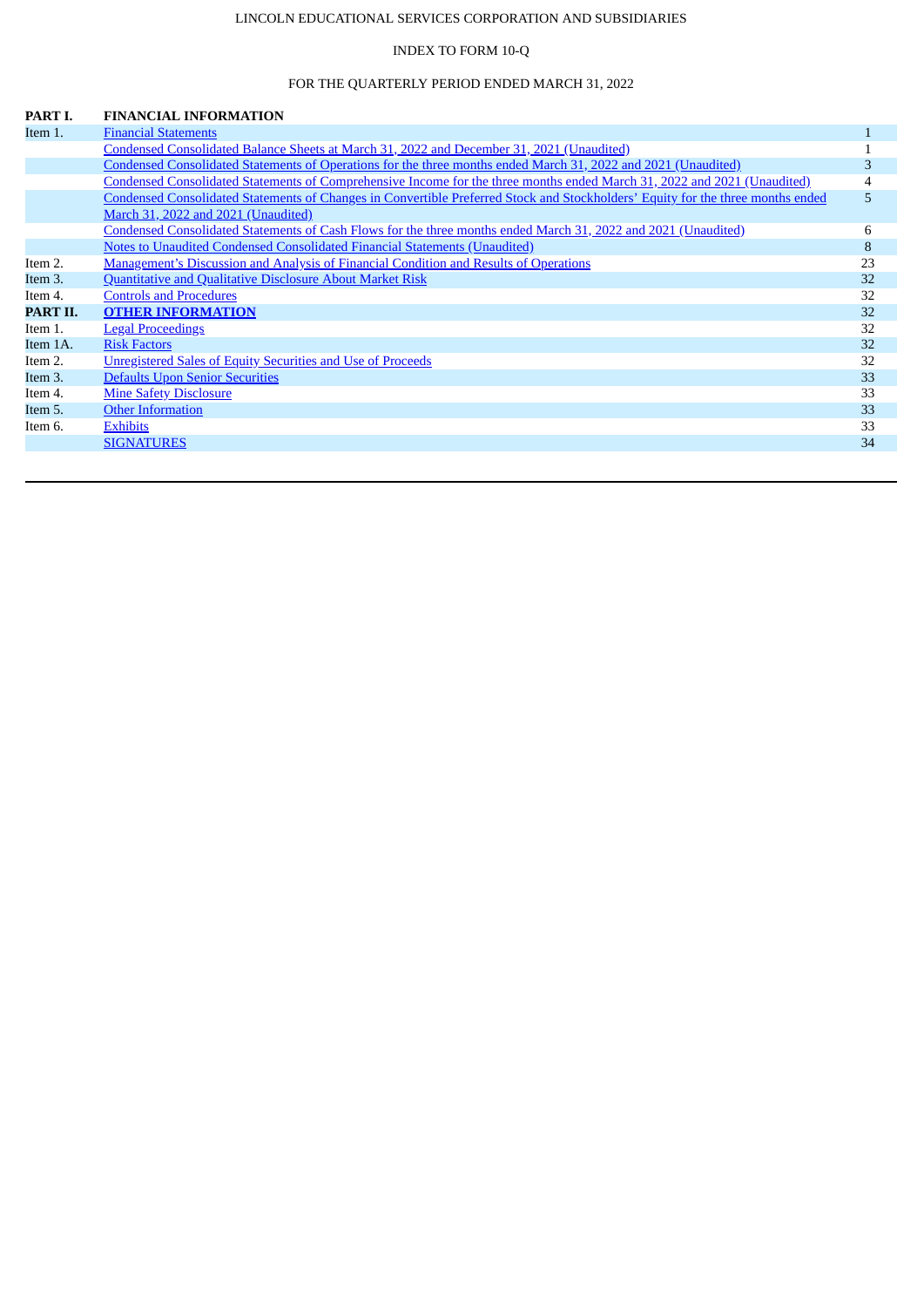# LINCOLN EDUCATIONAL SERVICES CORPORATION AND SUBSIDIARIES

# INDEX TO FORM 10-Q

# FOR THE QUARTERLY PERIOD ENDED MARCH 31, 2022

<span id="page-1-0"></span>

| PART I.  | <b>FINANCIAL INFORMATION</b>                                                                                                    |    |
|----------|---------------------------------------------------------------------------------------------------------------------------------|----|
| Item 1.  | <b>Financial Statements</b>                                                                                                     |    |
|          | Condensed Consolidated Balance Sheets at March 31, 2022 and December 31, 2021 (Unaudited)                                       |    |
|          | Condensed Consolidated Statements of Operations for the three months ended March 31, 2022 and 2021 (Unaudited)                  | 3  |
|          | Condensed Consolidated Statements of Comprehensive Income for the three months ended March 31, 2022 and 2021 (Unaudited)        | 4  |
|          | Condensed Consolidated Statements of Changes in Convertible Preferred Stock and Stockholders' Equity for the three months ended | 5  |
|          | March 31, 2022 and 2021 (Unaudited)                                                                                             |    |
|          | Condensed Consolidated Statements of Cash Flows for the three months ended March 31, 2022 and 2021 (Unaudited)                  | 6  |
|          | Notes to Unaudited Condensed Consolidated Financial Statements (Unaudited)                                                      | 8  |
| Item 2.  | Management's Discussion and Analysis of Financial Condition and Results of Operations                                           | 23 |
| Item 3.  | <b>Quantitative and Qualitative Disclosure About Market Risk</b>                                                                | 32 |
| Item 4.  | <b>Controls and Procedures</b>                                                                                                  | 32 |
| PART II. | <b>OTHER INFORMATION</b>                                                                                                        | 32 |
| Item 1.  | <b>Legal Proceedings</b>                                                                                                        | 32 |
| Item 1A. | <b>Risk Factors</b>                                                                                                             | 32 |
| Item 2.  | Unregistered Sales of Equity Securities and Use of Proceeds                                                                     | 32 |
| Item 3.  | <b>Defaults Upon Senior Securities</b>                                                                                          | 33 |
| Item 4.  | <b>Mine Safety Disclosure</b>                                                                                                   | 33 |
| Item 5.  | <b>Other Information</b>                                                                                                        | 33 |
| Item 6.  | <b>Exhibits</b>                                                                                                                 | 33 |
|          | <b>SIGNATURES</b>                                                                                                               | 34 |
|          |                                                                                                                                 |    |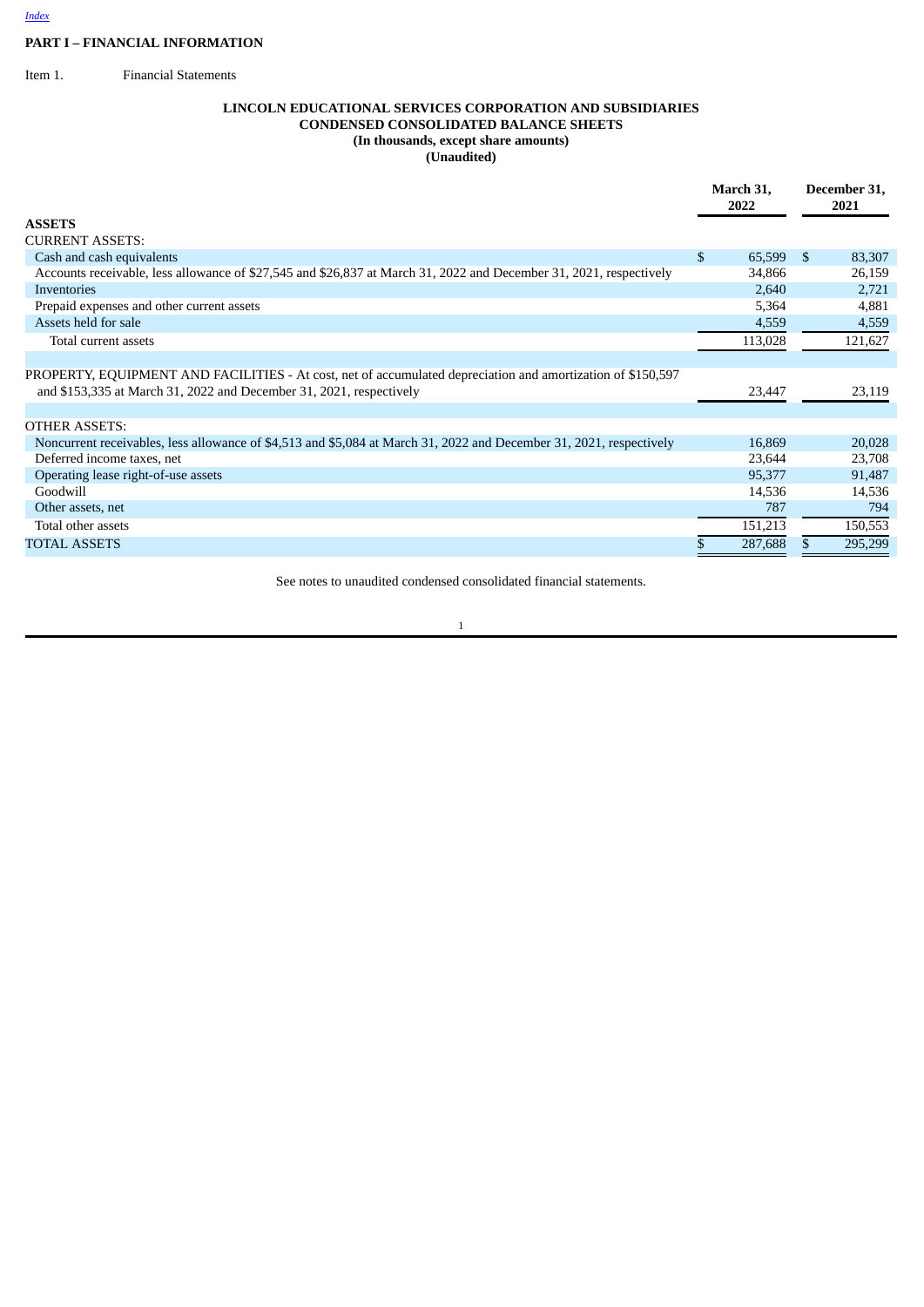# **PART I – FINANCIAL INFORMATION**

<span id="page-2-0"></span>Item 1. Financial Statements

# <span id="page-2-1"></span>**LINCOLN EDUCATIONAL SERVICES CORPORATION AND SUBSIDIARIES CONDENSED CONSOLIDATED BALANCE SHEETS (In thousands, except share amounts) (Unaudited)**

|                                                                                                                                                                                    | March 31,<br>2022 |         | December 31, |         |
|------------------------------------------------------------------------------------------------------------------------------------------------------------------------------------|-------------------|---------|--------------|---------|
| <b>ASSETS</b>                                                                                                                                                                      |                   |         |              |         |
| <b>CURRENT ASSETS:</b>                                                                                                                                                             |                   |         |              |         |
| Cash and cash equivalents                                                                                                                                                          | \$                | 65,599  | S.           | 83,307  |
| Accounts receivable, less allowance of \$27,545 and \$26,837 at March 31, 2022 and December 31, 2021, respectively                                                                 |                   | 34,866  |              | 26,159  |
| Inventories                                                                                                                                                                        |                   | 2,640   |              | 2,721   |
| Prepaid expenses and other current assets                                                                                                                                          |                   | 5,364   |              | 4,881   |
| Assets held for sale                                                                                                                                                               |                   | 4,559   |              | 4,559   |
| Total current assets                                                                                                                                                               |                   | 113,028 |              | 121,627 |
| PROPERTY, EQUIPMENT AND FACILITIES - At cost, net of accumulated depreciation and amortization of \$150,597<br>and \$153,335 at March 31, 2022 and December 31, 2021, respectively |                   | 23,447  |              | 23,119  |
| <b>OTHER ASSETS:</b>                                                                                                                                                               |                   |         |              |         |
| Noncurrent receivables, less allowance of \$4,513 and \$5,084 at March 31, 2022 and December 31, 2021, respectively                                                                |                   | 16,869  |              | 20,028  |
| Deferred income taxes, net                                                                                                                                                         |                   | 23,644  |              | 23,708  |
| Operating lease right-of-use assets                                                                                                                                                |                   | 95,377  |              | 91,487  |
| Goodwill                                                                                                                                                                           |                   | 14,536  |              | 14,536  |
| Other assets, net                                                                                                                                                                  |                   | 787     |              | 794     |
| Total other assets                                                                                                                                                                 |                   | 151,213 |              | 150,553 |
| <b>TOTAL ASSETS</b>                                                                                                                                                                |                   | 287,688 |              | 295,299 |

See notes to unaudited condensed consolidated financial statements.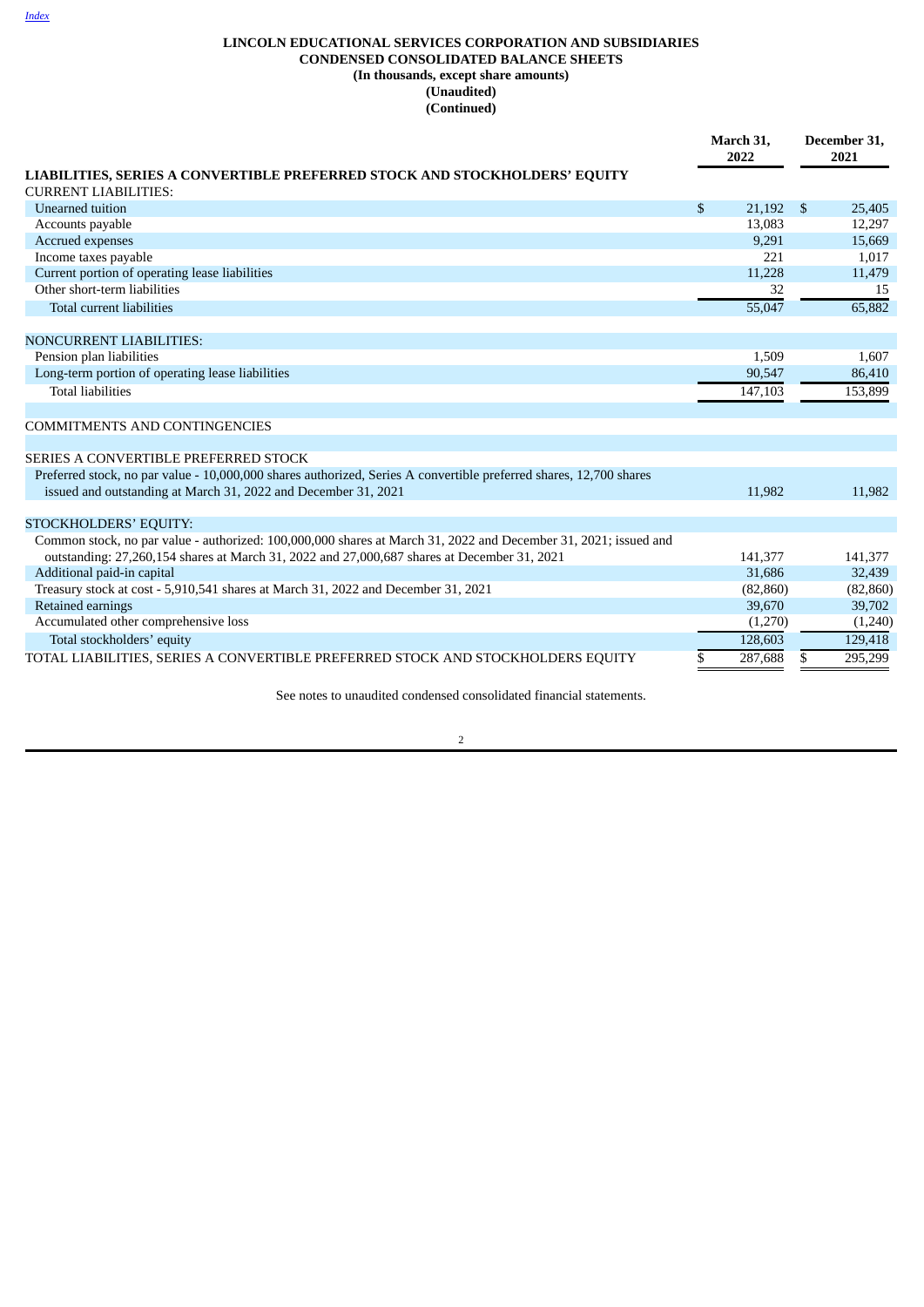# **LINCOLN EDUCATIONAL SERVICES CORPORATION AND SUBSIDIARIES CONDENSED CONSOLIDATED BALANCE SHEETS (In thousands, except share amounts) (Unaudited) (Continued)**

|                                                                                                                                                                                      |              | March 31,<br>2022 |              | December 31,<br>2021 |  |
|--------------------------------------------------------------------------------------------------------------------------------------------------------------------------------------|--------------|-------------------|--------------|----------------------|--|
| LIABILITIES, SERIES A CONVERTIBLE PREFERRED STOCK AND STOCKHOLDERS' EQUITY                                                                                                           |              |                   |              |                      |  |
| <b>CURRENT LIABILITIES:</b>                                                                                                                                                          |              |                   |              |                      |  |
| Unearned tuition                                                                                                                                                                     | $\mathbb{S}$ | 21,192            | $\mathbf{s}$ | 25,405               |  |
| Accounts payable                                                                                                                                                                     |              | 13.083            |              | 12,297               |  |
| Accrued expenses                                                                                                                                                                     |              | 9,291             |              | 15,669               |  |
| Income taxes payable                                                                                                                                                                 |              | 221               |              | 1,017                |  |
| Current portion of operating lease liabilities                                                                                                                                       |              | 11,228            |              | 11,479               |  |
| Other short-term liabilities                                                                                                                                                         |              | 32                |              | 15                   |  |
| Total current liabilities                                                                                                                                                            |              | 55,047            |              | 65,882               |  |
| <b>NONCURRENT LIABILITIES:</b>                                                                                                                                                       |              |                   |              |                      |  |
| Pension plan liabilities                                                                                                                                                             |              | 1,509             |              | 1,607                |  |
| Long-term portion of operating lease liabilities                                                                                                                                     |              | 90,547            |              | 86,410               |  |
| <b>Total liabilities</b>                                                                                                                                                             |              | 147,103           |              | 153,899              |  |
| <b>COMMITMENTS AND CONTINGENCIES</b>                                                                                                                                                 |              |                   |              |                      |  |
| SERIES A CONVERTIBLE PREFERRED STOCK                                                                                                                                                 |              |                   |              |                      |  |
| Preferred stock, no par value - 10,000,000 shares authorized, Series A convertible preferred shares, 12,700 shares<br>issued and outstanding at March 31, 2022 and December 31, 2021 |              | 11,982            |              | 11,982               |  |
| STOCKHOLDERS' EQUITY:                                                                                                                                                                |              |                   |              |                      |  |
| Common stock, no par value - authorized: 100,000,000 shares at March 31, 2022 and December 31, 2021; issued and                                                                      |              |                   |              |                      |  |
| outstanding: 27,260,154 shares at March 31, 2022 and 27,000,687 shares at December 31, 2021                                                                                          |              | 141,377           |              | 141,377              |  |
| Additional paid-in capital                                                                                                                                                           |              | 31,686            |              | 32,439               |  |
| Treasury stock at cost - 5,910,541 shares at March 31, 2022 and December 31, 2021                                                                                                    |              | (82, 860)         |              | (82, 860)            |  |
| Retained earnings                                                                                                                                                                    |              | 39,670            |              | 39,702               |  |
| Accumulated other comprehensive loss                                                                                                                                                 |              | (1,270)           |              | (1,240)              |  |
| Total stockholders' equity                                                                                                                                                           |              | 128,603           |              | 129,418              |  |
| TOTAL LIABILITIES, SERIES A CONVERTIBLE PREFERRED STOCK AND STOCKHOLDERS EQUITY                                                                                                      | S            | 287,688           | S.           | 295,299              |  |

See notes to unaudited condensed consolidated financial statements.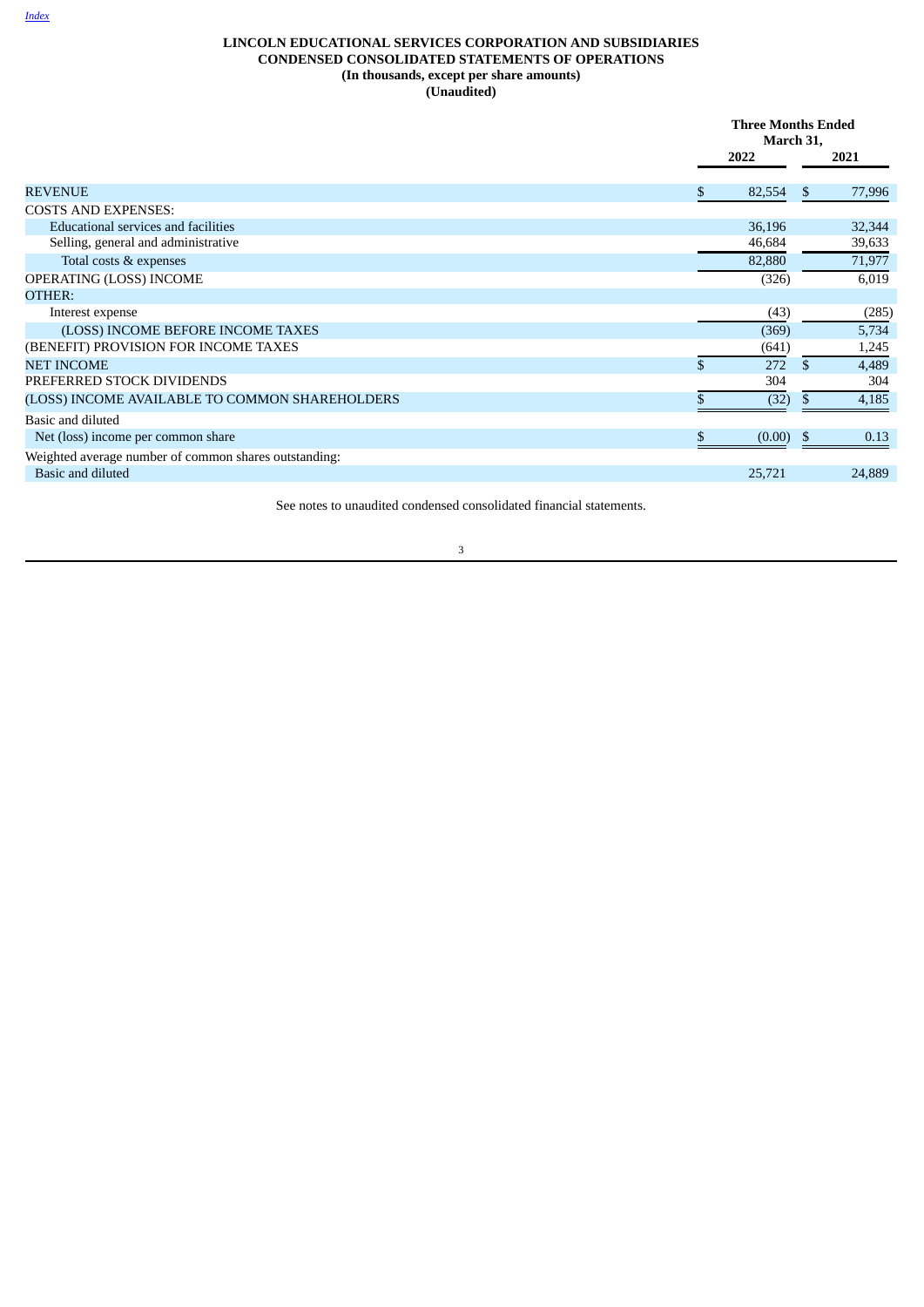# <span id="page-4-0"></span>**LINCOLN EDUCATIONAL SERVICES CORPORATION AND SUBSIDIARIES CONDENSED CONSOLIDATED STATEMENTS OF OPERATIONS (In thousands, except per share amounts) (Unaudited)**

|                                                       |   | <b>Three Months Ended</b><br>March 31, |              |        |  |
|-------------------------------------------------------|---|----------------------------------------|--------------|--------|--|
|                                                       |   | 2022                                   |              | 2021   |  |
| <b>REVENUE</b>                                        | S | 82,554                                 | <sup>S</sup> | 77,996 |  |
| <b>COSTS AND EXPENSES:</b>                            |   |                                        |              |        |  |
| <b>Educational services and facilities</b>            |   | 36,196                                 |              | 32,344 |  |
| Selling, general and administrative                   |   | 46,684                                 |              | 39,633 |  |
| Total costs & expenses                                |   | 82,880                                 |              | 71,977 |  |
| OPERATING (LOSS) INCOME                               |   | (326)                                  |              | 6,019  |  |
| OTHER:                                                |   |                                        |              |        |  |
| Interest expense                                      |   | (43)                                   |              | (285)  |  |
| (LOSS) INCOME BEFORE INCOME TAXES                     |   | (369)                                  |              | 5,734  |  |
| (BENEFIT) PROVISION FOR INCOME TAXES                  |   | (641)                                  |              | 1,245  |  |
| <b>NET INCOME</b>                                     |   | 272                                    | \$           | 4,489  |  |
| PREFERRED STOCK DIVIDENDS                             |   | 304                                    |              | 304    |  |
| (LOSS) INCOME AVAILABLE TO COMMON SHAREHOLDERS        |   | (32)                                   | ъ            | 4,185  |  |
| Basic and diluted                                     |   |                                        |              |        |  |
| Net (loss) income per common share                    | C | (0.00)                                 | -5           | 0.13   |  |
| Weighted average number of common shares outstanding: |   |                                        |              |        |  |
| Basic and diluted                                     |   | 25,721                                 |              | 24,889 |  |

See notes to unaudited condensed consolidated financial statements.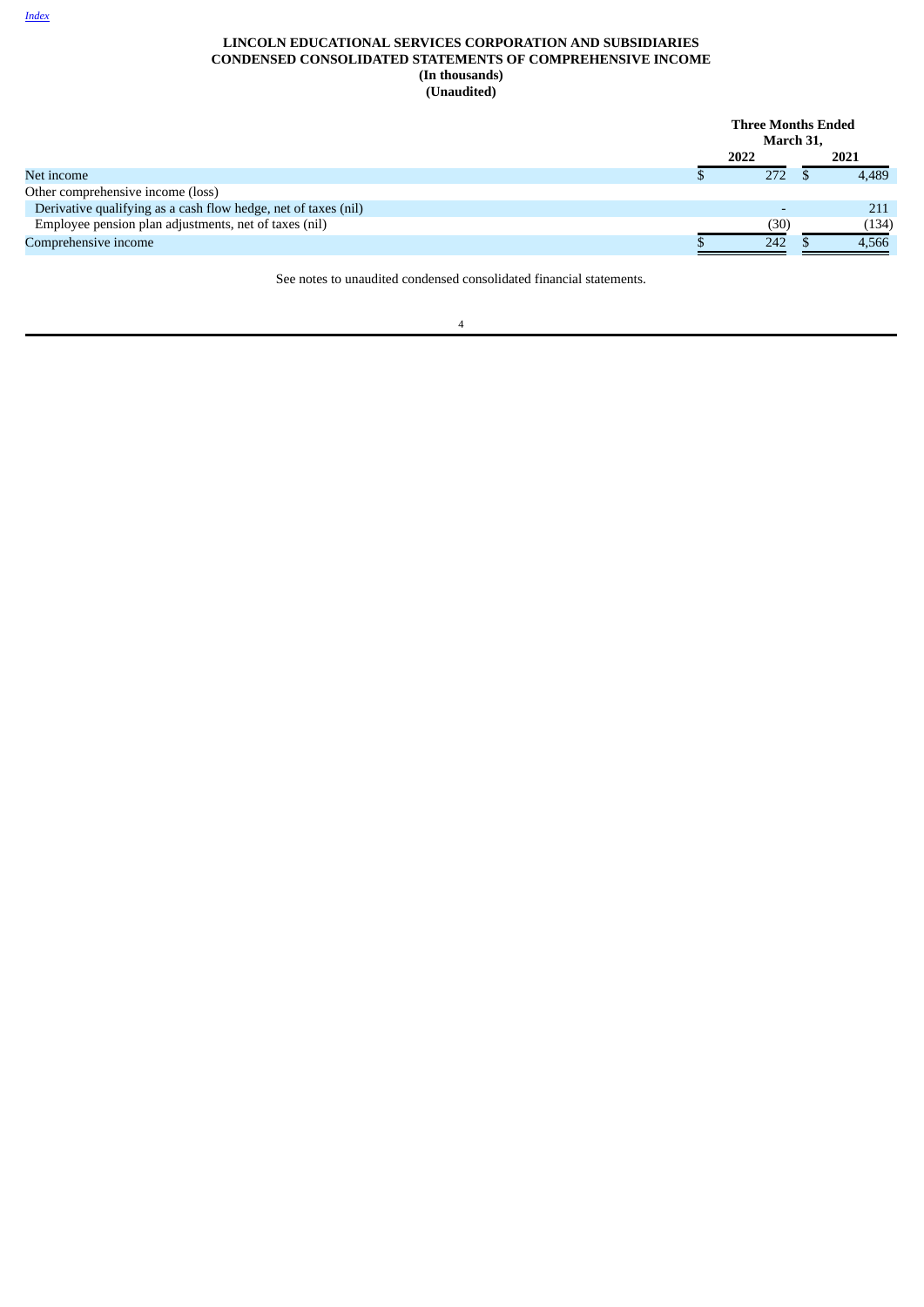# **LINCOLN EDUCATIONAL SERVICES CORPORATION AND SUBSIDIARIES CONDENSED CONSOLIDATED STATEMENTS OF COMPREHENSIVE INCOME (In thousands) (Unaudited)**

|                                                                | <b>Three Months Ended</b><br>March 31, |       |
|----------------------------------------------------------------|----------------------------------------|-------|
|                                                                | 2022                                   | 2021  |
| Net income                                                     | 272                                    | 4,489 |
| Other comprehensive income (loss)                              |                                        |       |
| Derivative qualifying as a cash flow hedge, net of taxes (nil) |                                        | 211   |
| Employee pension plan adjustments, net of taxes (nil)          | (30)                                   | (134) |
| Comprehensive income                                           | 242                                    | 4,566 |

<span id="page-5-0"></span>See notes to unaudited condensed consolidated financial statements.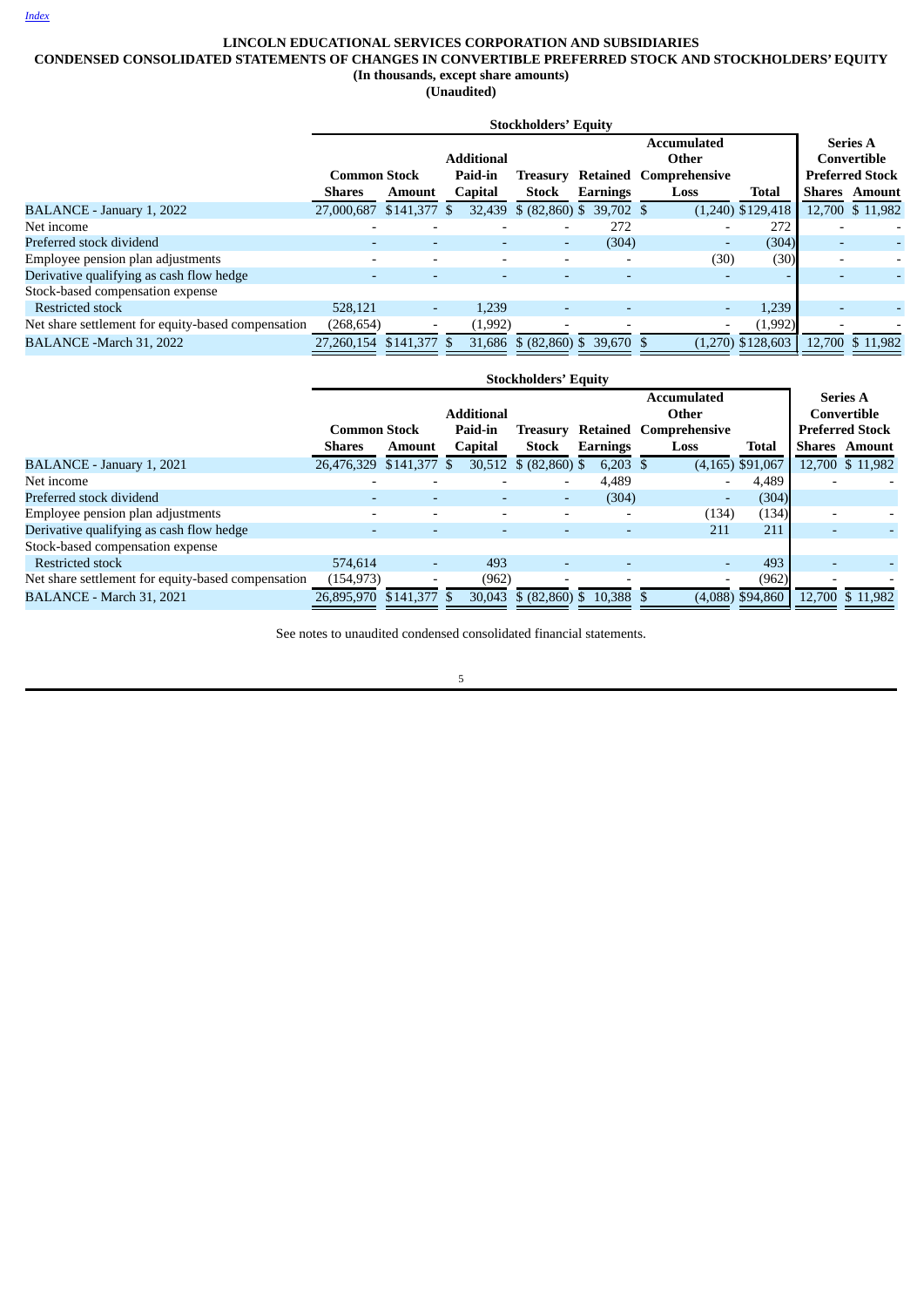# **LINCOLN EDUCATIONAL SERVICES CORPORATION AND SUBSIDIARIES**

# <span id="page-6-0"></span>**CONDENSED CONSOLIDATED STATEMENTS OF CHANGES IN CONVERTIBLE PREFERRED STOCK AND STOCKHOLDERS' EQUITY**

**(In thousands, except share amounts) (Unaudited)**

| <b>Stockholders' Equity</b>                        |                         |               |                   |                                 |          |                               |                     |                          |                                |
|----------------------------------------------------|-------------------------|---------------|-------------------|---------------------------------|----------|-------------------------------|---------------------|--------------------------|--------------------------------|
|                                                    |                         |               | <b>Additional</b> |                                 |          | <b>Accumulated</b><br>Other   |                     |                          | <b>Series A</b><br>Convertible |
|                                                    | <b>Common Stock</b>     |               | Paid-in           | Treasury                        |          | <b>Retained Comprehensive</b> |                     |                          | <b>Preferred Stock</b>         |
|                                                    | <b>Shares</b>           | <b>Amount</b> | Capital           | <b>Stock</b>                    | Earnings | Loss                          | Total               |                          | <b>Shares</b> Amount           |
| BALANCE - January 1, 2022                          | 27,000,687              | $$141,377$ \$ |                   | 32,439 \$ (82,860) \$ 39,702 \$ |          |                               | $(1,240)$ \$129,418 |                          | 12,700 \$ 11,982               |
| Net income                                         |                         |               |                   |                                 | 272      |                               | 272                 |                          |                                |
| Preferred stock dividend                           |                         |               |                   |                                 | (304)    | $\overline{\phantom{a}}$      | (304)               | $\overline{\phantom{0}}$ |                                |
| Employee pension plan adjustments                  |                         |               |                   |                                 |          | (30)                          | (30)                | $\overline{\phantom{a}}$ |                                |
| Derivative qualifying as cash flow hedge           |                         |               |                   |                                 |          |                               |                     |                          |                                |
| Stock-based compensation expense                   |                         |               |                   |                                 |          |                               |                     |                          |                                |
| Restricted stock                                   | 528.121                 |               | 1.239             |                                 |          | $\overline{\phantom{0}}$      | 1,239               |                          |                                |
| Net share settlement for equity-based compensation | (268, 654)              |               | (1,992)           |                                 |          | -                             | (1,992)             |                          |                                |
| BALANCE -March 31, 2022                            | 27.260.154 \$141.377 \$ |               | 31.686            | $$$ (82,860) \$ 39,670 \$       |          |                               | $(1,270)$ \$128,603 |                          | 12.700 \$ 11.982               |

|                                                    | <b>Stockholders' Equity</b> |                          |                   |                          |                 |                               |                    |                          |                        |
|----------------------------------------------------|-----------------------------|--------------------------|-------------------|--------------------------|-----------------|-------------------------------|--------------------|--------------------------|------------------------|
|                                                    |                             |                          |                   |                          |                 | Accumulated                   |                    |                          | <b>Series A</b>        |
|                                                    |                             |                          | <b>Additional</b> |                          |                 | Other                         |                    |                          | Convertible            |
|                                                    | <b>Common Stock</b>         |                          | Paid-in           | Treasurv                 |                 | <b>Retained Comprehensive</b> |                    |                          | <b>Preferred Stock</b> |
|                                                    | <b>Shares</b>               | Amount                   | <b>Capital</b>    | <b>Stock</b>             | <b>Earnings</b> | Loss                          | <b>Total</b>       |                          | <b>Shares</b> Amount   |
| BALANCE - January 1, 2021                          | 26,476,329 \$141,377 \$     |                          |                   | 30,512 \$ (82,860) \$    | 6,203 \$        |                               | $(4,165)$ \$91,067 |                          | 12,700 \$ 11,982       |
| Net income                                         |                             |                          |                   | $\overline{\phantom{a}}$ | 4,489           |                               | 4,489              |                          |                        |
| Preferred stock dividend                           |                             |                          |                   | $\sim$                   | (304)           | $\overline{\phantom{a}}$      | (304)              |                          |                        |
| Employee pension plan adjustments                  |                             |                          |                   | $\overline{\phantom{a}}$ |                 | (134)                         | (134)              |                          |                        |
| Derivative qualifying as cash flow hedge           |                             |                          |                   |                          |                 | 211                           | 211                | $\overline{\phantom{0}}$ |                        |
| Stock-based compensation expense                   |                             |                          |                   |                          |                 |                               |                    |                          |                        |
| <b>Restricted stock</b>                            | 574.614                     | $\overline{\phantom{a}}$ | 493               | $\overline{\phantom{a}}$ |                 |                               | 493                |                          |                        |
| Net share settlement for equity-based compensation | (154, 973)                  |                          | (962)             |                          |                 |                               | (962)              |                          |                        |
| BALANCE - March 31, 2021                           | 26.895.970 \$141.377 \$     |                          |                   | 30,043 \$ (82,860) \$    | 10.388 \$       |                               | $(4.088)$ \$94,860 |                          | 12,700 \$ 11,982       |

See notes to unaudited condensed consolidated financial statements.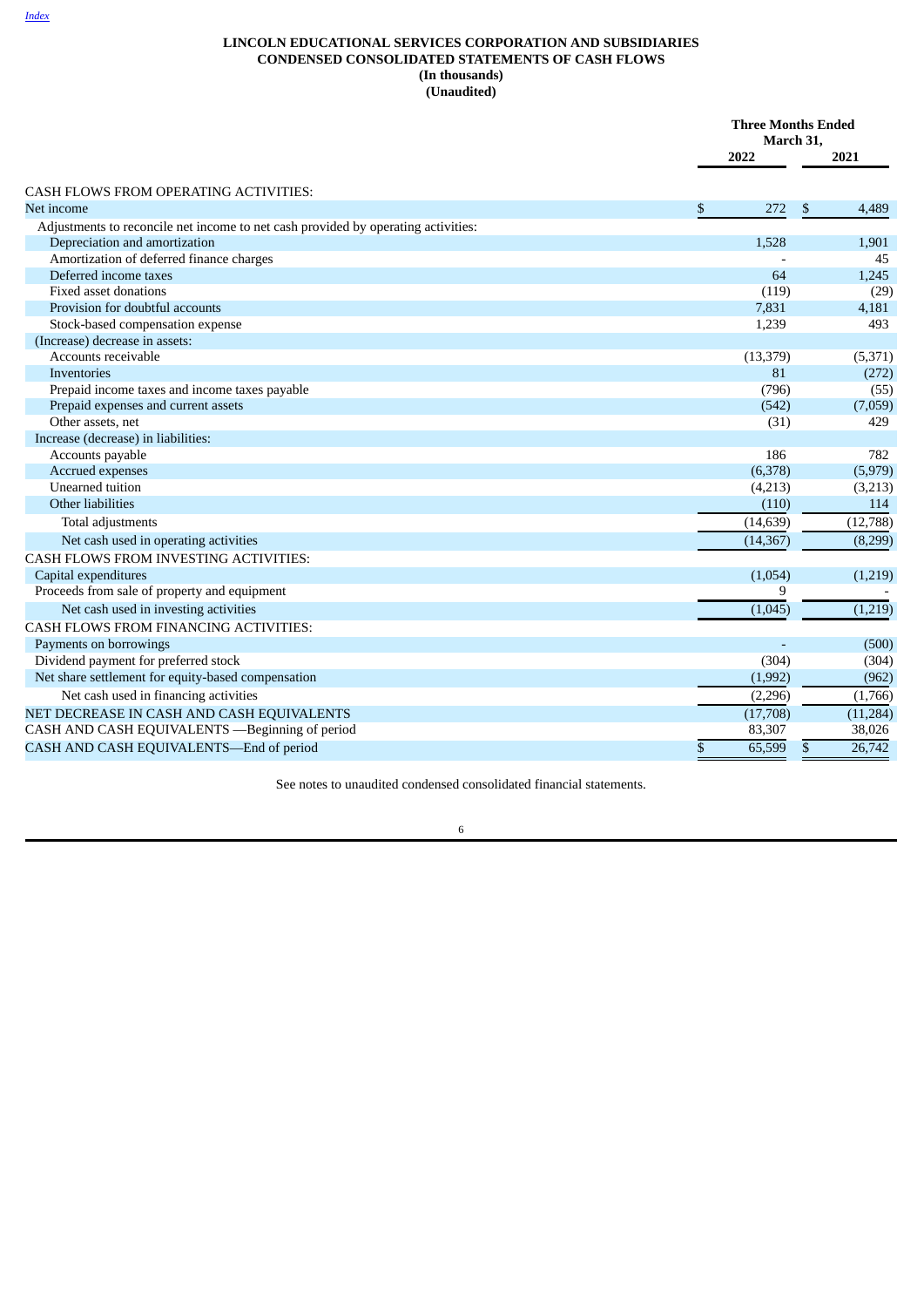# <span id="page-7-0"></span>**LINCOLN EDUCATIONAL SERVICES CORPORATION AND SUBSIDIARIES CONDENSED CONSOLIDATED STATEMENTS OF CASH FLOWS (In thousands) (Unaudited)**

|                                                                                   | <b>Three Months Ended</b><br>March 31, |              |           |
|-----------------------------------------------------------------------------------|----------------------------------------|--------------|-----------|
|                                                                                   | 2022                                   |              | 2021      |
| CASH FLOWS FROM OPERATING ACTIVITIES:                                             |                                        |              |           |
| Net income                                                                        | \$<br>272                              | \$           | 4,489     |
| Adjustments to reconcile net income to net cash provided by operating activities: |                                        |              |           |
| Depreciation and amortization                                                     | 1,528                                  |              | 1,901     |
| Amortization of deferred finance charges                                          |                                        |              | 45        |
| Deferred income taxes                                                             | 64                                     |              | 1,245     |
| <b>Fixed asset donations</b>                                                      | (119)                                  |              | (29)      |
| Provision for doubtful accounts                                                   | 7,831                                  |              | 4,181     |
| Stock-based compensation expense                                                  | 1,239                                  |              | 493       |
| (Increase) decrease in assets:                                                    |                                        |              |           |
| Accounts receivable                                                               | (13, 379)                              |              | (5, 371)  |
| <b>Inventories</b>                                                                | 81                                     |              | (272)     |
| Prepaid income taxes and income taxes payable                                     | (796)                                  |              | (55)      |
| Prepaid expenses and current assets                                               | (542)                                  |              | (7,059)   |
| Other assets, net                                                                 | (31)                                   |              | 429       |
| Increase (decrease) in liabilities:                                               |                                        |              |           |
| Accounts payable                                                                  | 186                                    |              | 782       |
| Accrued expenses                                                                  | (6,378)                                |              | (5,979)   |
| Unearned tuition                                                                  | (4,213)                                |              | (3,213)   |
| Other liabilities                                                                 | (110)                                  |              | 114       |
| Total adjustments                                                                 | (14, 639)                              |              | (12, 788) |
| Net cash used in operating activities                                             | (14, 367)                              |              | (8,299)   |
| CASH FLOWS FROM INVESTING ACTIVITIES:                                             |                                        |              |           |
| Capital expenditures                                                              | (1,054)                                |              | (1,219)   |
| Proceeds from sale of property and equipment                                      | 9                                      |              |           |
| Net cash used in investing activities                                             | (1,045)                                |              | (1,219)   |
| CASH FLOWS FROM FINANCING ACTIVITIES:                                             |                                        |              |           |
| Payments on borrowings                                                            |                                        |              | (500)     |
| Dividend payment for preferred stock                                              | (304)                                  |              | (304)     |
| Net share settlement for equity-based compensation                                | (1,992)                                |              | (962)     |
| Net cash used in financing activities                                             | (2,296)                                |              | (1,766)   |
| NET DECREASE IN CASH AND CASH EQUIVALENTS                                         | (17,708)                               |              | (11, 284) |
| CASH AND CASH EQUIVALENTS -Beginning of period                                    | 83,307                                 |              | 38,026    |
| CASH AND CASH EQUIVALENTS-End of period                                           | \$<br>65,599                           | $\mathbb{S}$ | 26,742    |

See notes to unaudited condensed consolidated financial statements.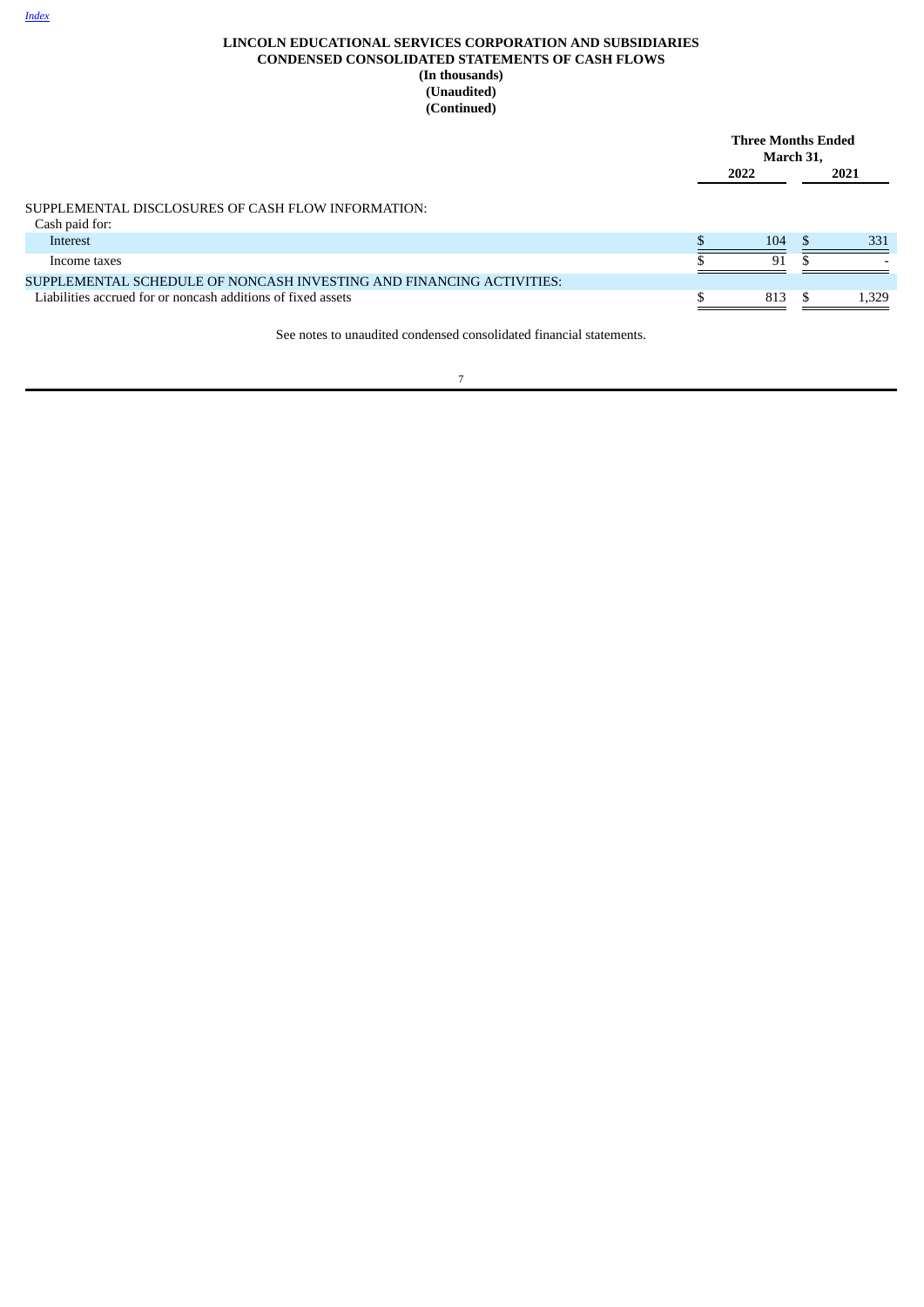|                                                                      | <b>Three Months Ended</b><br>March 31, |     |      |       |
|----------------------------------------------------------------------|----------------------------------------|-----|------|-------|
|                                                                      | 2022                                   |     | 2021 |       |
| SUPPLEMENTAL DISCLOSURES OF CASH FLOW INFORMATION:                   |                                        |     |      |       |
| Cash paid for:                                                       |                                        |     |      |       |
| Interest                                                             |                                        | 104 | -S   | 331   |
| Income taxes                                                         |                                        | 91  |      |       |
| SUPPLEMENTAL SCHEDULE OF NONCASH INVESTING AND FINANCING ACTIVITIES: |                                        |     |      |       |
| Liabilities accrued for or noncash additions of fixed assets         |                                        | 813 |      | 1,329 |
| See notes to unaudited condensed consolidated financial statements.  |                                        |     |      |       |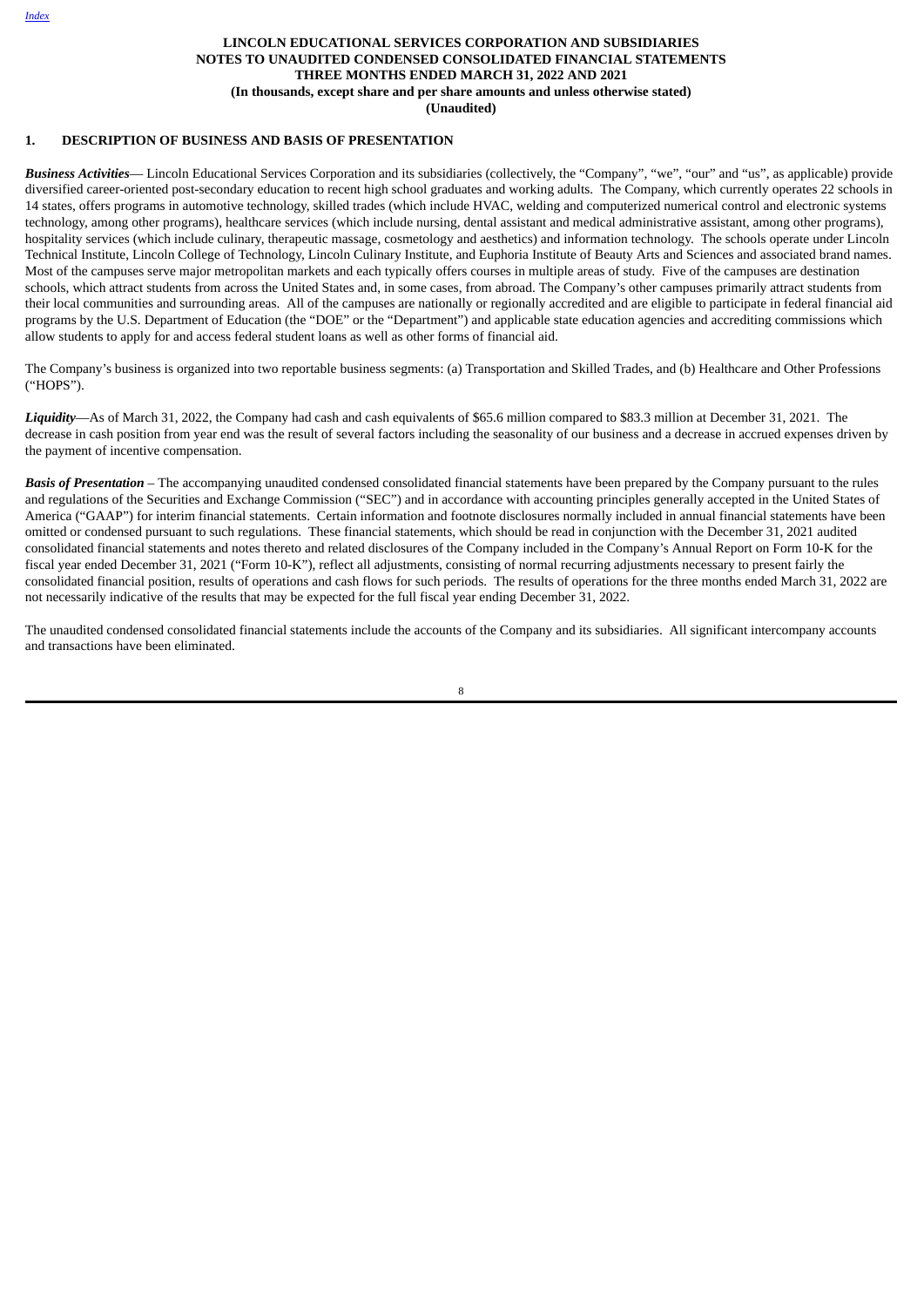#### **LINCOLN EDUCATIONAL SERVICES CORPORATION AND SUBSIDIARIES NOTES TO UNAUDITED CONDENSED CONSOLIDATED FINANCIAL STATEMENTS THREE MONTHS ENDED MARCH 31, 2022 AND 2021 (In thousands, except share and per share amounts and unless otherwise stated) (Unaudited)**

#### <span id="page-9-0"></span>**1. DESCRIPTION OF BUSINESS AND BASIS OF PRESENTATION**

*Business Activities*— Lincoln Educational Services Corporation and its subsidiaries (collectively, the "Company", "we", "our" and "us", as applicable) provide diversified career-oriented post-secondary education to recent high school graduates and working adults. The Company, which currently operates 22 schools in 14 states, offers programs in automotive technology, skilled trades (which include HVAC, welding and computerized numerical control and electronic systems technology, among other programs), healthcare services (which include nursing, dental assistant and medical administrative assistant, among other programs), hospitality services (which include culinary, therapeutic massage, cosmetology and aesthetics) and information technology. The schools operate under Lincoln Technical Institute, Lincoln College of Technology, Lincoln Culinary Institute, and Euphoria Institute of Beauty Arts and Sciences and associated brand names. Most of the campuses serve major metropolitan markets and each typically offers courses in multiple areas of study. Five of the campuses are destination schools, which attract students from across the United States and, in some cases, from abroad. The Company's other campuses primarily attract students from their local communities and surrounding areas. All of the campuses are nationally or regionally accredited and are eligible to participate in federal financial aid programs by the U.S. Department of Education (the "DOE" or the "Department") and applicable state education agencies and accrediting commissions which allow students to apply for and access federal student loans as well as other forms of financial aid.

The Company's business is organized into two reportable business segments: (a) Transportation and Skilled Trades, and (b) Healthcare and Other Professions ("HOPS").

*Liquidity*—As of March 31, 2022, the Company had cash and cash equivalents of \$65.6 million compared to \$83.3 million at December 31, 2021. The decrease in cash position from year end was the result of several factors including the seasonality of our business and a decrease in accrued expenses driven by the payment of incentive compensation.

*Basis of Presentation* – The accompanying unaudited condensed consolidated financial statements have been prepared by the Company pursuant to the rules and regulations of the Securities and Exchange Commission ("SEC") and in accordance with accounting principles generally accepted in the United States of America ("GAAP") for interim financial statements. Certain information and footnote disclosures normally included in annual financial statements have been omitted or condensed pursuant to such regulations. These financial statements, which should be read in conjunction with the December 31, 2021 audited consolidated financial statements and notes thereto and related disclosures of the Company included in the Company's Annual Report on Form 10-K for the fiscal year ended December 31, 2021 ("Form 10-K"), reflect all adjustments, consisting of normal recurring adjustments necessary to present fairly the consolidated financial position, results of operations and cash flows for such periods. The results of operations for the three months ended March 31, 2022 are not necessarily indicative of the results that may be expected for the full fiscal year ending December 31, 2022.

The unaudited condensed consolidated financial statements include the accounts of the Company and its subsidiaries. All significant intercompany accounts and transactions have been eliminated.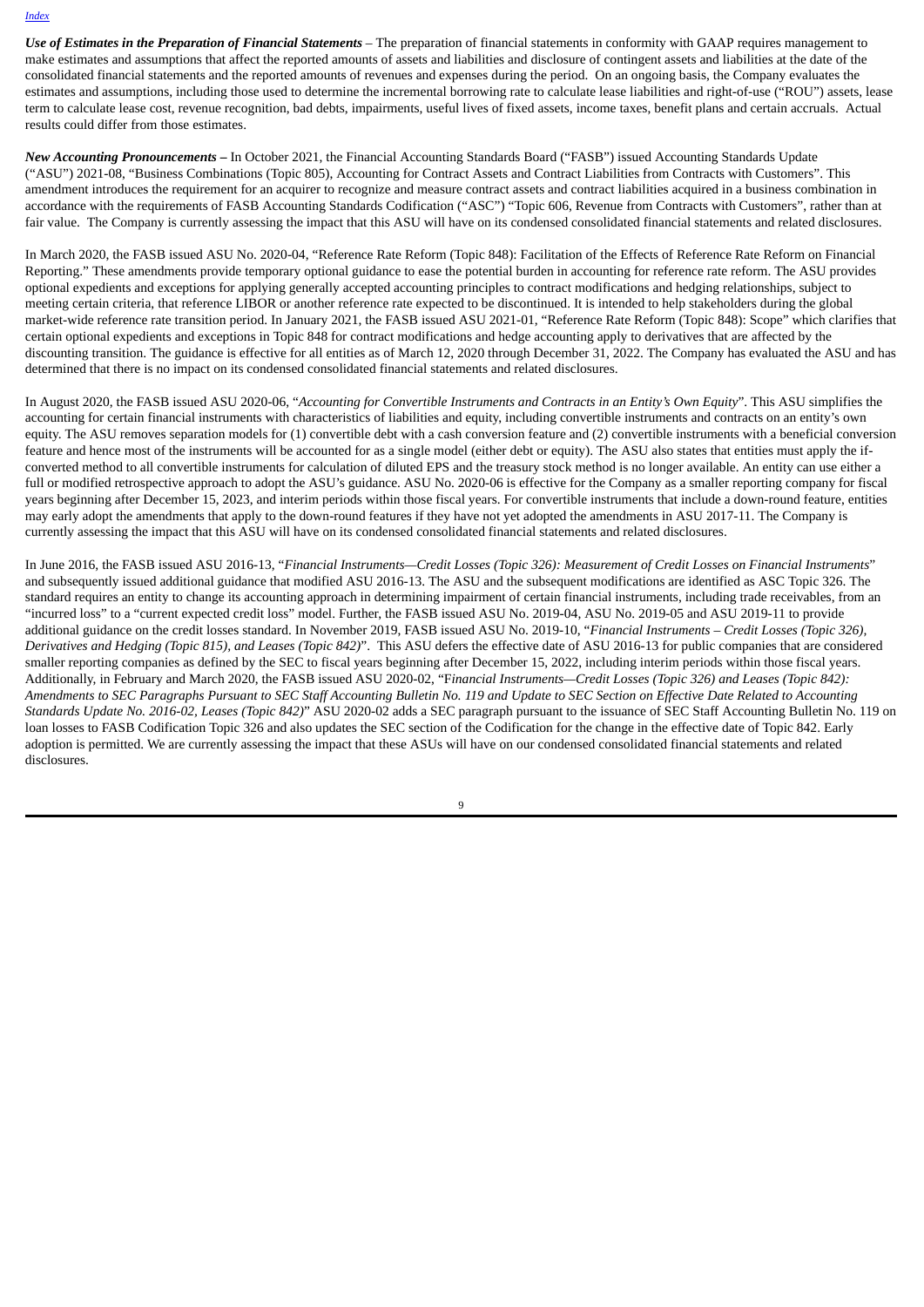*Use of Estimates in the Preparation of Financial Statements* – The preparation of financial statements in conformity with GAAP requires management to make estimates and assumptions that affect the reported amounts of assets and liabilities and disclosure of contingent assets and liabilities at the date of the consolidated financial statements and the reported amounts of revenues and expenses during the period. On an ongoing basis, the Company evaluates the estimates and assumptions, including those used to determine the incremental borrowing rate to calculate lease liabilities and right-of-use ("ROU") assets, lease term to calculate lease cost, revenue recognition, bad debts, impairments, useful lives of fixed assets, income taxes, benefit plans and certain accruals. Actual results could differ from those estimates.

*New Accounting Pronouncements* **–** In October 2021, the Financial Accounting Standards Board ("FASB") issued Accounting Standards Update ("ASU") 2021-08, "Business Combinations (Topic 805), Accounting for Contract Assets and Contract Liabilities from Contracts with Customers". This amendment introduces the requirement for an acquirer to recognize and measure contract assets and contract liabilities acquired in a business combination in accordance with the requirements of FASB Accounting Standards Codification ("ASC") "Topic 606, Revenue from Contracts with Customers", rather than at fair value. The Company is currently assessing the impact that this ASU will have on its condensed consolidated financial statements and related disclosures.

In March 2020, the FASB issued ASU No. 2020-04, "Reference Rate Reform (Topic 848): Facilitation of the Effects of Reference Rate Reform on Financial Reporting." These amendments provide temporary optional guidance to ease the potential burden in accounting for reference rate reform. The ASU provides optional expedients and exceptions for applying generally accepted accounting principles to contract modifications and hedging relationships, subject to meeting certain criteria, that reference LIBOR or another reference rate expected to be discontinued. It is intended to help stakeholders during the global market-wide reference rate transition period. In January 2021, the FASB issued ASU 2021-01, "Reference Rate Reform (Topic 848): Scope" which clarifies that certain optional expedients and exceptions in Topic 848 for contract modifications and hedge accounting apply to derivatives that are affected by the discounting transition. The guidance is effective for all entities as of March 12, 2020 through December 31, 2022. The Company has evaluated the ASU and has determined that there is no impact on its condensed consolidated financial statements and related disclosures.

In August 2020, the FASB issued ASU 2020-06, "Accounting for Convertible Instruments and Contracts in an Entity's Own Equity". This ASU simplifies the accounting for certain financial instruments with characteristics of liabilities and equity, including convertible instruments and contracts on an entity's own equity. The ASU removes separation models for (1) convertible debt with a cash conversion feature and (2) convertible instruments with a beneficial conversion feature and hence most of the instruments will be accounted for as a single model (either debt or equity). The ASU also states that entities must apply the ifconverted method to all convertible instruments for calculation of diluted EPS and the treasury stock method is no longer available. An entity can use either a full or modified retrospective approach to adopt the ASU's guidance. ASU No. 2020-06 is effective for the Company as a smaller reporting company for fiscal years beginning after December 15, 2023, and interim periods within those fiscal years. For convertible instruments that include a down-round feature, entities may early adopt the amendments that apply to the down-round features if they have not yet adopted the amendments in ASU 2017-11. The Company is currently assessing the impact that this ASU will have on its condensed consolidated financial statements and related disclosures.

In June 2016, the FASB issued ASU 2016-13, "Financial Instruments-Credit Losses (Topic 326): Measurement of Credit Losses on Financial Instruments" and subsequently issued additional guidance that modified ASU 2016-13. The ASU and the subsequent modifications are identified as ASC Topic 326. The standard requires an entity to change its accounting approach in determining impairment of certain financial instruments, including trade receivables, from an "incurred loss" to a "current expected credit loss" model. Further, the FASB issued ASU No. 2019-04, ASU No. 2019-05 and ASU 2019-11 to provide additional guidance on the credit losses standard. In November 2019, FASB issued ASU No. 2019-10, "*Financial Instruments – Credit Losses (Topic 326), Derivatives and Hedging (Topic 815), and Leases (Topic 842)*". This ASU defers the effective date of ASU 2016-13 for public companies that are considered smaller reporting companies as defined by the SEC to fiscal years beginning after December 15, 2022, including interim periods within those fiscal years. Additionally, in February and March 2020, the FASB issued ASU 2020-02, "F*inancial Instruments—Credit Losses (Topic 326) and Leases (Topic 842):* Amendments to SEC Paragraphs Pursuant to SEC Staff Accounting Bulletin No. 119 and Update to SEC Section on Effective Date Related to Accounting *Standards Update No. 2016-02, Leases (Topic 842)*" ASU 2020-02 adds a SEC paragraph pursuant to the issuance of SEC Staff Accounting Bulletin No. 119 on loan losses to FASB Codification Topic 326 and also updates the SEC section of the Codification for the change in the effective date of Topic 842. Early adoption is permitted. We are currently assessing the impact that these ASUs will have on our condensed consolidated financial statements and related disclosures.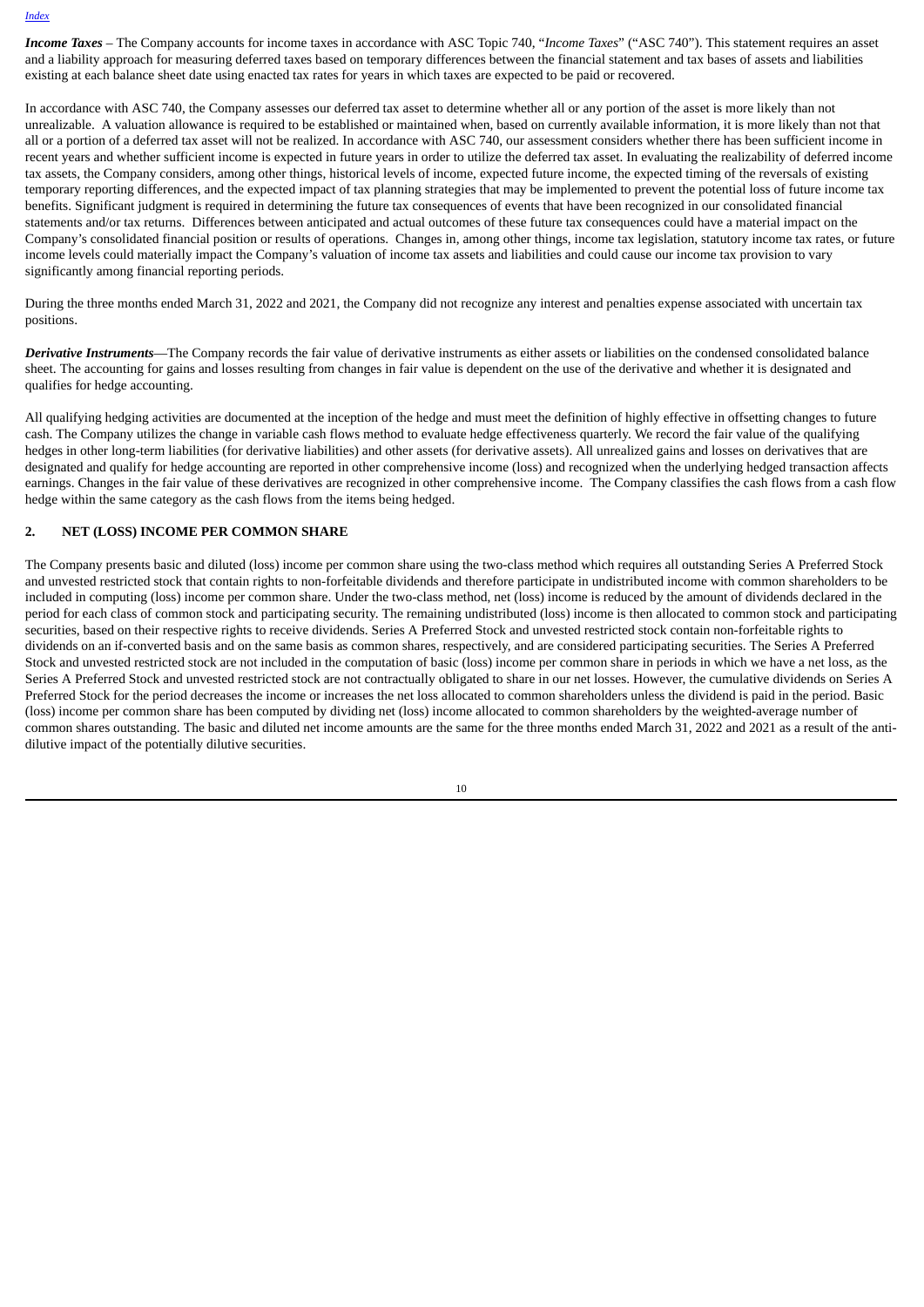*Income Taxes* – The Company accounts for income taxes in accordance with ASC Topic 740, "*Income Taxes*" ("ASC 740"). This statement requires an asset and a liability approach for measuring deferred taxes based on temporary differences between the financial statement and tax bases of assets and liabilities existing at each balance sheet date using enacted tax rates for years in which taxes are expected to be paid or recovered.

In accordance with ASC 740, the Company assesses our deferred tax asset to determine whether all or any portion of the asset is more likely than not unrealizable. A valuation allowance is required to be established or maintained when, based on currently available information, it is more likely than not that all or a portion of a deferred tax asset will not be realized. In accordance with ASC 740, our assessment considers whether there has been sufficient income in recent years and whether sufficient income is expected in future years in order to utilize the deferred tax asset. In evaluating the realizability of deferred income tax assets, the Company considers, among other things, historical levels of income, expected future income, the expected timing of the reversals of existing temporary reporting differences, and the expected impact of tax planning strategies that may be implemented to prevent the potential loss of future income tax benefits. Significant judgment is required in determining the future tax consequences of events that have been recognized in our consolidated financial statements and/or tax returns. Differences between anticipated and actual outcomes of these future tax consequences could have a material impact on the Company's consolidated financial position or results of operations. Changes in, among other things, income tax legislation, statutory income tax rates, or future income levels could materially impact the Company's valuation of income tax assets and liabilities and could cause our income tax provision to vary significantly among financial reporting periods.

During the three months ended March 31, 2022 and 2021, the Company did not recognize any interest and penalties expense associated with uncertain tax positions.

*Derivative Instruments*—The Company records the fair value of derivative instruments as either assets or liabilities on the condensed consolidated balance sheet. The accounting for gains and losses resulting from changes in fair value is dependent on the use of the derivative and whether it is designated and qualifies for hedge accounting.

All qualifying hedging activities are documented at the inception of the hedge and must meet the definition of highly effective in offsetting changes to future cash. The Company utilizes the change in variable cash flows method to evaluate hedge effectiveness quarterly. We record the fair value of the qualifying hedges in other long-term liabilities (for derivative liabilities) and other assets (for derivative assets). All unrealized gains and losses on derivatives that are designated and qualify for hedge accounting are reported in other comprehensive income (loss) and recognized when the underlying hedged transaction affects earnings. Changes in the fair value of these derivatives are recognized in other comprehensive income. The Company classifies the cash flows from a cash flow hedge within the same category as the cash flows from the items being hedged.

#### **2. NET (LOSS) INCOME PER COMMON SHARE**

The Company presents basic and diluted (loss) income per common share using the two-class method which requires all outstanding Series A Preferred Stock and unvested restricted stock that contain rights to non-forfeitable dividends and therefore participate in undistributed income with common shareholders to be included in computing (loss) income per common share. Under the two-class method, net (loss) income is reduced by the amount of dividends declared in the period for each class of common stock and participating security. The remaining undistributed (loss) income is then allocated to common stock and participating securities, based on their respective rights to receive dividends. Series A Preferred Stock and unvested restricted stock contain non-forfeitable rights to dividends on an if-converted basis and on the same basis as common shares, respectively, and are considered participating securities. The Series A Preferred Stock and unvested restricted stock are not included in the computation of basic (loss) income per common share in periods in which we have a net loss, as the Series A Preferred Stock and unvested restricted stock are not contractually obligated to share in our net losses. However, the cumulative dividends on Series A Preferred Stock for the period decreases the income or increases the net loss allocated to common shareholders unless the dividend is paid in the period. Basic (loss) income per common share has been computed by dividing net (loss) income allocated to common shareholders by the weighted-average number of common shares outstanding. The basic and diluted net income amounts are the same for the three months ended March 31, 2022 and 2021 as a result of the antidilutive impact of the potentially dilutive securities.

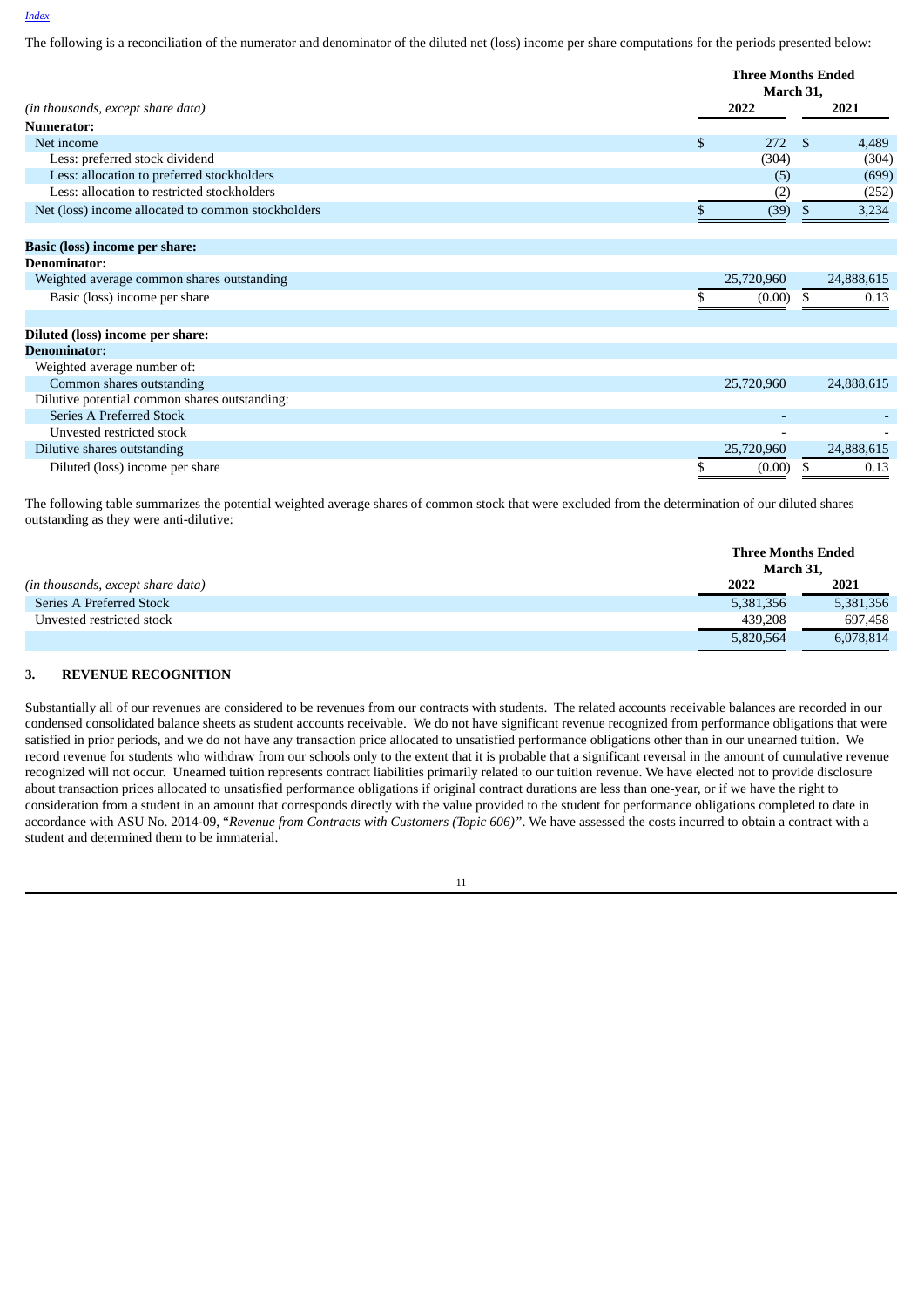The following is a reconciliation of the numerator and denominator of the diluted net (loss) income per share computations for the periods presented below:

|                                                    | <b>Three Months Ended</b> |             |  |  |
|----------------------------------------------------|---------------------------|-------------|--|--|
|                                                    |                           | March 31,   |  |  |
| (in thousands, except share data)                  | 2022                      | 2021        |  |  |
| Numerator:                                         |                           |             |  |  |
| Net income                                         | \$<br>272                 | -S<br>4,489 |  |  |
| Less: preferred stock dividend                     | (304)                     | (304)       |  |  |
| Less: allocation to preferred stockholders         | (5)                       | (699)       |  |  |
| Less: allocation to restricted stockholders        | (2)                       | (252)       |  |  |
| Net (loss) income allocated to common stockholders | (39)                      | 3,234<br>S. |  |  |
| Basic (loss) income per share:                     |                           |             |  |  |
| <b>Denominator:</b>                                |                           |             |  |  |
| Weighted average common shares outstanding         | 25,720,960                | 24,888,615  |  |  |
| Basic (loss) income per share                      | (0.00)                    | 0.13<br>S   |  |  |
| Diluted (loss) income per share:                   |                           |             |  |  |
| <b>Denominator:</b>                                |                           |             |  |  |
| Weighted average number of:                        |                           |             |  |  |
| Common shares outstanding                          | 25,720,960                | 24,888,615  |  |  |
| Dilutive potential common shares outstanding:      |                           |             |  |  |
| Series A Preferred Stock                           |                           |             |  |  |
| Unvested restricted stock                          |                           |             |  |  |
| Dilutive shares outstanding                        | 25,720,960                | 24,888,615  |  |  |
| Diluted (loss) income per share                    | (0.00)                    | 0.13<br>S   |  |  |

The following table summarizes the potential weighted average shares of common stock that were excluded from the determination of our diluted shares outstanding as they were anti-dilutive:

|                                   | <b>Three Months Ended</b><br>March 31. |           |  |  |
|-----------------------------------|----------------------------------------|-----------|--|--|
| (in thousands, except share data) | 2022                                   | 2021      |  |  |
| Series A Preferred Stock          | 5,381,356                              | 5,381,356 |  |  |
| Unvested restricted stock         | 439,208                                | 697,458   |  |  |
|                                   | 5,820,564                              | 6,078,814 |  |  |

### **3. REVENUE RECOGNITION**

Substantially all of our revenues are considered to be revenues from our contracts with students. The related accounts receivable balances are recorded in our condensed consolidated balance sheets as student accounts receivable. We do not have significant revenue recognized from performance obligations that were satisfied in prior periods, and we do not have any transaction price allocated to unsatisfied performance obligations other than in our unearned tuition. We record revenue for students who withdraw from our schools only to the extent that it is probable that a significant reversal in the amount of cumulative revenue recognized will not occur. Unearned tuition represents contract liabilities primarily related to our tuition revenue. We have elected not to provide disclosure about transaction prices allocated to unsatisfied performance obligations if original contract durations are less than one-year, or if we have the right to consideration from a student in an amount that corresponds directly with the value provided to the student for performance obligations completed to date in accordance with ASU No. 2014-09, "*Revenue from Contracts with Customers (Topic 606)"*. We have assessed the costs incurred to obtain a contract with a student and determined them to be immaterial.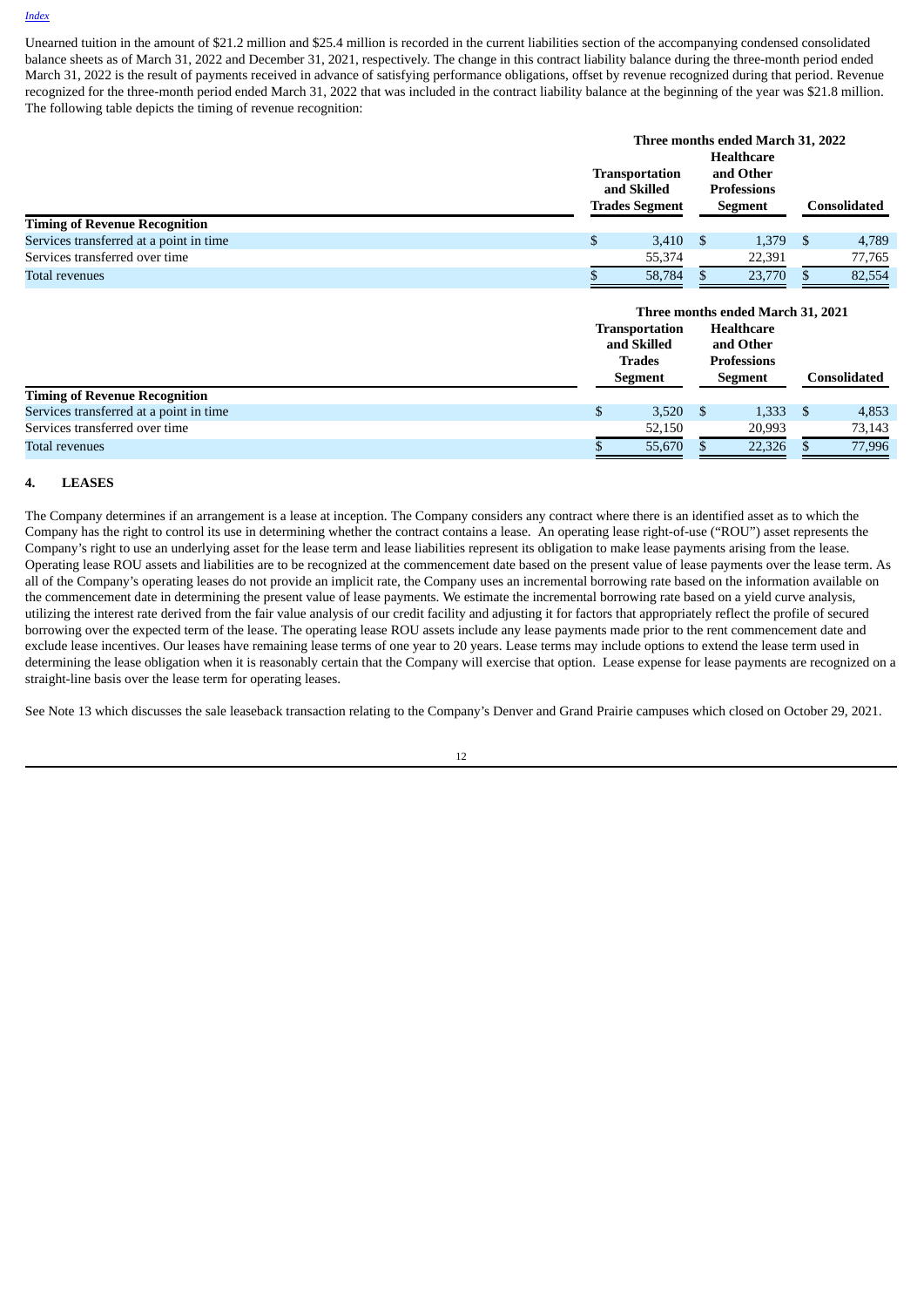Unearned tuition in the amount of \$21.2 million and \$25.4 million is recorded in the current liabilities section of the accompanying condensed consolidated balance sheets as of March 31, 2022 and December 31, 2021, respectively. The change in this contract liability balance during the three-month period ended March 31, 2022 is the result of payments received in advance of satisfying performance obligations, offset by revenue recognized during that period. Revenue recognized for the three-month period ended March 31, 2022 that was included in the contract liability balance at the beginning of the year was \$21.8 million. The following table depicts the timing of revenue recognition:

|                                         | <b>Transportation</b><br>and Skilled<br><b>Trades Segment</b> |     | Three months ended March 31, 2022<br>Healthcare<br>and Other<br><b>Professions</b><br>Segment |              | Consolidated |
|-----------------------------------------|---------------------------------------------------------------|-----|-----------------------------------------------------------------------------------------------|--------------|--------------|
| <b>Timing of Revenue Recognition</b>    |                                                               |     |                                                                                               |              |              |
| Services transferred at a point in time | 3,410                                                         | - S | 1.379                                                                                         | <sup>S</sup> | 4,789        |
| Services transferred over time          | 55,374                                                        |     | 22,391                                                                                        |              | 77,765       |
| <b>Total revenues</b>                   | 58,784                                                        |     | 23,770                                                                                        |              | 82,554       |

|                                         |    | <b>Transportation</b><br>and Skilled<br><b>Trades</b><br>Segment |      | Three months ended March 31, 2021<br><b>Healthcare</b><br>and Other<br><b>Professions</b><br><b>Segment</b> |     | Consolidated |
|-----------------------------------------|----|------------------------------------------------------------------|------|-------------------------------------------------------------------------------------------------------------|-----|--------------|
| <b>Timing of Revenue Recognition</b>    |    |                                                                  |      |                                                                                                             |     |              |
| Services transferred at a point in time | S. | 3,520                                                            | - \$ | 1,333                                                                                                       | -SS | 4,853        |
| Services transferred over time          |    | 52,150                                                           |      | 20,993                                                                                                      |     | 73,143       |
| Total revenues                          |    | 55,670                                                           |      | 22,326                                                                                                      |     | 77,996       |

### **4. LEASES**

The Company determines if an arrangement is a lease at inception. The Company considers any contract where there is an identified asset as to which the Company has the right to control its use in determining whether the contract contains a lease. An operating lease right-of-use ("ROU") asset represents the Company's right to use an underlying asset for the lease term and lease liabilities represent its obligation to make lease payments arising from the lease. Operating lease ROU assets and liabilities are to be recognized at the commencement date based on the present value of lease payments over the lease term. As all of the Company's operating leases do not provide an implicit rate, the Company uses an incremental borrowing rate based on the information available on the commencement date in determining the present value of lease payments. We estimate the incremental borrowing rate based on a yield curve analysis, utilizing the interest rate derived from the fair value analysis of our credit facility and adjusting it for factors that appropriately reflect the profile of secured borrowing over the expected term of the lease. The operating lease ROU assets include any lease payments made prior to the rent commencement date and exclude lease incentives. Our leases have remaining lease terms of one year to 20 years. Lease terms may include options to extend the lease term used in determining the lease obligation when it is reasonably certain that the Company will exercise that option. Lease expense for lease payments are recognized on a straight-line basis over the lease term for operating leases.

See Note 13 which discusses the sale leaseback transaction relating to the Company's Denver and Grand Prairie campuses which closed on October 29, 2021.

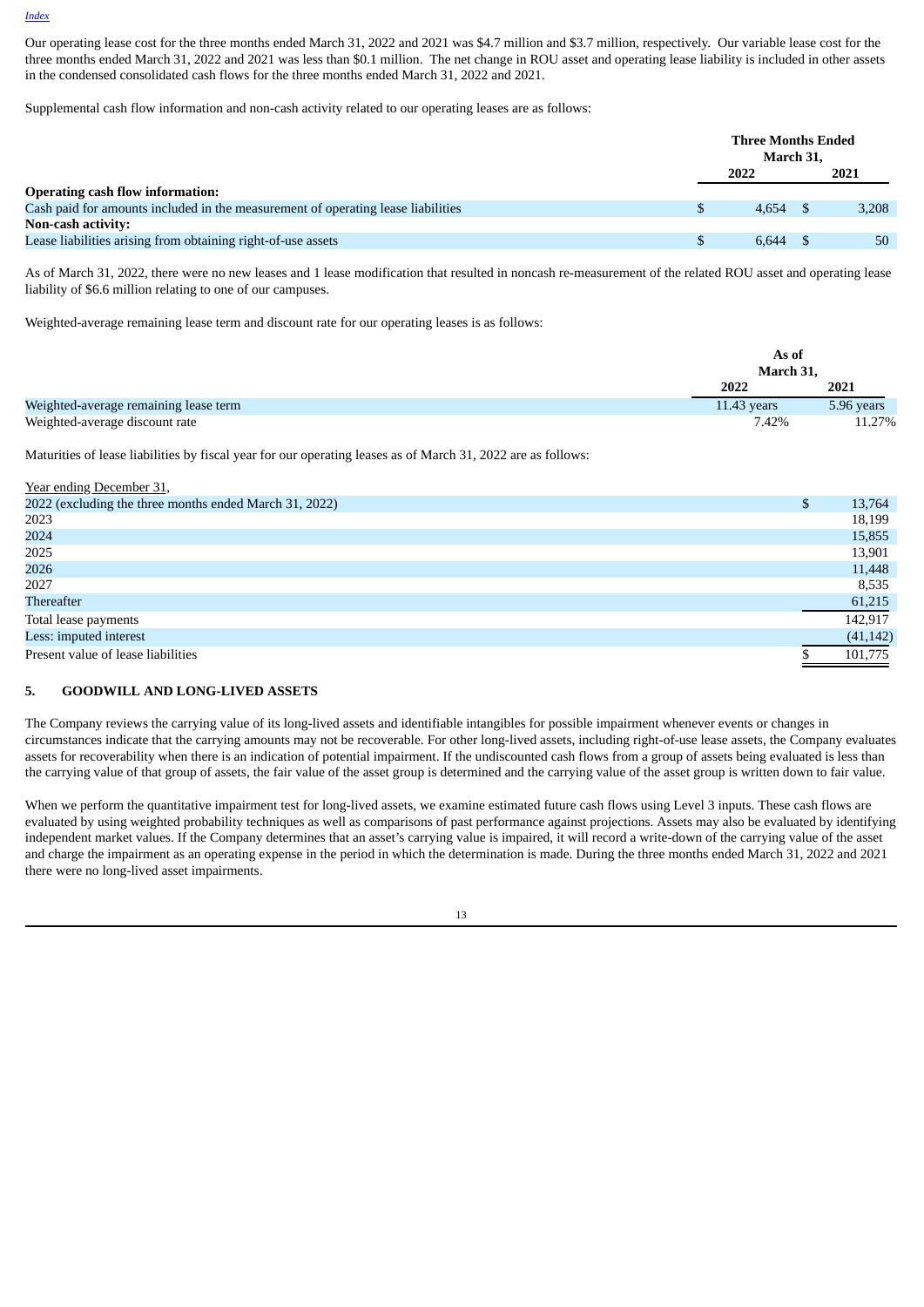Our operating lease cost for the three months ended March 31, 2022 and 2021 was \$4.7 million and \$3.7 million, respectively. Our variable lease cost for the three months ended March 31, 2022 and 2021 was less than \$0.1 million. The net change in ROU asset and operating lease liability is included in other assets in the condensed consolidated cash flows for the three months ended March 31, 2022 and 2021.

Supplemental cash flow information and non-cash activity related to our operating leases are as follows:

|                                                                                  | <b>Three Months Ended</b><br>March 31, |       |
|----------------------------------------------------------------------------------|----------------------------------------|-------|
|                                                                                  | 2022                                   | 2021  |
| <b>Operating cash flow information:</b>                                          |                                        |       |
| Cash paid for amounts included in the measurement of operating lease liabilities | 4.654                                  | 3.208 |
| Non-cash activity:                                                               |                                        |       |
| Lease liabilities arising from obtaining right-of-use assets                     | 6.644                                  | 50    |

As of March 31, 2022, there were no new leases and 1 lease modification that resulted in noncash re-measurement of the related ROU asset and operating lease liability of \$6.6 million relating to one of our campuses.

Weighted-average remaining lease term and discount rate for our operating leases is as follows:

|                                       | As of         |            |
|---------------------------------------|---------------|------------|
|                                       | March 31,     |            |
|                                       | 2022          | 2021       |
| Weighted-average remaining lease term | $11.43$ years | 5.96 years |
| Weighted-average discount rate        | 7.42%         | 11.27%     |

Maturities of lease liabilities by fiscal year for our operating leases as of March 31, 2022 are as follows:

| Year ending December 31,                               |           |
|--------------------------------------------------------|-----------|
| 2022 (excluding the three months ended March 31, 2022) | 13,764    |
| 2023                                                   | 18,199    |
| 2024                                                   | 15,855    |
| 2025                                                   | 13,901    |
| 2026                                                   | 11,448    |
| 2027                                                   | 8,535     |
| Thereafter                                             | 61,215    |
| Total lease payments                                   | 142.917   |
| Less: imputed interest                                 | (41, 142) |
| Present value of lease liabilities                     | 101,775   |

#### **5. GOODWILL AND LONG-LIVED ASSETS**

The Company reviews the carrying value of its long-lived assets and identifiable intangibles for possible impairment whenever events or changes in circumstances indicate that the carrying amounts may not be recoverable. For other long-lived assets, including right-of-use lease assets, the Company evaluates assets for recoverability when there is an indication of potential impairment. If the undiscounted cash flows from a group of assets being evaluated is less than the carrying value of that group of assets, the fair value of the asset group is determined and the carrying value of the asset group is written down to fair value.

When we perform the quantitative impairment test for long-lived assets, we examine estimated future cash flows using Level 3 inputs. These cash flows are evaluated by using weighted probability techniques as well as comparisons of past performance against projections. Assets may also be evaluated by identifying independent market values. If the Company determines that an asset's carrying value is impaired, it will record a write-down of the carrying value of the asset and charge the impairment as an operating expense in the period in which the determination is made. During the three months ended March 31, 2022 and 2021 there were no long-lived asset impairments.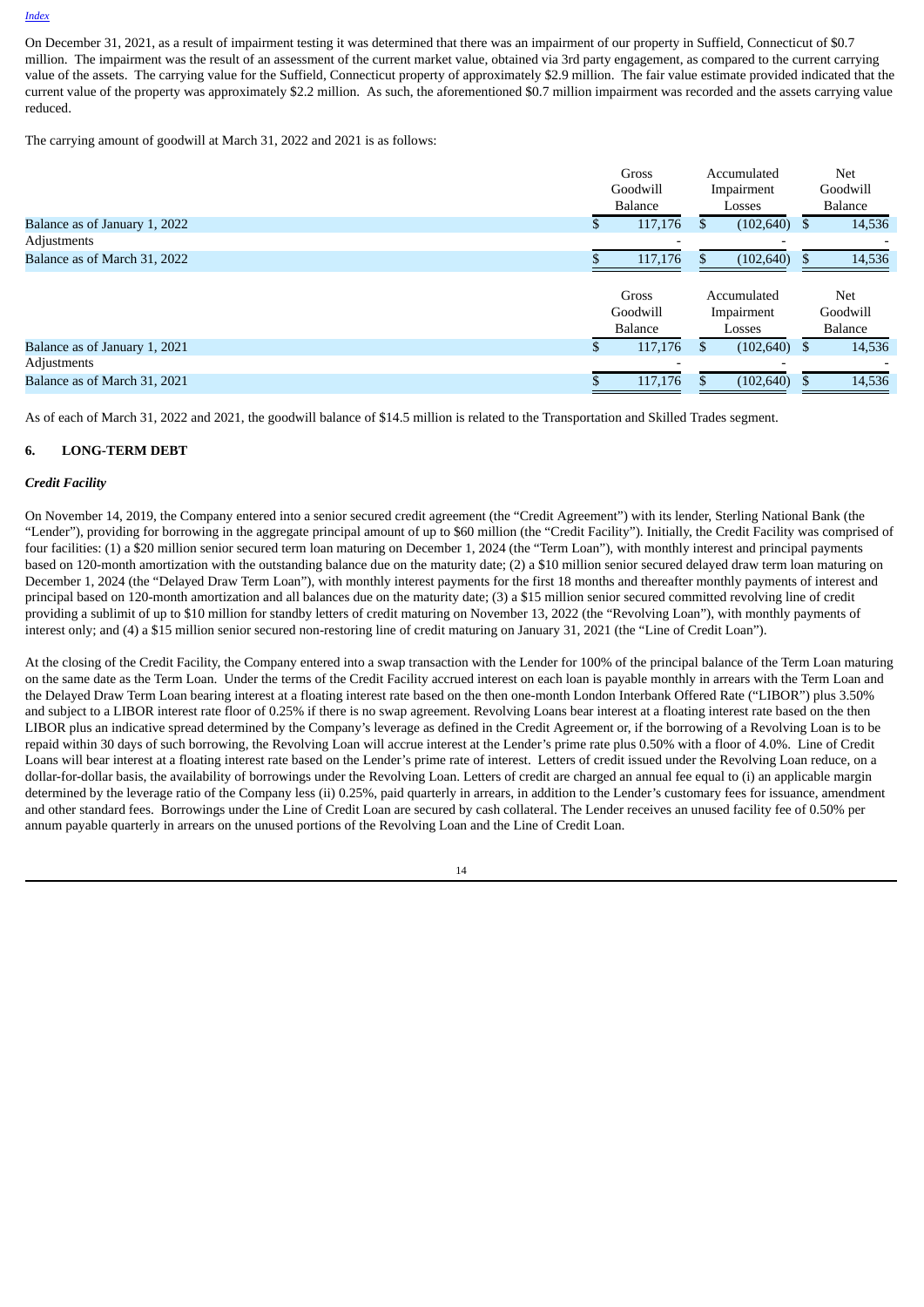On December 31, 2021, as a result of impairment testing it was determined that there was an impairment of our property in Suffield, Connecticut of \$0.7 million. The impairment was the result of an assessment of the current market value, obtained via 3rd party engagement, as compared to the current carrying value of the assets. The carrying value for the Suffield, Connecticut property of approximately \$2.9 million. The fair value estimate provided indicated that the current value of the property was approximately \$2.2 million. As such, the aforementioned \$0.7 million impairment was recorded and the assets carrying value reduced.

The carrying amount of goodwill at March 31, 2022 and 2021 is as follows:

|                               | Gross                               |     | Accumulated                         |   | Net                               |
|-------------------------------|-------------------------------------|-----|-------------------------------------|---|-----------------------------------|
|                               | Goodwill                            |     | Impairment                          |   | Goodwill                          |
|                               | <b>Balance</b>                      |     | Losses                              |   | <b>Balance</b>                    |
| Balance as of January 1, 2022 | 117,176                             | S.  | (102, 640)                          | S | 14,536                            |
| Adjustments                   |                                     |     |                                     |   |                                   |
| Balance as of March 31, 2022  | 117,176                             |     | (102, 640)                          |   | 14,536                            |
|                               | Gross<br>Goodwill<br><b>Balance</b> |     | Accumulated<br>Impairment<br>Losses |   | Net<br>Goodwill<br><b>Balance</b> |
| Balance as of January 1, 2021 | 117,176                             | \$. | (102, 640)                          | S | 14,536                            |
| Adjustments                   |                                     |     |                                     |   |                                   |
| Balance as of March 31, 2021  |                                     |     |                                     |   | 14,536                            |

As of each of March 31, 2022 and 2021, the goodwill balance of \$14.5 million is related to the Transportation and Skilled Trades segment.

### **6. LONG-TERM DEBT**

#### *Credit Facility*

On November 14, 2019, the Company entered into a senior secured credit agreement (the "Credit Agreement") with its lender, Sterling National Bank (the "Lender"), providing for borrowing in the aggregate principal amount of up to \$60 million (the "Credit Facility"). Initially, the Credit Facility was comprised of four facilities: (1) a \$20 million senior secured term loan maturing on December 1, 2024 (the "Term Loan"), with monthly interest and principal payments based on 120-month amortization with the outstanding balance due on the maturity date; (2) a \$10 million senior secured delayed draw term loan maturing on December 1, 2024 (the "Delayed Draw Term Loan"), with monthly interest payments for the first 18 months and thereafter monthly payments of interest and principal based on 120-month amortization and all balances due on the maturity date; (3) a \$15 million senior secured committed revolving line of credit providing a sublimit of up to \$10 million for standby letters of credit maturing on November 13, 2022 (the "Revolving Loan"), with monthly payments of interest only; and (4) a \$15 million senior secured non-restoring line of credit maturing on January 31, 2021 (the "Line of Credit Loan").

At the closing of the Credit Facility, the Company entered into a swap transaction with the Lender for 100% of the principal balance of the Term Loan maturing on the same date as the Term Loan. Under the terms of the Credit Facility accrued interest on each loan is payable monthly in arrears with the Term Loan and the Delayed Draw Term Loan bearing interest at a floating interest rate based on the then one-month London Interbank Offered Rate ("LIBOR") plus 3.50% and subject to a LIBOR interest rate floor of 0.25% if there is no swap agreement. Revolving Loans bear interest at a floating interest rate based on the then LIBOR plus an indicative spread determined by the Company's leverage as defined in the Credit Agreement or, if the borrowing of a Revolving Loan is to be repaid within 30 days of such borrowing, the Revolving Loan will accrue interest at the Lender's prime rate plus 0.50% with a floor of 4.0%. Line of Credit Loans will bear interest at a floating interest rate based on the Lender's prime rate of interest. Letters of credit issued under the Revolving Loan reduce, on a dollar-for-dollar basis, the availability of borrowings under the Revolving Loan. Letters of credit are charged an annual fee equal to (i) an applicable margin determined by the leverage ratio of the Company less (ii) 0.25%, paid quarterly in arrears, in addition to the Lender's customary fees for issuance, amendment and other standard fees. Borrowings under the Line of Credit Loan are secured by cash collateral. The Lender receives an unused facility fee of 0.50% per annum payable quarterly in arrears on the unused portions of the Revolving Loan and the Line of Credit Loan.

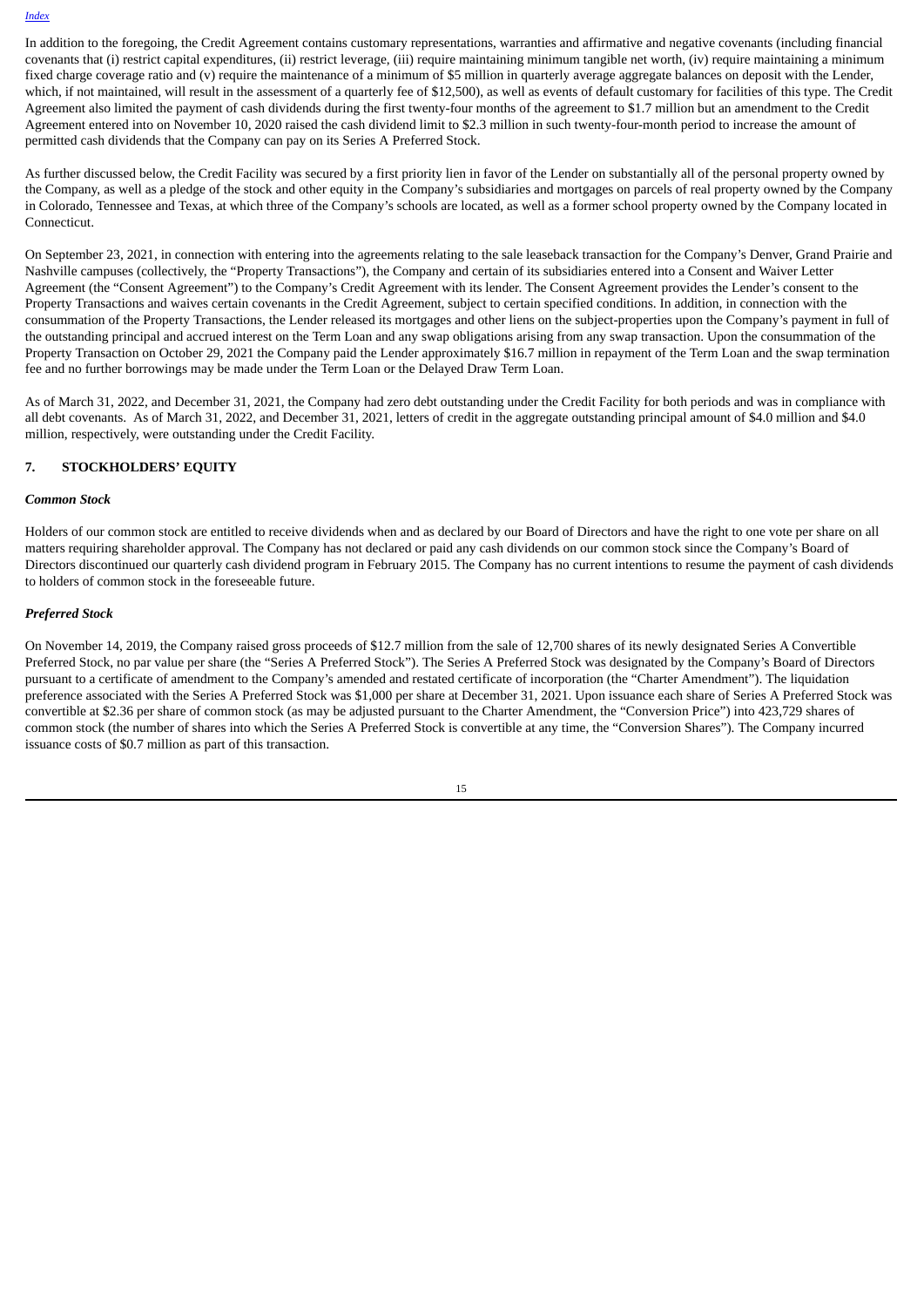In addition to the foregoing, the Credit Agreement contains customary representations, warranties and affirmative and negative covenants (including financial covenants that (i) restrict capital expenditures, (ii) restrict leverage, (iii) require maintaining minimum tangible net worth, (iv) require maintaining a minimum fixed charge coverage ratio and (v) require the maintenance of a minimum of \$5 million in quarterly average aggregate balances on deposit with the Lender, which, if not maintained, will result in the assessment of a quarterly fee of \$12,500), as well as events of default customary for facilities of this type. The Credit Agreement also limited the payment of cash dividends during the first twenty-four months of the agreement to \$1.7 million but an amendment to the Credit Agreement entered into on November 10, 2020 raised the cash dividend limit to \$2.3 million in such twenty-four-month period to increase the amount of permitted cash dividends that the Company can pay on its Series A Preferred Stock.

As further discussed below, the Credit Facility was secured by a first priority lien in favor of the Lender on substantially all of the personal property owned by the Company, as well as a pledge of the stock and other equity in the Company's subsidiaries and mortgages on parcels of real property owned by the Company in Colorado, Tennessee and Texas, at which three of the Company's schools are located, as well as a former school property owned by the Company located in Connecticut.

On September 23, 2021, in connection with entering into the agreements relating to the sale leaseback transaction for the Company's Denver, Grand Prairie and Nashville campuses (collectively, the "Property Transactions"), the Company and certain of its subsidiaries entered into a Consent and Waiver Letter Agreement (the "Consent Agreement") to the Company's Credit Agreement with its lender. The Consent Agreement provides the Lender's consent to the Property Transactions and waives certain covenants in the Credit Agreement, subject to certain specified conditions. In addition, in connection with the consummation of the Property Transactions, the Lender released its mortgages and other liens on the subject-properties upon the Company's payment in full of the outstanding principal and accrued interest on the Term Loan and any swap obligations arising from any swap transaction. Upon the consummation of the Property Transaction on October 29, 2021 the Company paid the Lender approximately \$16.7 million in repayment of the Term Loan and the swap termination fee and no further borrowings may be made under the Term Loan or the Delayed Draw Term Loan.

As of March 31, 2022, and December 31, 2021, the Company had zero debt outstanding under the Credit Facility for both periods and was in compliance with all debt covenants. As of March 31, 2022, and December 31, 2021, letters of credit in the aggregate outstanding principal amount of \$4.0 million and \$4.0 million, respectively, were outstanding under the Credit Facility.

#### **7. STOCKHOLDERS' EQUITY**

#### *Common Stock*

Holders of our common stock are entitled to receive dividends when and as declared by our Board of Directors and have the right to one vote per share on all matters requiring shareholder approval. The Company has not declared or paid any cash dividends on our common stock since the Company's Board of Directors discontinued our quarterly cash dividend program in February 2015. The Company has no current intentions to resume the payment of cash dividends to holders of common stock in the foreseeable future.

#### *Preferred Stock*

On November 14, 2019, the Company raised gross proceeds of \$12.7 million from the sale of 12,700 shares of its newly designated Series A Convertible Preferred Stock, no par value per share (the "Series A Preferred Stock"). The Series A Preferred Stock was designated by the Company's Board of Directors pursuant to a certificate of amendment to the Company's amended and restated certificate of incorporation (the "Charter Amendment"). The liquidation preference associated with the Series A Preferred Stock was \$1,000 per share at December 31, 2021. Upon issuance each share of Series A Preferred Stock was convertible at \$2.36 per share of common stock (as may be adjusted pursuant to the Charter Amendment, the "Conversion Price") into 423,729 shares of common stock (the number of shares into which the Series A Preferred Stock is convertible at any time, the "Conversion Shares"). The Company incurred issuance costs of \$0.7 million as part of this transaction.

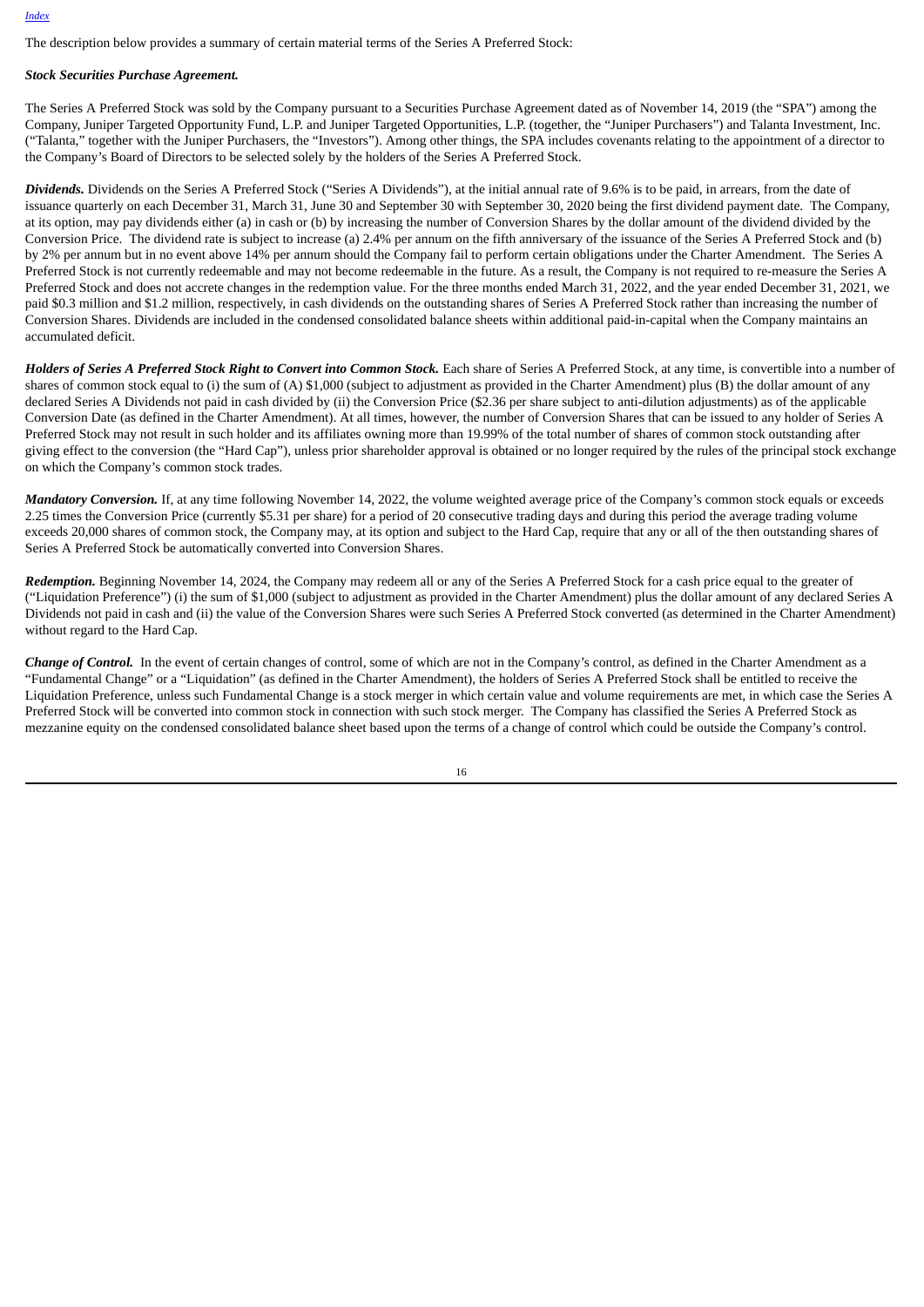The description below provides a summary of certain material terms of the Series A Preferred Stock:

#### *Stock Securities Purchase Agreement.*

The Series A Preferred Stock was sold by the Company pursuant to a Securities Purchase Agreement dated as of November 14, 2019 (the "SPA") among the Company, Juniper Targeted Opportunity Fund, L.P. and Juniper Targeted Opportunities, L.P. (together, the "Juniper Purchasers") and Talanta Investment, Inc. ("Talanta," together with the Juniper Purchasers, the "Investors"). Among other things, the SPA includes covenants relating to the appointment of a director to the Company's Board of Directors to be selected solely by the holders of the Series A Preferred Stock.

*Dividends.* Dividends on the Series A Preferred Stock ("Series A Dividends"), at the initial annual rate of 9.6% is to be paid, in arrears, from the date of issuance quarterly on each December 31, March 31, June 30 and September 30 with September 30, 2020 being the first dividend payment date. The Company, at its option, may pay dividends either (a) in cash or (b) by increasing the number of Conversion Shares by the dollar amount of the dividend divided by the Conversion Price. The dividend rate is subject to increase (a) 2.4% per annum on the fifth anniversary of the issuance of the Series A Preferred Stock and (b) by 2% per annum but in no event above 14% per annum should the Company fail to perform certain obligations under the Charter Amendment. The Series A Preferred Stock is not currently redeemable and may not become redeemable in the future. As a result, the Company is not required to re-measure the Series A Preferred Stock and does not accrete changes in the redemption value. For the three months ended March 31, 2022, and the year ended December 31, 2021, we paid \$0.3 million and \$1.2 million, respectively, in cash dividends on the outstanding shares of Series A Preferred Stock rather than increasing the number of Conversion Shares. Dividends are included in the condensed consolidated balance sheets within additional paid-in-capital when the Company maintains an accumulated deficit.

Holders of Series A Preferred Stock Right to Convert into Common Stock. Each share of Series A Preferred Stock, at any time, is convertible into a number of shares of common stock equal to (i) the sum of (A) \$1,000 (subject to adjustment as provided in the Charter Amendment) plus (B) the dollar amount of any declared Series A Dividends not paid in cash divided by (ii) the Conversion Price (\$2.36 per share subject to anti-dilution adjustments) as of the applicable Conversion Date (as defined in the Charter Amendment). At all times, however, the number of Conversion Shares that can be issued to any holder of Series A Preferred Stock may not result in such holder and its affiliates owning more than 19.99% of the total number of shares of common stock outstanding after giving effect to the conversion (the "Hard Cap"), unless prior shareholder approval is obtained or no longer required by the rules of the principal stock exchange on which the Company's common stock trades.

*Mandatory Conversion.* If, at any time following November 14, 2022, the volume weighted average price of the Company's common stock equals or exceeds 2.25 times the Conversion Price (currently \$5.31 per share) for a period of 20 consecutive trading days and during this period the average trading volume exceeds 20,000 shares of common stock, the Company may, at its option and subject to the Hard Cap, require that any or all of the then outstanding shares of Series A Preferred Stock be automatically converted into Conversion Shares.

*Redemption.* Beginning November 14, 2024, the Company may redeem all or any of the Series A Preferred Stock for a cash price equal to the greater of ("Liquidation Preference") (i) the sum of \$1,000 (subject to adjustment as provided in the Charter Amendment) plus the dollar amount of any declared Series A Dividends not paid in cash and (ii) the value of the Conversion Shares were such Series A Preferred Stock converted (as determined in the Charter Amendment) without regard to the Hard Cap.

*Change of Control.* In the event of certain changes of control, some of which are not in the Company's control, as defined in the Charter Amendment as a "Fundamental Change" or a "Liquidation" (as defined in the Charter Amendment), the holders of Series A Preferred Stock shall be entitled to receive the Liquidation Preference, unless such Fundamental Change is a stock merger in which certain value and volume requirements are met, in which case the Series A Preferred Stock will be converted into common stock in connection with such stock merger. The Company has classified the Series A Preferred Stock as mezzanine equity on the condensed consolidated balance sheet based upon the terms of a change of control which could be outside the Company's control.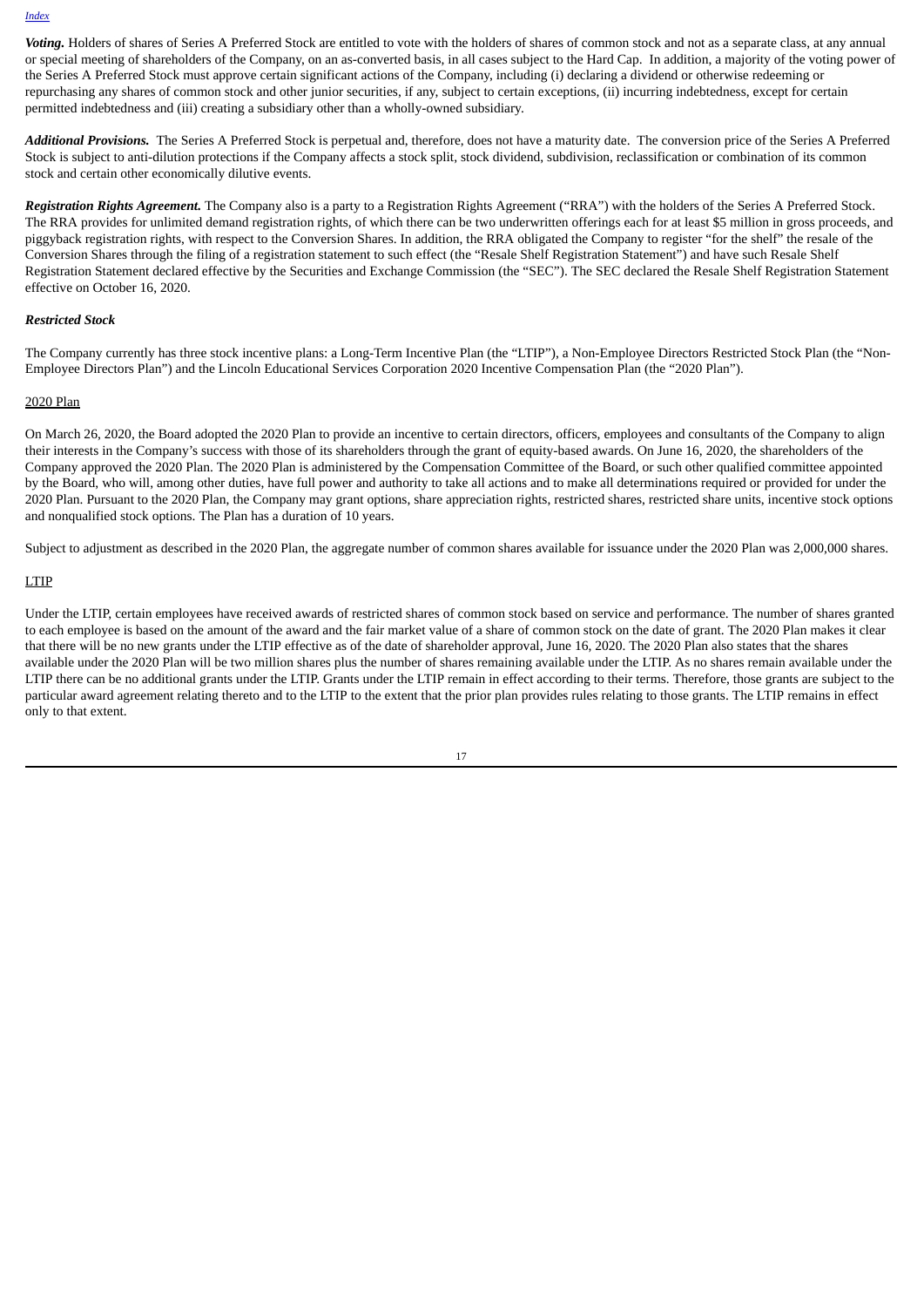Voting. Holders of shares of Series A Preferred Stock are entitled to vote with the holders of shares of common stock and not as a separate class, at any annual or special meeting of shareholders of the Company, on an as-converted basis, in all cases subject to the Hard Cap. In addition, a majority of the voting power of the Series A Preferred Stock must approve certain significant actions of the Company, including (i) declaring a dividend or otherwise redeeming or repurchasing any shares of common stock and other junior securities, if any, subject to certain exceptions, (ii) incurring indebtedness, except for certain permitted indebtedness and (iii) creating a subsidiary other than a wholly-owned subsidiary.

*Additional Provisions.* The Series A Preferred Stock is perpetual and, therefore, does not have a maturity date. The conversion price of the Series A Preferred Stock is subject to anti-dilution protections if the Company affects a stock split, stock dividend, subdivision, reclassification or combination of its common stock and certain other economically dilutive events.

*Registration Rights Agreement.* The Company also is a party to a Registration Rights Agreement ("RRA") with the holders of the Series A Preferred Stock. The RRA provides for unlimited demand registration rights, of which there can be two underwritten offerings each for at least \$5 million in gross proceeds, and piggyback registration rights, with respect to the Conversion Shares. In addition, the RRA obligated the Company to register "for the shelf" the resale of the Conversion Shares through the filing of a registration statement to such effect (the "Resale Shelf Registration Statement") and have such Resale Shelf Registration Statement declared effective by the Securities and Exchange Commission (the "SEC"). The SEC declared the Resale Shelf Registration Statement effective on October 16, 2020.

#### *Restricted Stock*

The Company currently has three stock incentive plans: a Long-Term Incentive Plan (the "LTIP"), a Non-Employee Directors Restricted Stock Plan (the "Non-Employee Directors Plan") and the Lincoln Educational Services Corporation 2020 Incentive Compensation Plan (the "2020 Plan").

#### 2020 Plan

On March 26, 2020, the Board adopted the 2020 Plan to provide an incentive to certain directors, officers, employees and consultants of the Company to align their interests in the Company's success with those of its shareholders through the grant of equity-based awards. On June 16, 2020, the shareholders of the Company approved the 2020 Plan. The 2020 Plan is administered by the Compensation Committee of the Board, or such other qualified committee appointed by the Board, who will, among other duties, have full power and authority to take all actions and to make all determinations required or provided for under the 2020 Plan. Pursuant to the 2020 Plan, the Company may grant options, share appreciation rights, restricted shares, restricted share units, incentive stock options and nonqualified stock options. The Plan has a duration of 10 years.

Subject to adjustment as described in the 2020 Plan, the aggregate number of common shares available for issuance under the 2020 Plan was 2,000,000 shares.

#### LTIP

Under the LTIP, certain employees have received awards of restricted shares of common stock based on service and performance. The number of shares granted to each employee is based on the amount of the award and the fair market value of a share of common stock on the date of grant. The 2020 Plan makes it clear that there will be no new grants under the LTIP effective as of the date of shareholder approval, June 16, 2020. The 2020 Plan also states that the shares available under the 2020 Plan will be two million shares plus the number of shares remaining available under the LTIP. As no shares remain available under the LTIP there can be no additional grants under the LTIP. Grants under the LTIP remain in effect according to their terms. Therefore, those grants are subject to the particular award agreement relating thereto and to the LTIP to the extent that the prior plan provides rules relating to those grants. The LTIP remains in effect only to that extent.

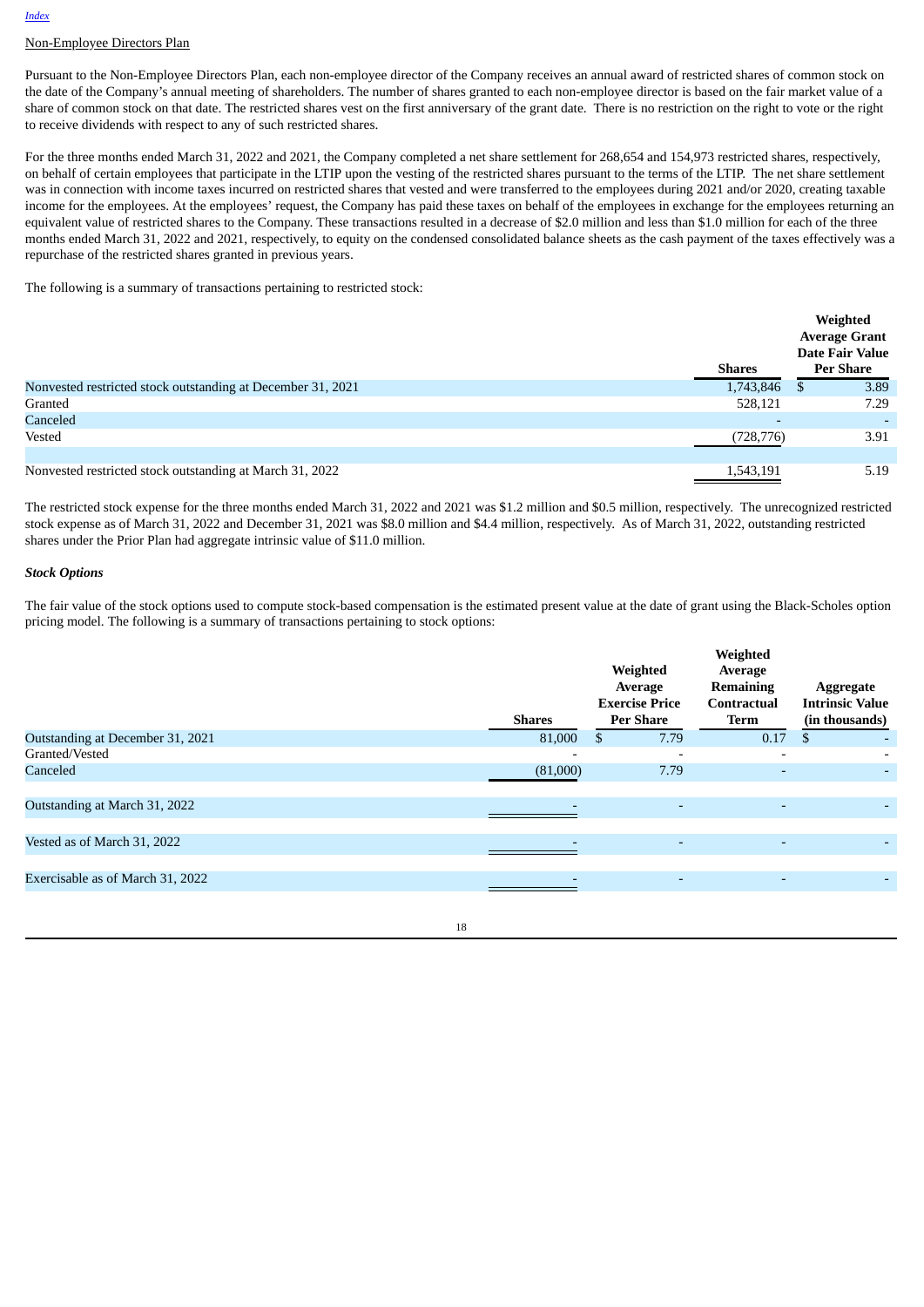# Non-Employee Directors Plan

Pursuant to the Non-Employee Directors Plan, each non-employee director of the Company receives an annual award of restricted shares of common stock on the date of the Company's annual meeting of shareholders. The number of shares granted to each non-employee director is based on the fair market value of a share of common stock on that date. The restricted shares vest on the first anniversary of the grant date. There is no restriction on the right to vote or the right to receive dividends with respect to any of such restricted shares.

For the three months ended March 31, 2022 and 2021, the Company completed a net share settlement for 268,654 and 154,973 restricted shares, respectively, on behalf of certain employees that participate in the LTIP upon the vesting of the restricted shares pursuant to the terms of the LTIP. The net share settlement was in connection with income taxes incurred on restricted shares that vested and were transferred to the employees during 2021 and/or 2020, creating taxable income for the employees. At the employees' request, the Company has paid these taxes on behalf of the employees in exchange for the employees returning an equivalent value of restricted shares to the Company. These transactions resulted in a decrease of \$2.0 million and less than \$1.0 million for each of the three months ended March 31, 2022 and 2021, respectively, to equity on the condensed consolidated balance sheets as the cash payment of the taxes effectively was a repurchase of the restricted shares granted in previous years.

The following is a summary of transactions pertaining to restricted stock:

|                                                             |               | Weighted<br><b>Average Grant</b>    |
|-------------------------------------------------------------|---------------|-------------------------------------|
|                                                             | <b>Shares</b> | <b>Date Fair Value</b><br>Per Share |
| Nonvested restricted stock outstanding at December 31, 2021 | 1,743,846     | 3.89<br>- \$                        |
| Granted                                                     | 528,121       | 7.29                                |
| Canceled                                                    |               |                                     |
| Vested                                                      | (728, 776)    | 3.91                                |
|                                                             |               |                                     |
| Nonvested restricted stock outstanding at March 31, 2022    | 1,543,191     | 5.19                                |

The restricted stock expense for the three months ended March 31, 2022 and 2021 was \$1.2 million and \$0.5 million, respectively. The unrecognized restricted stock expense as of March 31, 2022 and December 31, 2021 was \$8.0 million and \$4.4 million, respectively. As of March 31, 2022, outstanding restricted shares under the Prior Plan had aggregate intrinsic value of \$11.0 million.

#### *Stock Options*

The fair value of the stock options used to compute stock-based compensation is the estimated present value at the date of grant using the Black-Scholes option pricing model. The following is a summary of transactions pertaining to stock options:

|                                  | <b>Shares</b>            | Weighted<br>Average<br><b>Exercise Price</b><br><b>Per Share</b> | Weighted<br>Average<br><b>Remaining</b><br>Contractual<br><b>Term</b> | Aggregate<br><b>Intrinsic Value</b><br>(in thousands) |
|----------------------------------|--------------------------|------------------------------------------------------------------|-----------------------------------------------------------------------|-------------------------------------------------------|
| Outstanding at December 31, 2021 | 81,000                   | 7.79<br>S                                                        | 0.17                                                                  | \$                                                    |
| Granted/Vested                   | $\overline{\phantom{0}}$ |                                                                  | $\overline{\phantom{0}}$                                              | $\overline{\phantom{a}}$                              |
| Canceled                         | (81,000)                 | 7.79                                                             | ٠                                                                     | -                                                     |
|                                  |                          |                                                                  |                                                                       |                                                       |
| Outstanding at March 31, 2022    |                          | $\overline{a}$                                                   | $\overline{\phantom{0}}$                                              |                                                       |
|                                  |                          |                                                                  |                                                                       |                                                       |
| Vested as of March 31, 2022      |                          | $\overline{a}$                                                   | $\overline{\phantom{0}}$                                              | -                                                     |
|                                  |                          |                                                                  |                                                                       |                                                       |
| Exercisable as of March 31, 2022 | $\overline{\phantom{0}}$ |                                                                  | $\overline{\phantom{0}}$                                              |                                                       |
|                                  |                          |                                                                  |                                                                       |                                                       |

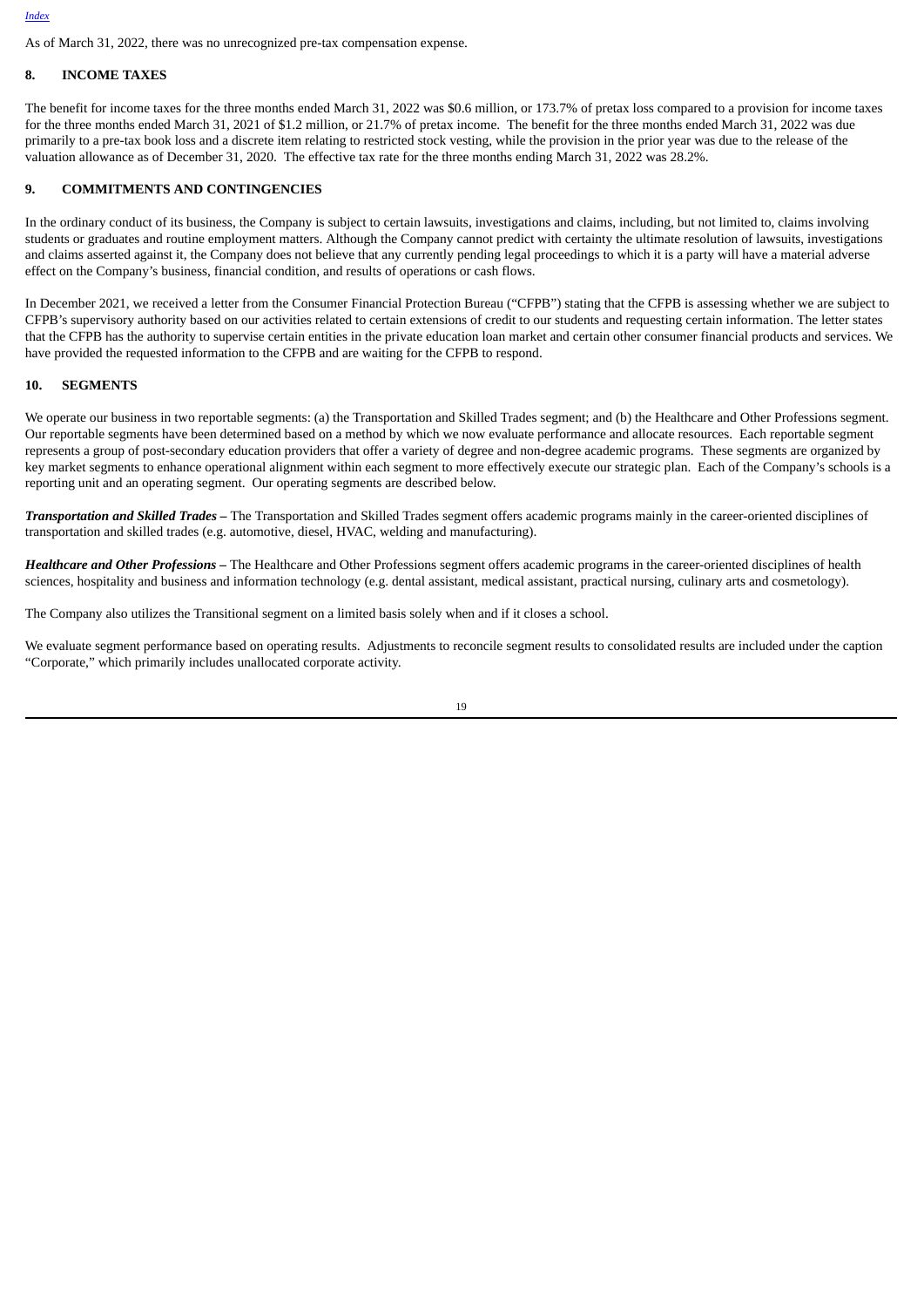As of March 31, 2022, there was no unrecognized pre-tax compensation expense.

#### **8. INCOME TAXES**

The benefit for income taxes for the three months ended March 31, 2022 was \$0.6 million, or 173.7% of pretax loss compared to a provision for income taxes for the three months ended March 31, 2021 of \$1.2 million, or 21.7% of pretax income. The benefit for the three months ended March 31, 2022 was due primarily to a pre-tax book loss and a discrete item relating to restricted stock vesting, while the provision in the prior year was due to the release of the valuation allowance as of December 31, 2020. The effective tax rate for the three months ending March 31, 2022 was 28.2%.

#### **9. COMMITMENTS AND CONTINGENCIES**

In the ordinary conduct of its business, the Company is subject to certain lawsuits, investigations and claims, including, but not limited to, claims involving students or graduates and routine employment matters. Although the Company cannot predict with certainty the ultimate resolution of lawsuits, investigations and claims asserted against it, the Company does not believe that any currently pending legal proceedings to which it is a party will have a material adverse effect on the Company's business, financial condition, and results of operations or cash flows.

In December 2021, we received a letter from the Consumer Financial Protection Bureau ("CFPB") stating that the CFPB is assessing whether we are subject to CFPB's supervisory authority based on our activities related to certain extensions of credit to our students and requesting certain information. The letter states that the CFPB has the authority to supervise certain entities in the private education loan market and certain other consumer financial products and services. We have provided the requested information to the CFPB and are waiting for the CFPB to respond.

#### **10. SEGMENTS**

We operate our business in two reportable segments: (a) the Transportation and Skilled Trades segment; and (b) the Healthcare and Other Professions segment. Our reportable segments have been determined based on a method by which we now evaluate performance and allocate resources. Each reportable segment represents a group of post-secondary education providers that offer a variety of degree and non-degree academic programs. These segments are organized by key market segments to enhance operational alignment within each segment to more effectively execute our strategic plan. Each of the Company's schools is a reporting unit and an operating segment. Our operating segments are described below.

*Transportation and Skilled Trades –* The Transportation and Skilled Trades segment offers academic programs mainly in the career-oriented disciplines of transportation and skilled trades (e.g. automotive, diesel, HVAC, welding and manufacturing).

*Healthcare and Other Professions –* The Healthcare and Other Professions segment offers academic programs in the career-oriented disciplines of health sciences, hospitality and business and information technology (e.g. dental assistant, medical assistant, practical nursing, culinary arts and cosmetology).

The Company also utilizes the Transitional segment on a limited basis solely when and if it closes a school.

We evaluate segment performance based on operating results. Adjustments to reconcile segment results to consolidated results are included under the caption "Corporate," which primarily includes unallocated corporate activity.

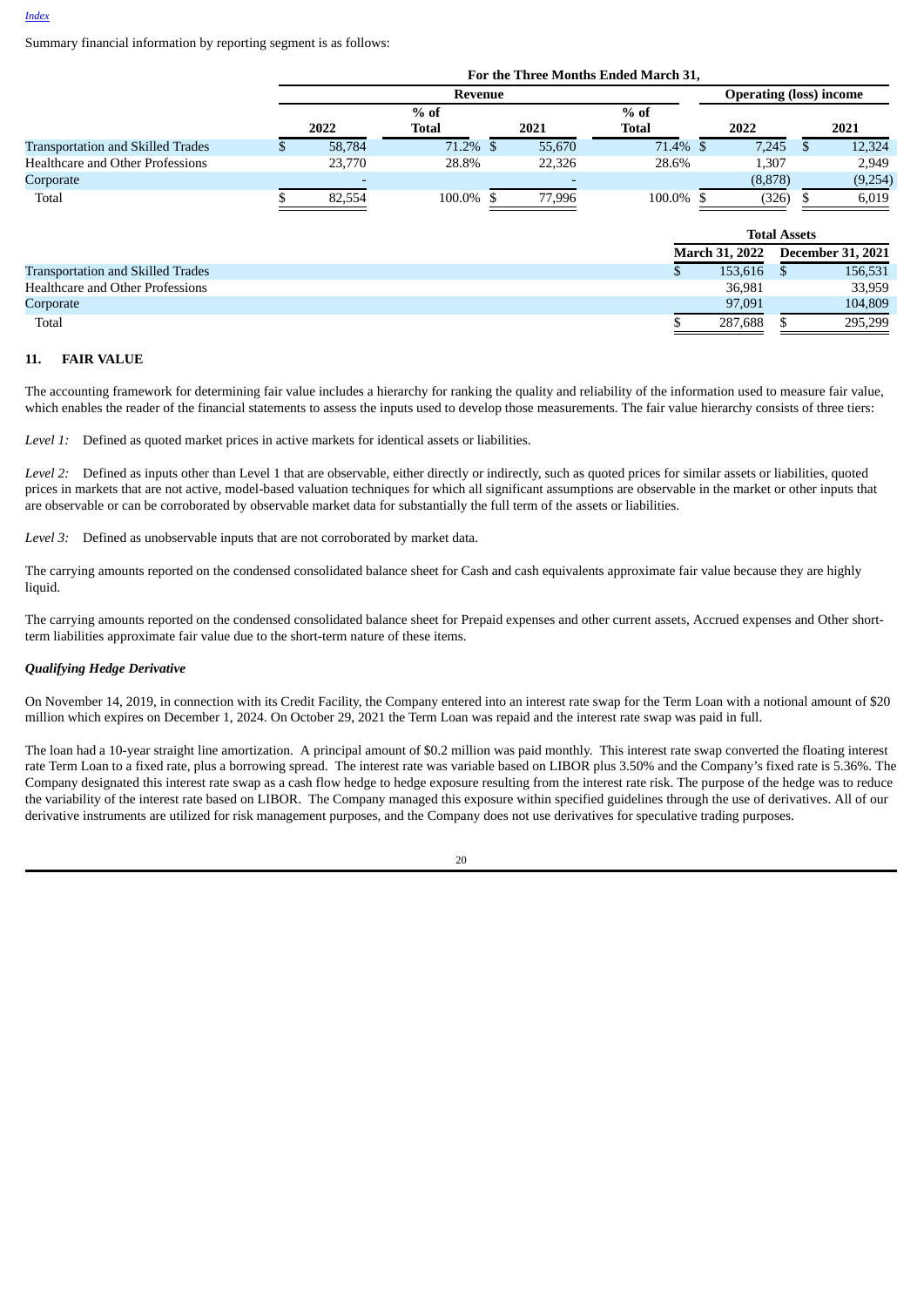Summary financial information by reporting segment is as follows:

|                                          |    |         |              |        | For the Three Months Ended March 31, |                       |                                |                          |
|------------------------------------------|----|---------|--------------|--------|--------------------------------------|-----------------------|--------------------------------|--------------------------|
|                                          |    | Revenue |              |        |                                      |                       | <b>Operating (loss) income</b> |                          |
|                                          |    |         | $%$ of       |        | $%$ of                               |                       |                                |                          |
|                                          |    | 2022    | <b>Total</b> | 2021   | <b>Total</b>                         | 2022                  |                                | 2021                     |
| <b>Transportation and Skilled Trades</b> | S. | 58,784  | 71.2% \$     | 55,670 | 71.4% \$                             | 7,245                 | S                              | 12,324                   |
| Healthcare and Other Professions         |    | 23,770  | 28.8%        | 22,326 | 28.6%                                | 1,307                 |                                | 2,949                    |
| Corporate                                |    |         |              |        |                                      | (8,878)               |                                | (9,254)                  |
| Total                                    |    | 82,554  | 100.0%       | 77,996 | 100.0%                               |                       | (326)                          | 6,019                    |
|                                          |    |         |              |        |                                      |                       | <b>Total Assets</b>            |                          |
|                                          |    |         |              |        |                                      | <b>March 31, 2022</b> |                                | <b>December 31, 2021</b> |
| <b>Transportation and Skilled Trades</b> |    |         |              |        | \$                                   | 153.616               | S                              | 156,531                  |
| Healthcare and Other Professions         |    |         |              |        |                                      | 36.981                |                                | 33,959                   |
| Corporate                                |    |         |              |        |                                      | 97,091                |                                | 104,809                  |
| Total                                    |    |         |              |        |                                      | 287,688               |                                | 295,299                  |

#### **11. FAIR VALUE**

The accounting framework for determining fair value includes a hierarchy for ranking the quality and reliability of the information used to measure fair value, which enables the reader of the financial statements to assess the inputs used to develop those measurements. The fair value hierarchy consists of three tiers:

*Level 1:* Defined as quoted market prices in active markets for identical assets or liabilities.

*Level 2:* Defined as inputs other than Level 1 that are observable, either directly or indirectly, such as quoted prices for similar assets or liabilities, quoted prices in markets that are not active, model-based valuation techniques for which all significant assumptions are observable in the market or other inputs that are observable or can be corroborated by observable market data for substantially the full term of the assets or liabilities.

*Level 3:* Defined as unobservable inputs that are not corroborated by market data.

The carrying amounts reported on the condensed consolidated balance sheet for Cash and cash equivalents approximate fair value because they are highly liquid.

The carrying amounts reported on the condensed consolidated balance sheet for Prepaid expenses and other current assets, Accrued expenses and Other shortterm liabilities approximate fair value due to the short-term nature of these items.

### *Qualifying Hedge Derivative*

On November 14, 2019, in connection with its Credit Facility, the Company entered into an interest rate swap for the Term Loan with a notional amount of \$20 million which expires on December 1, 2024. On October 29, 2021 the Term Loan was repaid and the interest rate swap was paid in full.

The loan had a 10-year straight line amortization. A principal amount of \$0.2 million was paid monthly. This interest rate swap converted the floating interest rate Term Loan to a fixed rate, plus a borrowing spread. The interest rate was variable based on LIBOR plus 3.50% and the Company's fixed rate is 5.36%. The Company designated this interest rate swap as a cash flow hedge to hedge exposure resulting from the interest rate risk. The purpose of the hedge was to reduce the variability of the interest rate based on LIBOR. The Company managed this exposure within specified guidelines through the use of derivatives. All of our derivative instruments are utilized for risk management purposes, and the Company does not use derivatives for speculative trading purposes.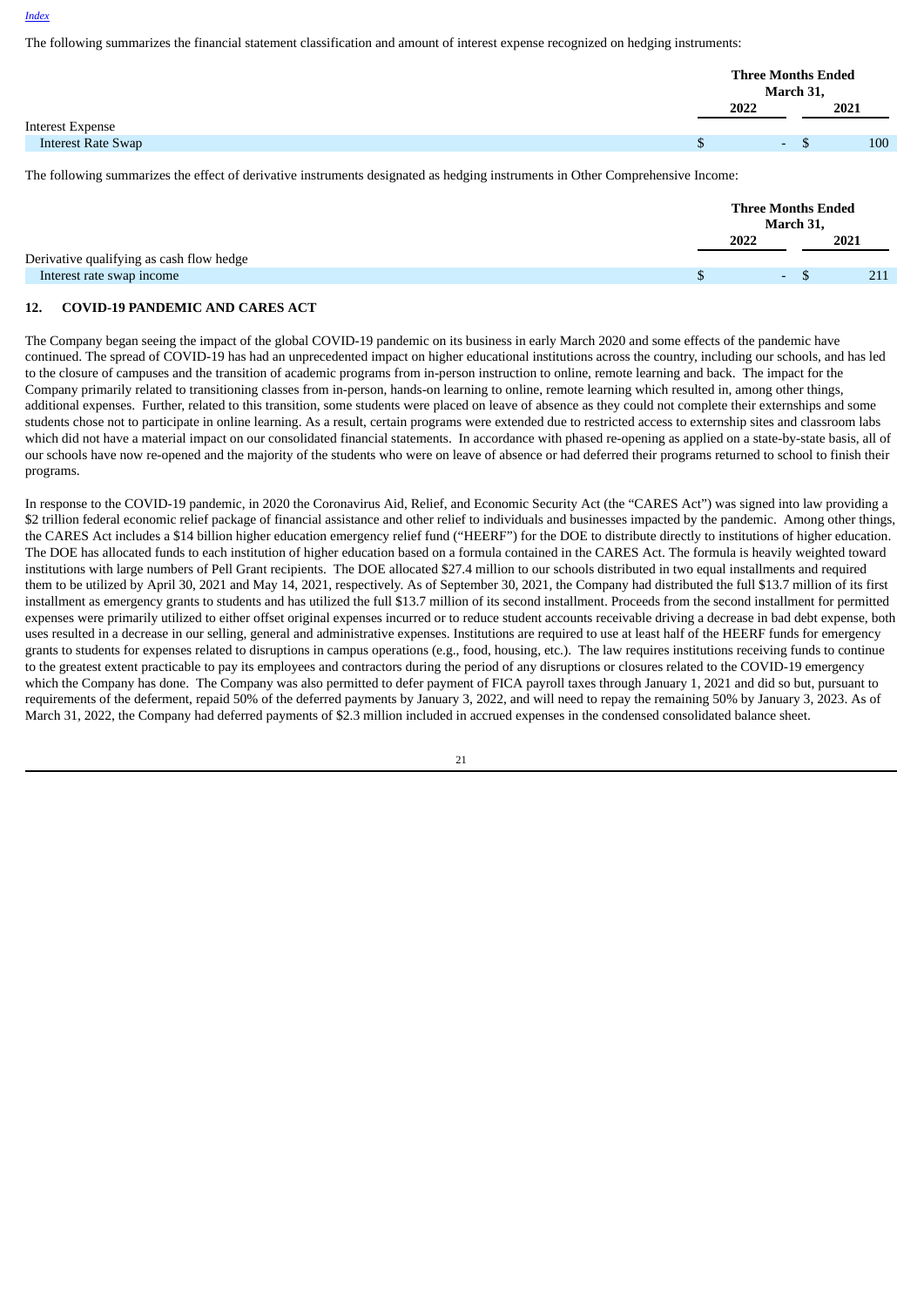The following summarizes the financial statement classification and amount of interest expense recognized on hedging instruments:

|                           | <b>Three Months Ended</b><br>March 31, |      |
|---------------------------|----------------------------------------|------|
|                           | 2022                                   | 2021 |
| Interest Expense          |                                        |      |
| <b>Interest Rate Swap</b> | <b>Section</b>                         | 100  |
|                           |                                        |      |

The following summarizes the effect of derivative instruments designated as hedging instruments in Other Comprehensive Income:

|                                          | <b>Three Months Ended</b><br>March 31, |      |
|------------------------------------------|----------------------------------------|------|
|                                          | 2022                                   | 2021 |
| Derivative qualifying as cash flow hedge |                                        |      |
| Interest rate swap income                | <b>Section</b>                         | 211  |
|                                          |                                        |      |

#### **12. COVID-19 PANDEMIC AND CARES ACT**

The Company began seeing the impact of the global COVID-19 pandemic on its business in early March 2020 and some effects of the pandemic have continued. The spread of COVID-19 has had an unprecedented impact on higher educational institutions across the country, including our schools, and has led to the closure of campuses and the transition of academic programs from in-person instruction to online, remote learning and back. The impact for the Company primarily related to transitioning classes from in-person, hands-on learning to online, remote learning which resulted in, among other things, additional expenses. Further, related to this transition, some students were placed on leave of absence as they could not complete their externships and some students chose not to participate in online learning. As a result, certain programs were extended due to restricted access to externship sites and classroom labs which did not have a material impact on our consolidated financial statements. In accordance with phased re-opening as applied on a state-by-state basis, all of our schools have now re-opened and the majority of the students who were on leave of absence or had deferred their programs returned to school to finish their programs.

In response to the COVID-19 pandemic, in 2020 the Coronavirus Aid, Relief, and Economic Security Act (the "CARES Act") was signed into law providing a \$2 trillion federal economic relief package of financial assistance and other relief to individuals and businesses impacted by the pandemic. Among other things, the CARES Act includes a \$14 billion higher education emergency relief fund ("HEERF") for the DOE to distribute directly to institutions of higher education. The DOE has allocated funds to each institution of higher education based on a formula contained in the CARES Act. The formula is heavily weighted toward institutions with large numbers of Pell Grant recipients. The DOE allocated \$27.4 million to our schools distributed in two equal installments and required them to be utilized by April 30, 2021 and May 14, 2021, respectively. As of September 30, 2021, the Company had distributed the full \$13.7 million of its first installment as emergency grants to students and has utilized the full \$13.7 million of its second installment. Proceeds from the second installment for permitted expenses were primarily utilized to either offset original expenses incurred or to reduce student accounts receivable driving a decrease in bad debt expense, both uses resulted in a decrease in our selling, general and administrative expenses. Institutions are required to use at least half of the HEERF funds for emergency grants to students for expenses related to disruptions in campus operations (e.g., food, housing, etc.). The law requires institutions receiving funds to continue to the greatest extent practicable to pay its employees and contractors during the period of any disruptions or closures related to the COVID-19 emergency which the Company has done. The Company was also permitted to defer payment of FICA payroll taxes through January 1, 2021 and did so but, pursuant to requirements of the deferment, repaid 50% of the deferred payments by January 3, 2022, and will need to repay the remaining 50% by January 3, 2023. As of March 31, 2022, the Company had deferred payments of \$2.3 million included in accrued expenses in the condensed consolidated balance sheet.

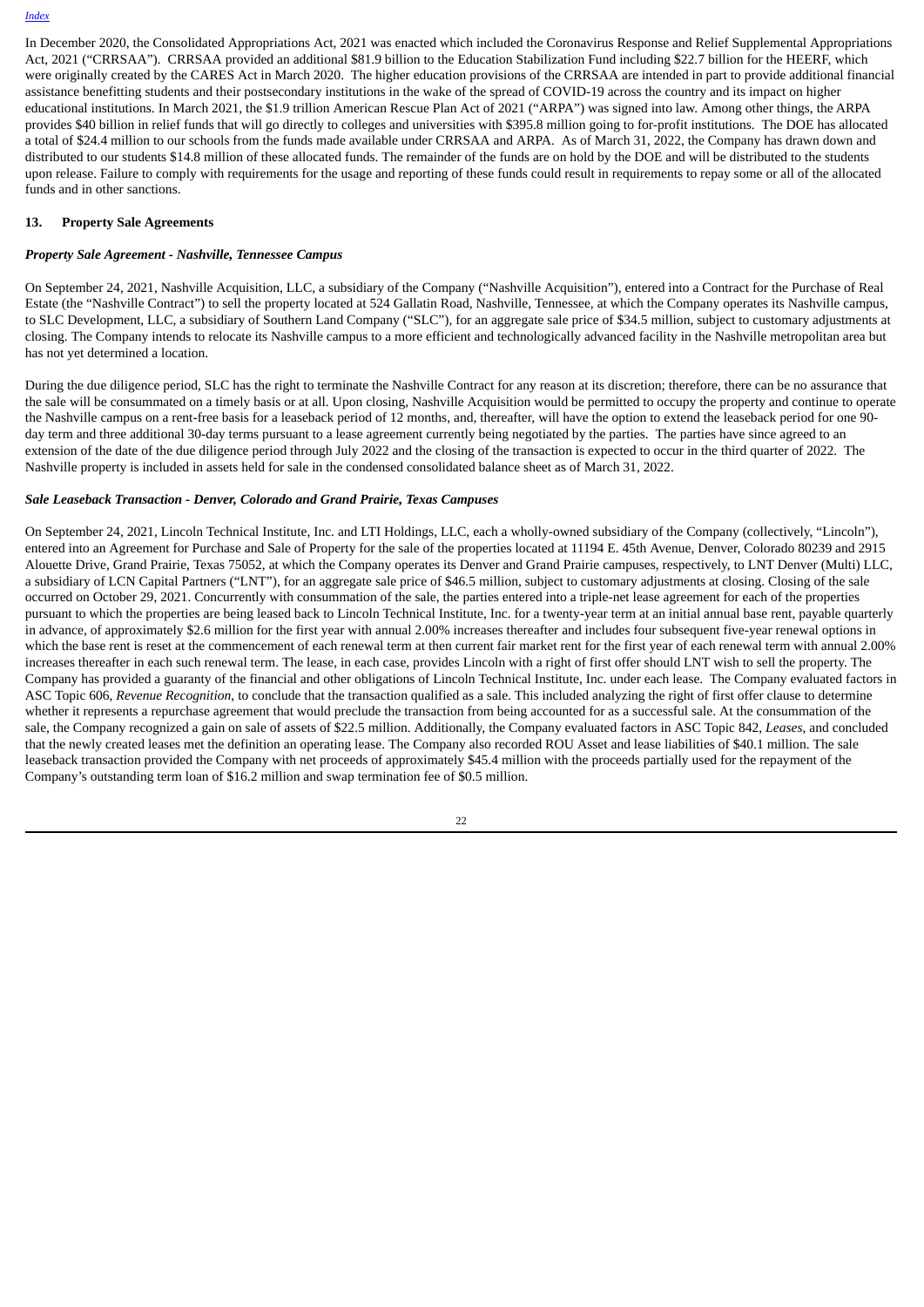In December 2020, the Consolidated Appropriations Act, 2021 was enacted which included the Coronavirus Response and Relief Supplemental Appropriations Act, 2021 ("CRRSAA"). CRRSAA provided an additional \$81.9 billion to the Education Stabilization Fund including \$22.7 billion for the HEERF, which were originally created by the CARES Act in March 2020. The higher education provisions of the CRRSAA are intended in part to provide additional financial assistance benefitting students and their postsecondary institutions in the wake of the spread of COVID-19 across the country and its impact on higher educational institutions. In March 2021, the \$1.9 trillion American Rescue Plan Act of 2021 ("ARPA") was signed into law. Among other things, the ARPA provides \$40 billion in relief funds that will go directly to colleges and universities with \$395.8 million going to for-profit institutions. The DOE has allocated a total of \$24.4 million to our schools from the funds made available under CRRSAA and ARPA. As of March 31, 2022, the Company has drawn down and distributed to our students \$14.8 million of these allocated funds. The remainder of the funds are on hold by the DOE and will be distributed to the students upon release. Failure to comply with requirements for the usage and reporting of these funds could result in requirements to repay some or all of the allocated funds and in other sanctions.

#### **13. Property Sale Agreements**

#### *Property Sale Agreement - Nashville, Tennessee Campus*

On September 24, 2021, Nashville Acquisition, LLC, a subsidiary of the Company ("Nashville Acquisition"), entered into a Contract for the Purchase of Real Estate (the "Nashville Contract") to sell the property located at 524 Gallatin Road, Nashville, Tennessee, at which the Company operates its Nashville campus, to SLC Development, LLC, a subsidiary of Southern Land Company ("SLC"), for an aggregate sale price of \$34.5 million, subject to customary adjustments at closing. The Company intends to relocate its Nashville campus to a more efficient and technologically advanced facility in the Nashville metropolitan area but has not yet determined a location.

During the due diligence period, SLC has the right to terminate the Nashville Contract for any reason at its discretion; therefore, there can be no assurance that the sale will be consummated on a timely basis or at all. Upon closing, Nashville Acquisition would be permitted to occupy the property and continue to operate the Nashville campus on a rent-free basis for a leaseback period of 12 months, and, thereafter, will have the option to extend the leaseback period for one 90 day term and three additional 30-day terms pursuant to a lease agreement currently being negotiated by the parties. The parties have since agreed to an extension of the date of the due diligence period through July 2022 and the closing of the transaction is expected to occur in the third quarter of 2022. The Nashville property is included in assets held for sale in the condensed consolidated balance sheet as of March 31, 2022.

#### *Sale Leaseback Transaction - Denver, Colorado and Grand Prairie, Texas Campuses*

On September 24, 2021, Lincoln Technical Institute, Inc. and LTI Holdings, LLC, each a wholly-owned subsidiary of the Company (collectively, "Lincoln"), entered into an Agreement for Purchase and Sale of Property for the sale of the properties located at 11194 E. 45th Avenue, Denver, Colorado 80239 and 2915 Alouette Drive, Grand Prairie, Texas 75052, at which the Company operates its Denver and Grand Prairie campuses, respectively, to LNT Denver (Multi) LLC, a subsidiary of LCN Capital Partners ("LNT"), for an aggregate sale price of \$46.5 million, subject to customary adjustments at closing. Closing of the sale occurred on October 29, 2021. Concurrently with consummation of the sale, the parties entered into a triple-net lease agreement for each of the properties pursuant to which the properties are being leased back to Lincoln Technical Institute, Inc. for a twenty-year term at an initial annual base rent, payable quarterly in advance, of approximately \$2.6 million for the first year with annual 2.00% increases thereafter and includes four subsequent five-year renewal options in which the base rent is reset at the commencement of each renewal term at then current fair market rent for the first year of each renewal term with annual 2.00% increases thereafter in each such renewal term. The lease, in each case, provides Lincoln with a right of first offer should LNT wish to sell the property. The Company has provided a guaranty of the financial and other obligations of Lincoln Technical Institute, Inc. under each lease. The Company evaluated factors in ASC Topic 606, *Revenue Recognition*, to conclude that the transaction qualified as a sale. This included analyzing the right of first offer clause to determine whether it represents a repurchase agreement that would preclude the transaction from being accounted for as a successful sale. At the consummation of the sale, the Company recognized a gain on sale of assets of \$22.5 million. Additionally, the Company evaluated factors in ASC Topic 842, *Leases*, and concluded that the newly created leases met the definition an operating lease. The Company also recorded ROU Asset and lease liabilities of \$40.1 million. The sale leaseback transaction provided the Company with net proceeds of approximately \$45.4 million with the proceeds partially used for the repayment of the Company's outstanding term loan of \$16.2 million and swap termination fee of \$0.5 million.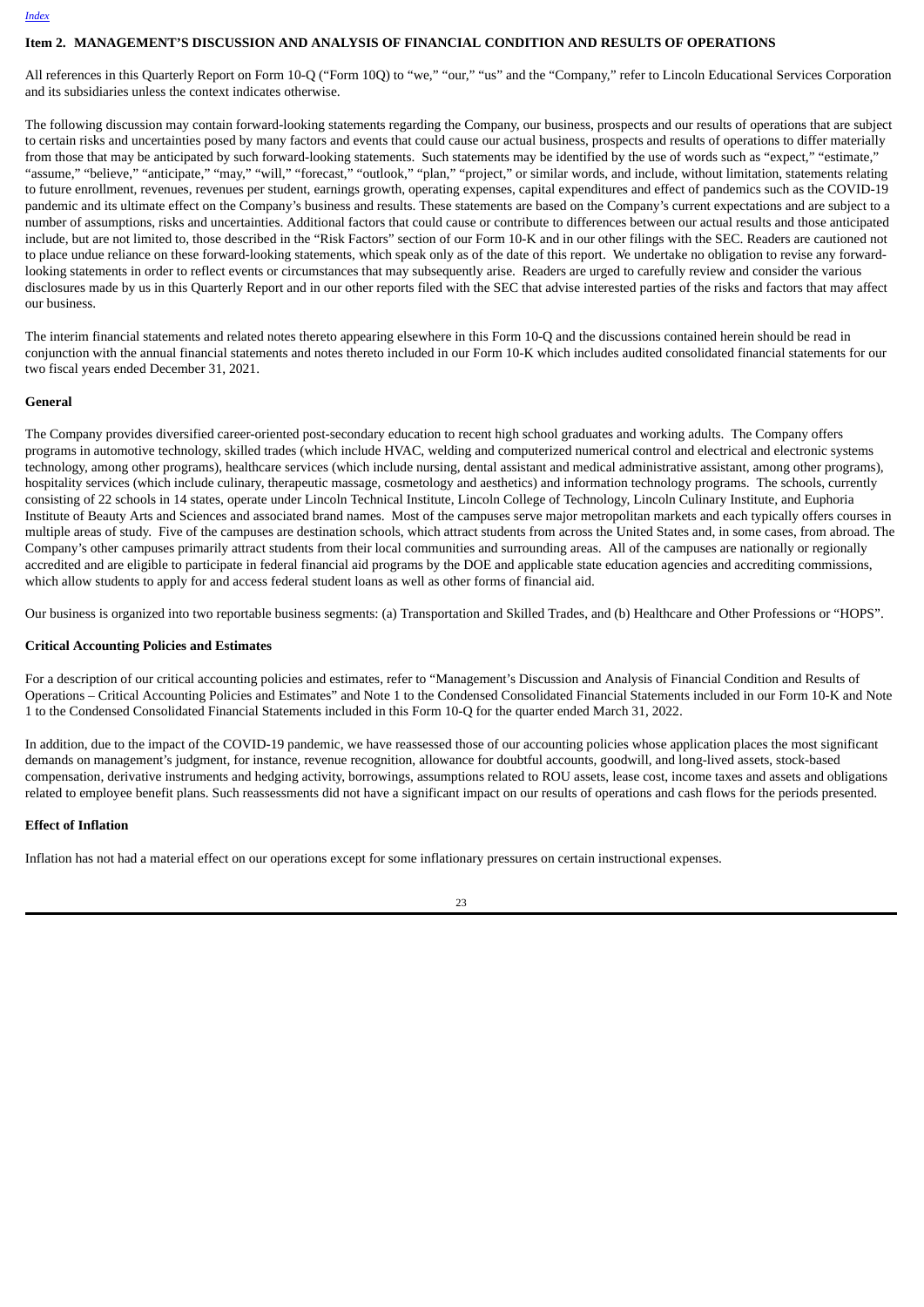#### <span id="page-24-0"></span>**Item 2. MANAGEMENT'S DISCUSSION AND ANALYSIS OF FINANCIAL CONDITION AND RESULTS OF OPERATIONS**

All references in this Quarterly Report on Form 10-Q ("Form 10Q) to "we," "our," "us" and the "Company," refer to Lincoln Educational Services Corporation and its subsidiaries unless the context indicates otherwise.

The following discussion may contain forward-looking statements regarding the Company, our business, prospects and our results of operations that are subject to certain risks and uncertainties posed by many factors and events that could cause our actual business, prospects and results of operations to differ materially from those that may be anticipated by such forward-looking statements. Such statements may be identified by the use of words such as "expect," "estimate," "assume," "believe," "anticipate," "may," "will," "forecast," "outlook," "plan," "project," or similar words, and include, without limitation, statements relating to future enrollment, revenues, revenues per student, earnings growth, operating expenses, capital expenditures and effect of pandemics such as the COVID-19 pandemic and its ultimate effect on the Company's business and results. These statements are based on the Company's current expectations and are subject to a number of assumptions, risks and uncertainties. Additional factors that could cause or contribute to differences between our actual results and those anticipated include, but are not limited to, those described in the "Risk Factors" section of our Form 10-K and in our other filings with the SEC. Readers are cautioned not to place undue reliance on these forward-looking statements, which speak only as of the date of this report. We undertake no obligation to revise any forwardlooking statements in order to reflect events or circumstances that may subsequently arise. Readers are urged to carefully review and consider the various disclosures made by us in this Quarterly Report and in our other reports filed with the SEC that advise interested parties of the risks and factors that may affect our business.

The interim financial statements and related notes thereto appearing elsewhere in this Form 10-Q and the discussions contained herein should be read in conjunction with the annual financial statements and notes thereto included in our Form 10-K which includes audited consolidated financial statements for our two fiscal years ended December 31, 2021.

#### **General**

The Company provides diversified career-oriented post-secondary education to recent high school graduates and working adults. The Company offers programs in automotive technology, skilled trades (which include HVAC, welding and computerized numerical control and electrical and electronic systems technology, among other programs), healthcare services (which include nursing, dental assistant and medical administrative assistant, among other programs), hospitality services (which include culinary, therapeutic massage, cosmetology and aesthetics) and information technology programs. The schools, currently consisting of 22 schools in 14 states, operate under Lincoln Technical Institute, Lincoln College of Technology, Lincoln Culinary Institute, and Euphoria Institute of Beauty Arts and Sciences and associated brand names. Most of the campuses serve major metropolitan markets and each typically offers courses in multiple areas of study. Five of the campuses are destination schools, which attract students from across the United States and, in some cases, from abroad. The Company's other campuses primarily attract students from their local communities and surrounding areas. All of the campuses are nationally or regionally accredited and are eligible to participate in federal financial aid programs by the DOE and applicable state education agencies and accrediting commissions, which allow students to apply for and access federal student loans as well as other forms of financial aid.

Our business is organized into two reportable business segments: (a) Transportation and Skilled Trades, and (b) Healthcare and Other Professions or "HOPS".

#### **Critical Accounting Policies and Estimates**

For a description of our critical accounting policies and estimates, refer to "Management's Discussion and Analysis of Financial Condition and Results of Operations – Critical Accounting Policies and Estimates" and Note 1 to the Condensed Consolidated Financial Statements included in our Form 10-K and Note 1 to the Condensed Consolidated Financial Statements included in this Form 10-Q for the quarter ended March 31, 2022.

In addition, due to the impact of the COVID-19 pandemic, we have reassessed those of our accounting policies whose application places the most significant demands on management's judgment, for instance, revenue recognition, allowance for doubtful accounts, goodwill, and long-lived assets, stock-based compensation, derivative instruments and hedging activity, borrowings, assumptions related to ROU assets, lease cost, income taxes and assets and obligations related to employee benefit plans. Such reassessments did not have a significant impact on our results of operations and cash flows for the periods presented.

#### **Effect of Inflation**

Inflation has not had a material effect on our operations except for some inflationary pressures on certain instructional expenses.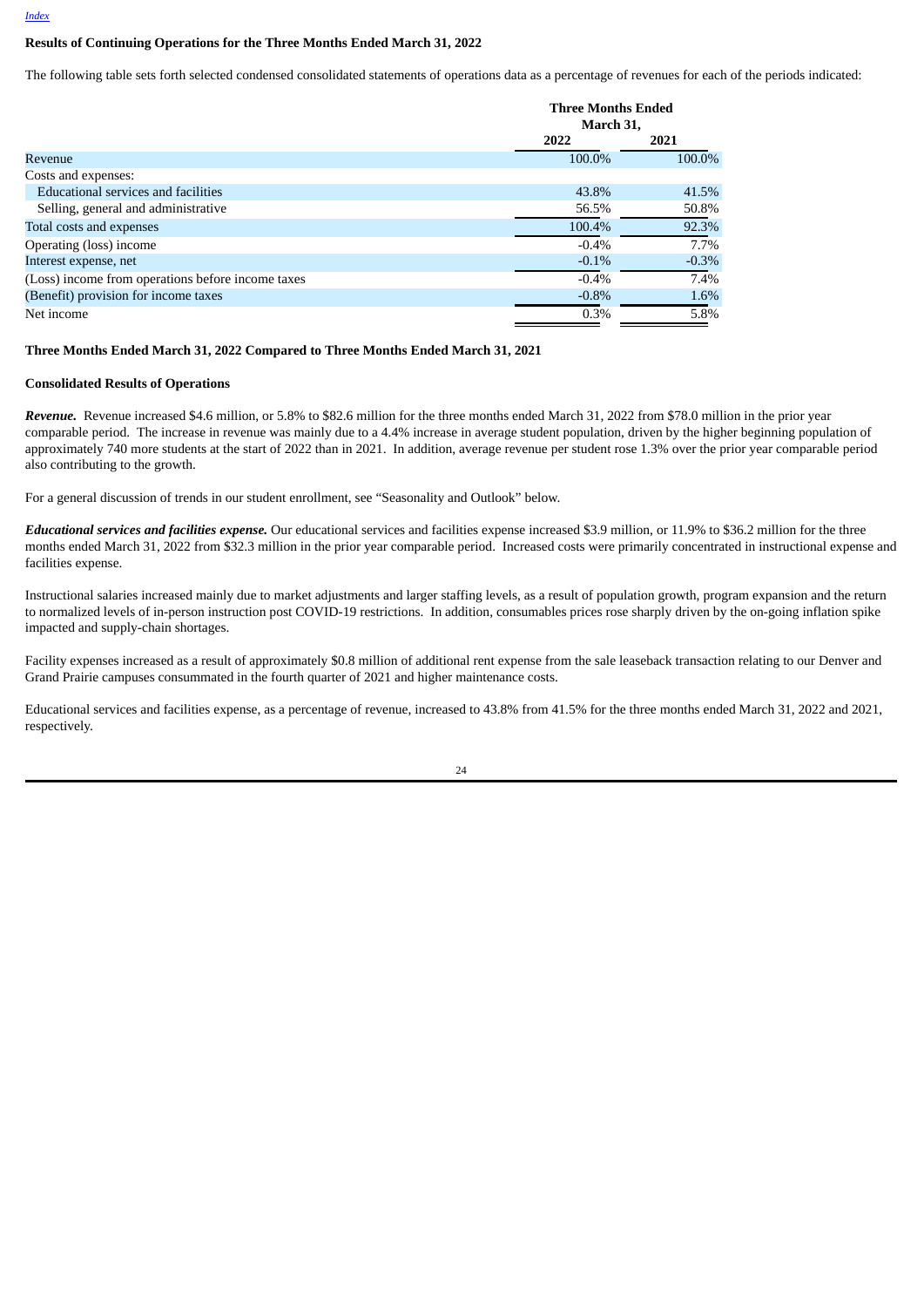#### **Results of Continuing Operations for the Three Months Ended March 31, 2022**

The following table sets forth selected condensed consolidated statements of operations data as a percentage of revenues for each of the periods indicated:

|                                                   | <b>Three Months Ended</b><br>March 31, |         |
|---------------------------------------------------|----------------------------------------|---------|
|                                                   | 2022                                   | 2021    |
| Revenue                                           | 100.0%                                 | 100.0%  |
| Costs and expenses:                               |                                        |         |
| <b>Educational services and facilities</b>        | 43.8%                                  | 41.5%   |
| Selling, general and administrative               | 56.5%                                  | 50.8%   |
| Total costs and expenses                          | 100.4%                                 | 92.3%   |
| Operating (loss) income                           | $-0.4\%$                               | 7.7%    |
| Interest expense, net                             | $-0.1\%$                               | $-0.3%$ |
| (Loss) income from operations before income taxes | $-0.4%$                                | 7.4%    |
| (Benefit) provision for income taxes              | $-0.8%$                                | 1.6%    |
| Net income                                        | 0.3%                                   | 5.8%    |

### **Three Months Ended March 31, 2022 Compared to Three Months Ended March 31, 2021**

#### **Consolidated Results of Operations**

*Revenue.* Revenue increased \$4.6 million, or 5.8% to \$82.6 million for the three months ended March 31, 2022 from \$78.0 million in the prior year comparable period. The increase in revenue was mainly due to a 4.4% increase in average student population, driven by the higher beginning population of approximately 740 more students at the start of 2022 than in 2021. In addition, average revenue per student rose 1.3% over the prior year comparable period also contributing to the growth.

For a general discussion of trends in our student enrollment, see "Seasonality and Outlook" below.

*Educational services and facilities expense.* Our educational services and facilities expense increased \$3.9 million, or 11.9% to \$36.2 million for the three months ended March 31, 2022 from \$32.3 million in the prior year comparable period. Increased costs were primarily concentrated in instructional expense and facilities expense.

Instructional salaries increased mainly due to market adjustments and larger staffing levels, as a result of population growth, program expansion and the return to normalized levels of in-person instruction post COVID-19 restrictions. In addition, consumables prices rose sharply driven by the on-going inflation spike impacted and supply-chain shortages.

Facility expenses increased as a result of approximately \$0.8 million of additional rent expense from the sale leaseback transaction relating to our Denver and Grand Prairie campuses consummated in the fourth quarter of 2021 and higher maintenance costs.

Educational services and facilities expense, as a percentage of revenue, increased to 43.8% from 41.5% for the three months ended March 31, 2022 and 2021, respectively.

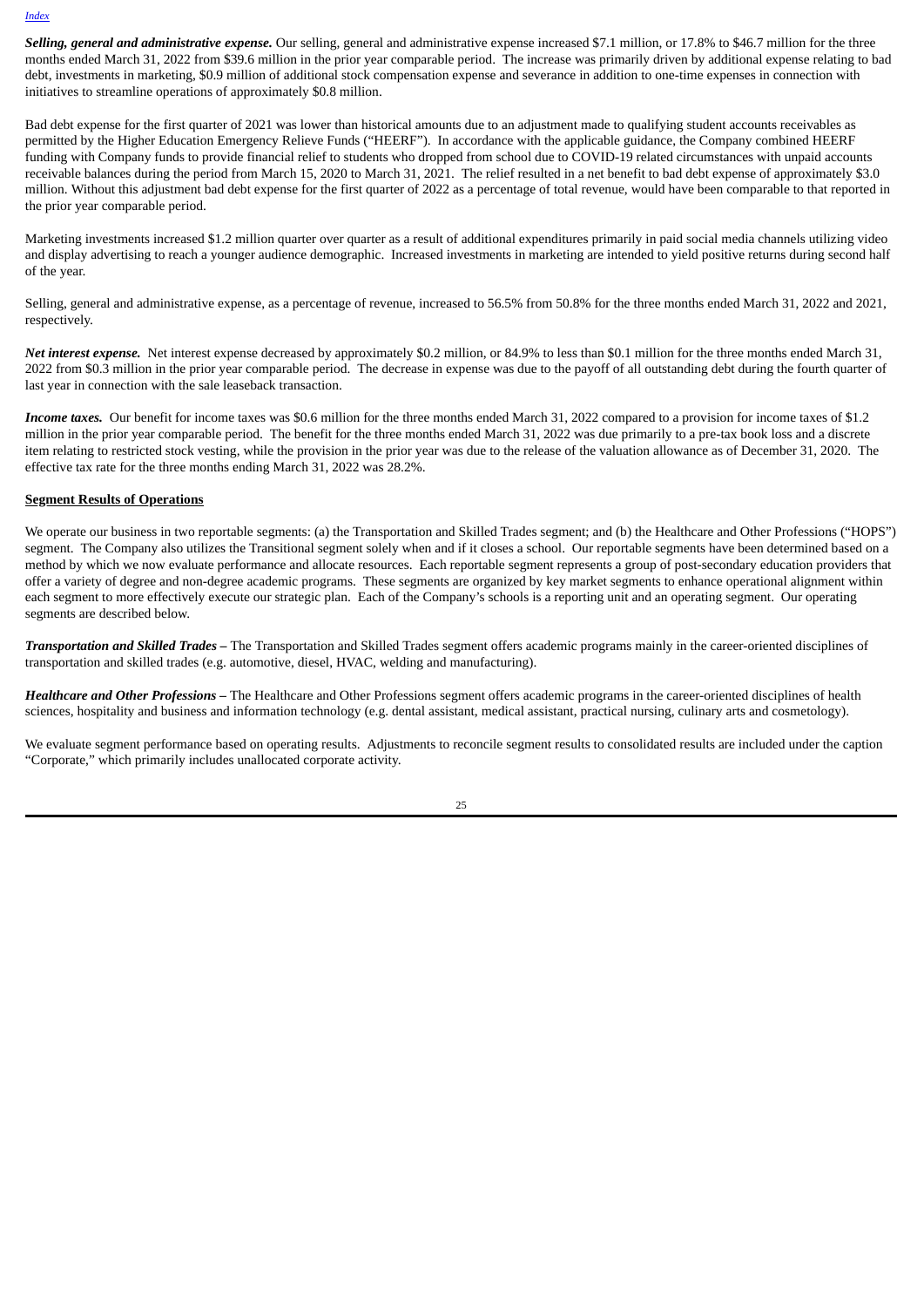*Selling, general and administrative expense.* Our selling, general and administrative expense increased \$7.1 million, or 17.8% to \$46.7 million for the three months ended March 31, 2022 from \$39.6 million in the prior year comparable period. The increase was primarily driven by additional expense relating to bad debt, investments in marketing, \$0.9 million of additional stock compensation expense and severance in addition to one-time expenses in connection with initiatives to streamline operations of approximately \$0.8 million.

Bad debt expense for the first quarter of 2021 was lower than historical amounts due to an adjustment made to qualifying student accounts receivables as permitted by the Higher Education Emergency Relieve Funds ("HEERF"). In accordance with the applicable guidance, the Company combined HEERF funding with Company funds to provide financial relief to students who dropped from school due to COVID-19 related circumstances with unpaid accounts receivable balances during the period from March 15, 2020 to March 31, 2021. The relief resulted in a net benefit to bad debt expense of approximately \$3.0 million. Without this adjustment bad debt expense for the first quarter of 2022 as a percentage of total revenue, would have been comparable to that reported in the prior year comparable period.

Marketing investments increased \$1.2 million quarter over quarter as a result of additional expenditures primarily in paid social media channels utilizing video and display advertising to reach a younger audience demographic. Increased investments in marketing are intended to yield positive returns during second half of the year.

Selling, general and administrative expense, as a percentage of revenue, increased to 56.5% from 50.8% for the three months ended March 31, 2022 and 2021, respectively.

*Net interest expense.* Net interest expense decreased by approximately \$0.2 million, or 84.9% to less than \$0.1 million for the three months ended March 31, 2022 from \$0.3 million in the prior year comparable period. The decrease in expense was due to the payoff of all outstanding debt during the fourth quarter of last year in connection with the sale leaseback transaction.

*Income taxes.* Our benefit for income taxes was \$0.6 million for the three months ended March 31, 2022 compared to a provision for income taxes of \$1.2 million in the prior year comparable period. The benefit for the three months ended March 31, 2022 was due primarily to a pre-tax book loss and a discrete item relating to restricted stock vesting, while the provision in the prior year was due to the release of the valuation allowance as of December 31, 2020. The effective tax rate for the three months ending March 31, 2022 was 28.2%.

#### **Segment Results of Operations**

We operate our business in two reportable segments: (a) the Transportation and Skilled Trades segment; and (b) the Healthcare and Other Professions ("HOPS") segment. The Company also utilizes the Transitional segment solely when and if it closes a school. Our reportable segments have been determined based on a method by which we now evaluate performance and allocate resources. Each reportable segment represents a group of post-secondary education providers that offer a variety of degree and non-degree academic programs. These segments are organized by key market segments to enhance operational alignment within each segment to more effectively execute our strategic plan. Each of the Company's schools is a reporting unit and an operating segment. Our operating segments are described below.

*Transportation and Skilled Trades –* The Transportation and Skilled Trades segment offers academic programs mainly in the career-oriented disciplines of transportation and skilled trades (e.g. automotive, diesel, HVAC, welding and manufacturing).

*Healthcare and Other Professions –* The Healthcare and Other Professions segment offers academic programs in the career-oriented disciplines of health sciences, hospitality and business and information technology (e.g. dental assistant, medical assistant, practical nursing, culinary arts and cosmetology).

We evaluate segment performance based on operating results. Adjustments to reconcile segment results to consolidated results are included under the caption "Corporate," which primarily includes unallocated corporate activity.

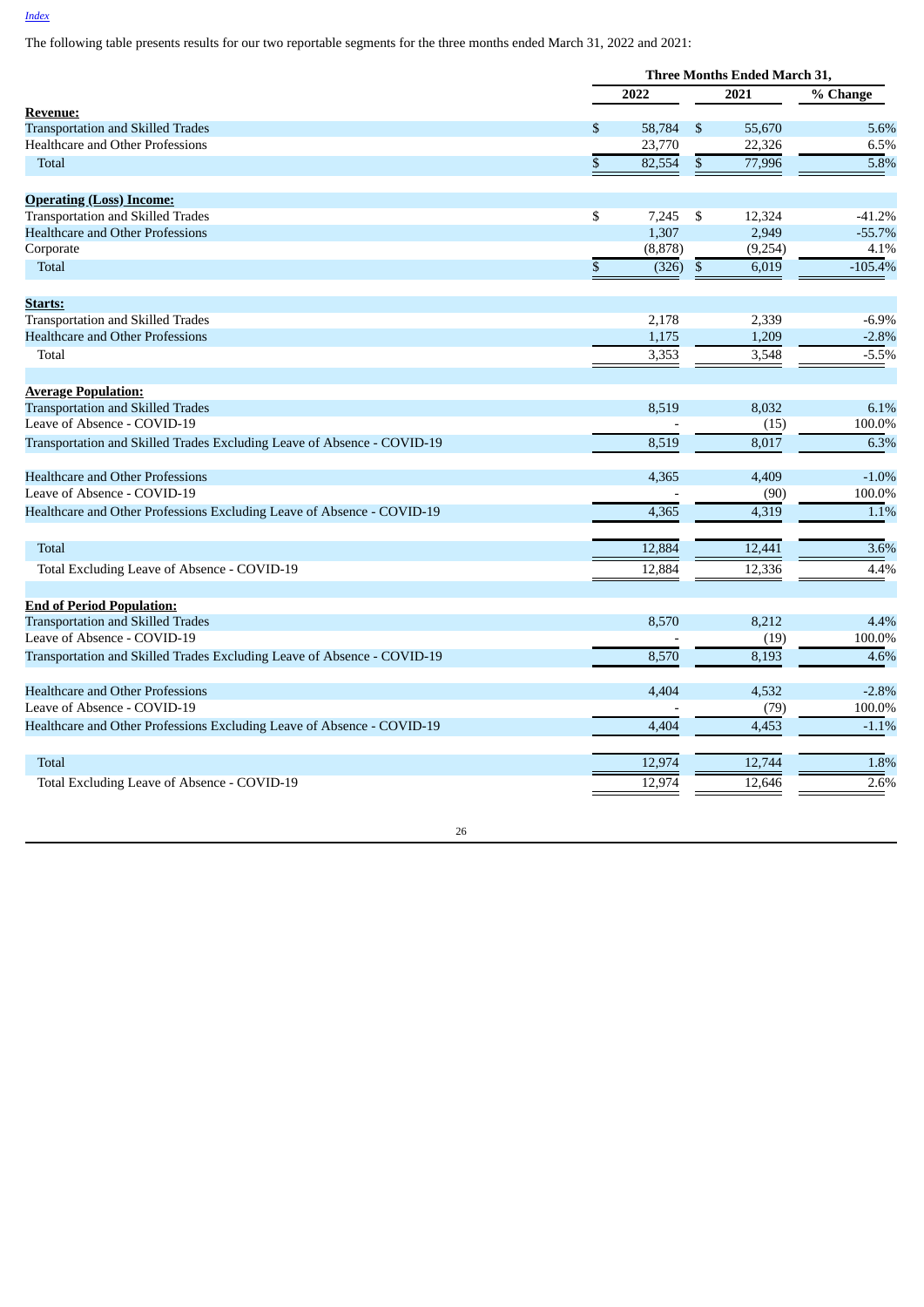The following table presents results for our two reportable segments for the three months ended March 31, 2022 and 2021:

|                                                                         |               | <b>Three Months Ended March 31,</b> |              |         |           |
|-------------------------------------------------------------------------|---------------|-------------------------------------|--------------|---------|-----------|
|                                                                         |               | 2022                                |              | 2021    | % Change  |
| <u>Revenue:</u>                                                         |               |                                     |              |         |           |
| <b>Transportation and Skilled Trades</b>                                | \$            | 58,784                              | \$           | 55,670  | 5.6%      |
| <b>Healthcare and Other Professions</b>                                 |               | 23,770                              |              | 22,326  | 6.5%      |
| <b>Total</b>                                                            | ${\mathbb S}$ | 82,554                              | $\$$         | 77,996  | 5.8%      |
| <b>Operating (Loss) Income:</b>                                         |               |                                     |              |         |           |
| <b>Transportation and Skilled Trades</b>                                | \$            | 7,245                               | \$           | 12,324  | $-41.2%$  |
| <b>Healthcare and Other Professions</b>                                 |               | 1,307                               |              | 2,949   | $-55.7%$  |
| Corporate                                                               |               | (8, 878)                            |              | (9,254) | 4.1%      |
| <b>Total</b>                                                            | $\mathbb{S}$  | (326)                               | $\mathbb{S}$ | 6,019   | $-105.4%$ |
| Starts:                                                                 |               |                                     |              |         |           |
| <b>Transportation and Skilled Trades</b>                                |               | 2,178                               |              | 2,339   | $-6.9%$   |
| <b>Healthcare and Other Professions</b>                                 |               | 1,175                               |              | 1,209   | $-2.8%$   |
| Total                                                                   |               | 3,353                               |              | 3,548   | $-5.5%$   |
| <b>Average Population:</b>                                              |               |                                     |              |         |           |
| <b>Transportation and Skilled Trades</b>                                |               | 8.519                               |              | 8,032   | 6.1%      |
| Leave of Absence - COVID-19                                             |               |                                     |              | (15)    | 100.0%    |
| Transportation and Skilled Trades Excluding Leave of Absence - COVID-19 |               | 8,519                               |              | 8,017   | 6.3%      |
| <b>Healthcare and Other Professions</b>                                 |               | 4,365                               |              | 4,409   | $-1.0%$   |
| Leave of Absence - COVID-19                                             |               |                                     |              | (90)    | 100.0%    |
| Healthcare and Other Professions Excluding Leave of Absence - COVID-19  |               | 4,365                               |              | 4,319   | 1.1%      |
| <b>Total</b>                                                            |               | 12,884                              |              | 12,441  | 3.6%      |
| Total Excluding Leave of Absence - COVID-19                             |               | 12,884                              |              | 12,336  | 4.4%      |
|                                                                         |               |                                     |              |         |           |
| <b>End of Period Population:</b>                                        |               |                                     |              |         |           |
| <b>Transportation and Skilled Trades</b>                                |               | 8,570                               |              | 8,212   | 4.4%      |
| Leave of Absence - COVID-19                                             |               |                                     |              | (19)    | 100.0%    |
| Transportation and Skilled Trades Excluding Leave of Absence - COVID-19 |               | 8,570                               |              | 8,193   | 4.6%      |
| <b>Healthcare and Other Professions</b>                                 |               | 4,404                               |              | 4,532   | $-2.8%$   |
| Leave of Absence - COVID-19                                             |               |                                     |              | (79)    | 100.0%    |
| Healthcare and Other Professions Excluding Leave of Absence - COVID-19  |               | 4,404                               |              | 4,453   | $-1.1%$   |
| <b>Total</b>                                                            |               | 12,974                              |              | 12,744  | 1.8%      |
| Total Excluding Leave of Absence - COVID-19                             |               | 12,974                              |              | 12,646  | 2.6%      |
|                                                                         |               |                                     |              |         |           |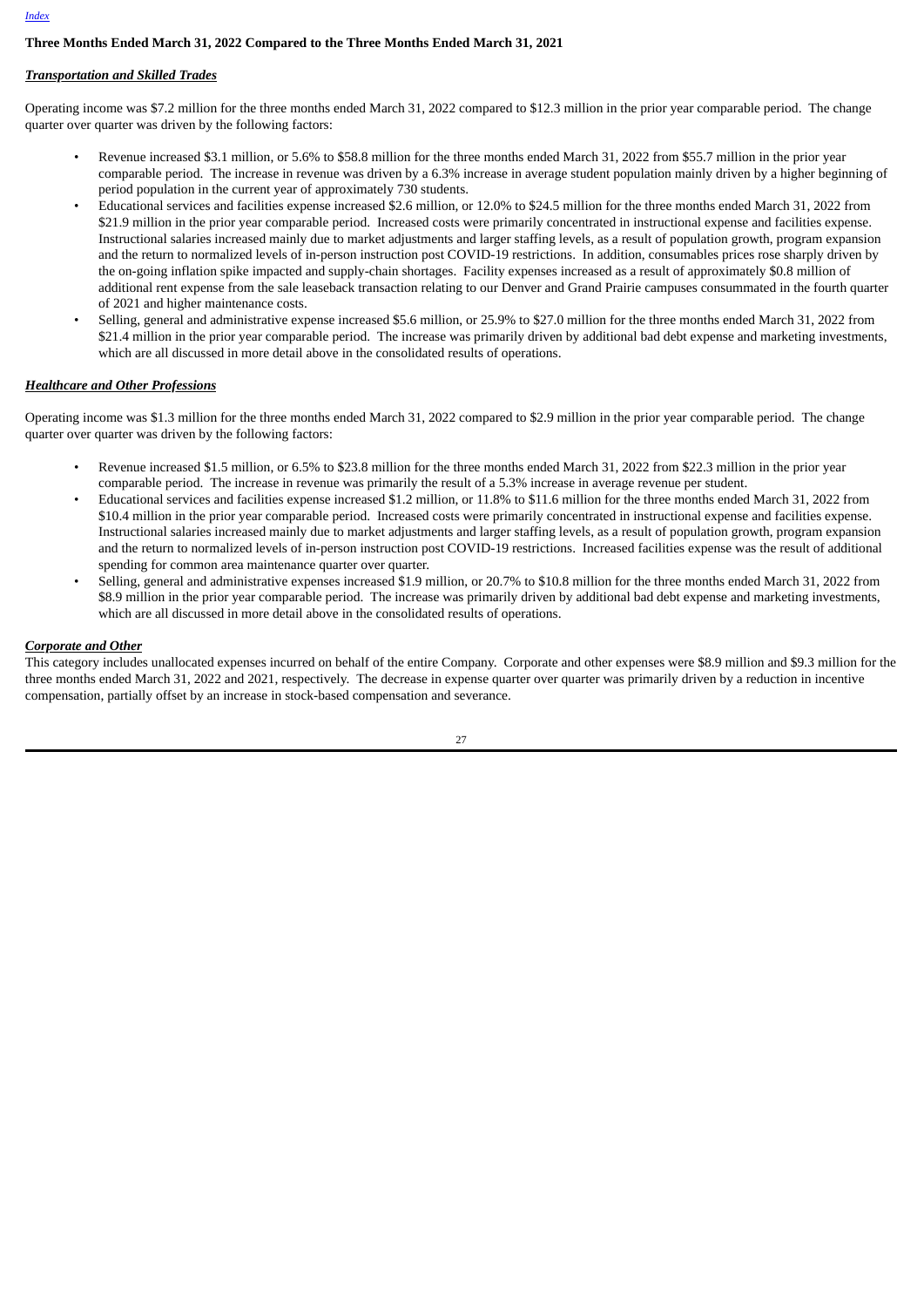# **Three Months Ended March 31, 2022 Compared to the Three Months Ended March 31, 2021**

# *Transportation and Skilled Trades*

Operating income was \$7.2 million for the three months ended March 31, 2022 compared to \$12.3 million in the prior year comparable period. The change quarter over quarter was driven by the following factors:

- Revenue increased \$3.1 million, or 5.6% to \$58.8 million for the three months ended March 31, 2022 from \$55.7 million in the prior year comparable period. The increase in revenue was driven by a 6.3% increase in average student population mainly driven by a higher beginning of period population in the current year of approximately 730 students.
- Educational services and facilities expense increased \$2.6 million, or 12.0% to \$24.5 million for the three months ended March 31, 2022 from \$21.9 million in the prior year comparable period. Increased costs were primarily concentrated in instructional expense and facilities expense. Instructional salaries increased mainly due to market adjustments and larger staffing levels, as a result of population growth, program expansion and the return to normalized levels of in-person instruction post COVID-19 restrictions. In addition, consumables prices rose sharply driven by the on-going inflation spike impacted and supply-chain shortages. Facility expenses increased as a result of approximately \$0.8 million of additional rent expense from the sale leaseback transaction relating to our Denver and Grand Prairie campuses consummated in the fourth quarter of 2021 and higher maintenance costs.
- Selling, general and administrative expense increased \$5.6 million, or 25.9% to \$27.0 million for the three months ended March 31, 2022 from \$21.4 million in the prior year comparable period. The increase was primarily driven by additional bad debt expense and marketing investments, which are all discussed in more detail above in the consolidated results of operations.

# *Healthcare and Other Professions*

Operating income was \$1.3 million for the three months ended March 31, 2022 compared to \$2.9 million in the prior year comparable period. The change quarter over quarter was driven by the following factors:

- Revenue increased \$1.5 million, or 6.5% to \$23.8 million for the three months ended March 31, 2022 from \$22.3 million in the prior year comparable period. The increase in revenue was primarily the result of a 5.3% increase in average revenue per student.
- Educational services and facilities expense increased \$1.2 million, or 11.8% to \$11.6 million for the three months ended March 31, 2022 from \$10.4 million in the prior year comparable period. Increased costs were primarily concentrated in instructional expense and facilities expense. Instructional salaries increased mainly due to market adjustments and larger staffing levels, as a result of population growth, program expansion and the return to normalized levels of in-person instruction post COVID-19 restrictions. Increased facilities expense was the result of additional spending for common area maintenance quarter over quarter.
- Selling, general and administrative expenses increased \$1.9 million, or 20.7% to \$10.8 million for the three months ended March 31, 2022 from \$8.9 million in the prior year comparable period. The increase was primarily driven by additional bad debt expense and marketing investments, which are all discussed in more detail above in the consolidated results of operations.

# *Corporate and Other*

This category includes unallocated expenses incurred on behalf of the entire Company. Corporate and other expenses were \$8.9 million and \$9.3 million for the three months ended March 31, 2022 and 2021, respectively. The decrease in expense quarter over quarter was primarily driven by a reduction in incentive compensation, partially offset by an increase in stock-based compensation and severance.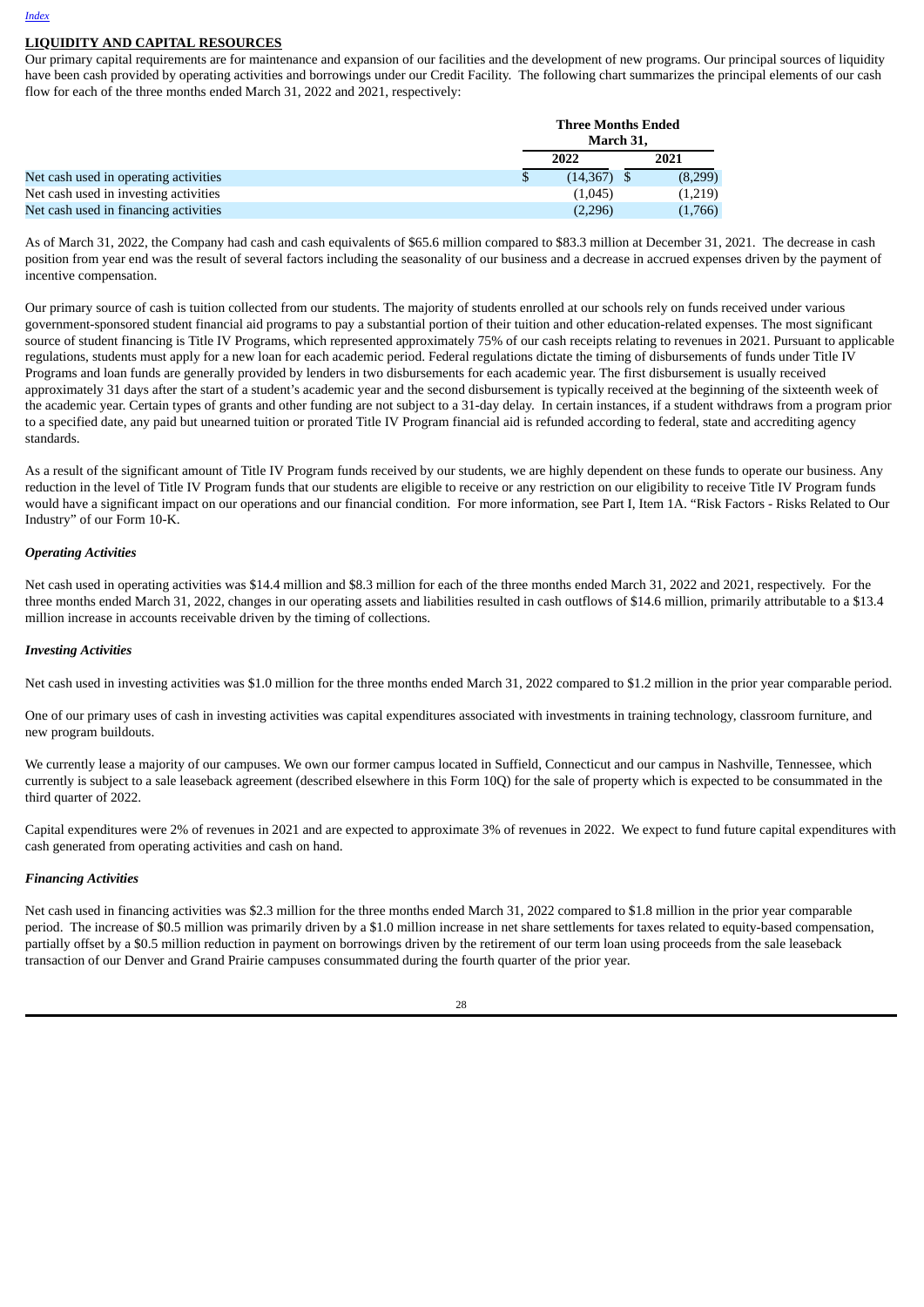# **LIQUIDITY AND CAPITAL RESOURCES**

Our primary capital requirements are for maintenance and expansion of our facilities and the development of new programs. Our principal sources of liquidity have been cash provided by operating activities and borrowings under our Credit Facility. The following chart summarizes the principal elements of our cash flow for each of the three months ended March 31, 2022 and 2021, respectively:

|                                       | <b>Three Months Ended</b><br>March 31, |      |         |  |
|---------------------------------------|----------------------------------------|------|---------|--|
|                                       | 2022                                   | 2021 |         |  |
| Net cash used in operating activities | $(14,367)$ \$                          |      | (8,299) |  |
| Net cash used in investing activities | (1,045)                                |      | (1,219) |  |
| Net cash used in financing activities | (2,296)                                |      | (1,766) |  |

As of March 31, 2022, the Company had cash and cash equivalents of \$65.6 million compared to \$83.3 million at December 31, 2021. The decrease in cash position from year end was the result of several factors including the seasonality of our business and a decrease in accrued expenses driven by the payment of incentive compensation.

Our primary source of cash is tuition collected from our students. The majority of students enrolled at our schools rely on funds received under various government-sponsored student financial aid programs to pay a substantial portion of their tuition and other education-related expenses. The most significant source of student financing is Title IV Programs, which represented approximately 75% of our cash receipts relating to revenues in 2021. Pursuant to applicable regulations, students must apply for a new loan for each academic period. Federal regulations dictate the timing of disbursements of funds under Title IV Programs and loan funds are generally provided by lenders in two disbursements for each academic year. The first disbursement is usually received approximately 31 days after the start of a student's academic year and the second disbursement is typically received at the beginning of the sixteenth week of the academic year. Certain types of grants and other funding are not subject to a 31-day delay. In certain instances, if a student withdraws from a program prior to a specified date, any paid but unearned tuition or prorated Title IV Program financial aid is refunded according to federal, state and accrediting agency standards.

As a result of the significant amount of Title IV Program funds received by our students, we are highly dependent on these funds to operate our business. Any reduction in the level of Title IV Program funds that our students are eligible to receive or any restriction on our eligibility to receive Title IV Program funds would have a significant impact on our operations and our financial condition. For more information, see Part I, Item 1A. "Risk Factors - Risks Related to Our Industry" of our Form 10-K.

# *Operating Activities*

Net cash used in operating activities was \$14.4 million and \$8.3 million for each of the three months ended March 31, 2022 and 2021, respectively. For the three months ended March 31, 2022, changes in our operating assets and liabilities resulted in cash outflows of \$14.6 million, primarily attributable to a \$13.4 million increase in accounts receivable driven by the timing of collections.

#### *Investing Activities*

Net cash used in investing activities was \$1.0 million for the three months ended March 31, 2022 compared to \$1.2 million in the prior year comparable period.

One of our primary uses of cash in investing activities was capital expenditures associated with investments in training technology, classroom furniture, and new program buildouts.

We currently lease a majority of our campuses. We own our former campus located in Suffield, Connecticut and our campus in Nashville, Tennessee, which currently is subject to a sale leaseback agreement (described elsewhere in this Form 10Q) for the sale of property which is expected to be consummated in the third quarter of 2022.

Capital expenditures were 2% of revenues in 2021 and are expected to approximate 3% of revenues in 2022. We expect to fund future capital expenditures with cash generated from operating activities and cash on hand.

#### *Financing Activities*

Net cash used in financing activities was \$2.3 million for the three months ended March 31, 2022 compared to \$1.8 million in the prior year comparable period. The increase of \$0.5 million was primarily driven by a \$1.0 million increase in net share settlements for taxes related to equity-based compensation, partially offset by a \$0.5 million reduction in payment on borrowings driven by the retirement of our term loan using proceeds from the sale leaseback transaction of our Denver and Grand Prairie campuses consummated during the fourth quarter of the prior year.

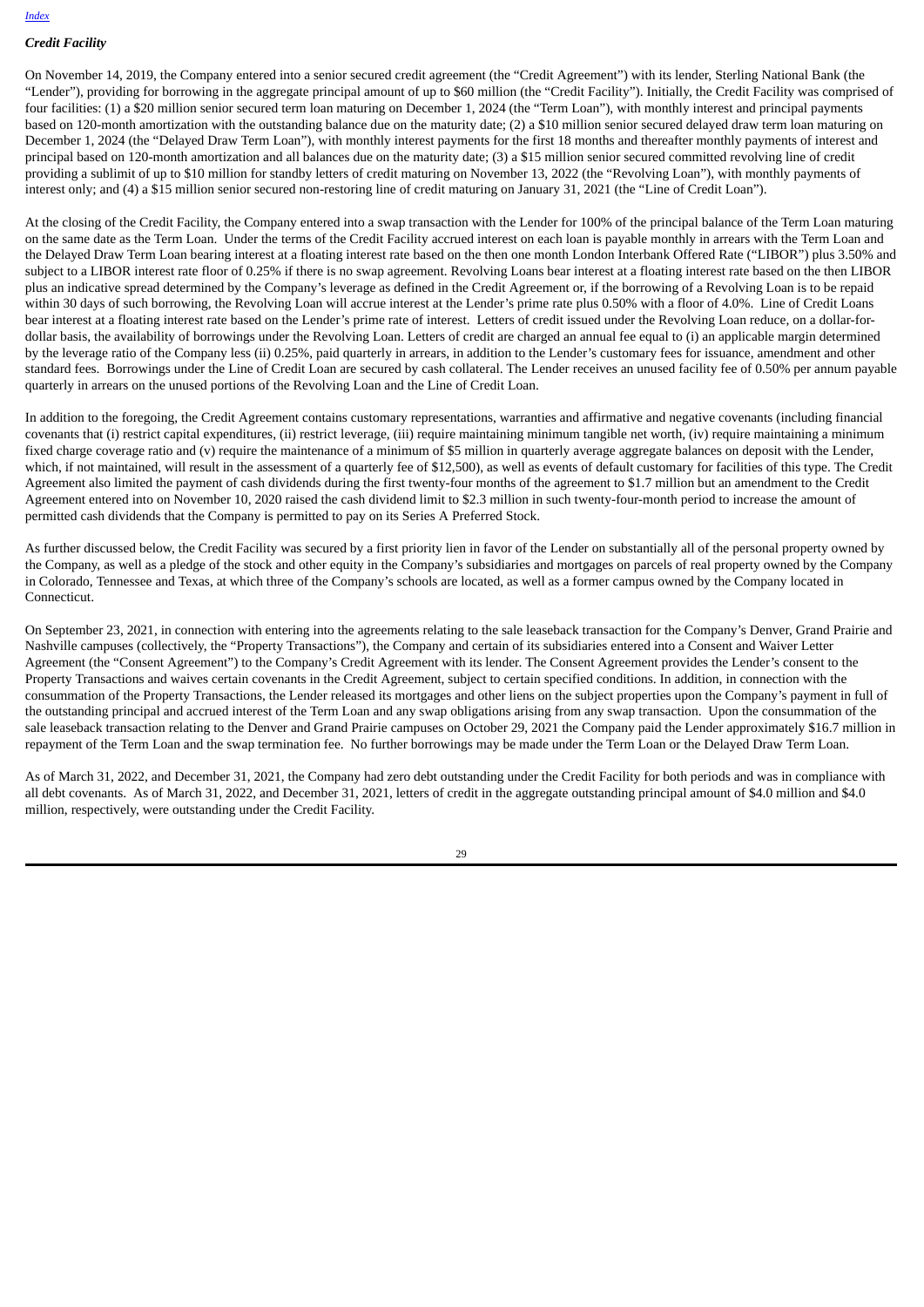# *Credit Facility*

On November 14, 2019, the Company entered into a senior secured credit agreement (the "Credit Agreement") with its lender, Sterling National Bank (the "Lender"), providing for borrowing in the aggregate principal amount of up to \$60 million (the "Credit Facility"). Initially, the Credit Facility was comprised of four facilities: (1) a \$20 million senior secured term loan maturing on December 1, 2024 (the "Term Loan"), with monthly interest and principal payments based on 120-month amortization with the outstanding balance due on the maturity date; (2) a \$10 million senior secured delayed draw term loan maturing on December 1, 2024 (the "Delayed Draw Term Loan"), with monthly interest payments for the first 18 months and thereafter monthly payments of interest and principal based on 120-month amortization and all balances due on the maturity date; (3) a \$15 million senior secured committed revolving line of credit providing a sublimit of up to \$10 million for standby letters of credit maturing on November 13, 2022 (the "Revolving Loan"), with monthly payments of interest only; and (4) a \$15 million senior secured non-restoring line of credit maturing on January 31, 2021 (the "Line of Credit Loan").

At the closing of the Credit Facility, the Company entered into a swap transaction with the Lender for 100% of the principal balance of the Term Loan maturing on the same date as the Term Loan. Under the terms of the Credit Facility accrued interest on each loan is payable monthly in arrears with the Term Loan and the Delayed Draw Term Loan bearing interest at a floating interest rate based on the then one month London Interbank Offered Rate ("LIBOR") plus 3.50% and subject to a LIBOR interest rate floor of 0.25% if there is no swap agreement. Revolving Loans bear interest at a floating interest rate based on the then LIBOR plus an indicative spread determined by the Company's leverage as defined in the Credit Agreement or, if the borrowing of a Revolving Loan is to be repaid within 30 days of such borrowing, the Revolving Loan will accrue interest at the Lender's prime rate plus 0.50% with a floor of 4.0%. Line of Credit Loans bear interest at a floating interest rate based on the Lender's prime rate of interest. Letters of credit issued under the Revolving Loan reduce, on a dollar-fordollar basis, the availability of borrowings under the Revolving Loan. Letters of credit are charged an annual fee equal to (i) an applicable margin determined by the leverage ratio of the Company less (ii) 0.25%, paid quarterly in arrears, in addition to the Lender's customary fees for issuance, amendment and other standard fees. Borrowings under the Line of Credit Loan are secured by cash collateral. The Lender receives an unused facility fee of 0.50% per annum payable quarterly in arrears on the unused portions of the Revolving Loan and the Line of Credit Loan.

In addition to the foregoing, the Credit Agreement contains customary representations, warranties and affirmative and negative covenants (including financial covenants that (i) restrict capital expenditures, (ii) restrict leverage, (iii) require maintaining minimum tangible net worth, (iv) require maintaining a minimum fixed charge coverage ratio and (v) require the maintenance of a minimum of \$5 million in quarterly average aggregate balances on deposit with the Lender, which, if not maintained, will result in the assessment of a quarterly fee of \$12,500), as well as events of default customary for facilities of this type. The Credit Agreement also limited the payment of cash dividends during the first twenty-four months of the agreement to \$1.7 million but an amendment to the Credit Agreement entered into on November 10, 2020 raised the cash dividend limit to \$2.3 million in such twenty-four-month period to increase the amount of permitted cash dividends that the Company is permitted to pay on its Series A Preferred Stock.

As further discussed below, the Credit Facility was secured by a first priority lien in favor of the Lender on substantially all of the personal property owned by the Company, as well as a pledge of the stock and other equity in the Company's subsidiaries and mortgages on parcels of real property owned by the Company in Colorado, Tennessee and Texas, at which three of the Company's schools are located, as well as a former campus owned by the Company located in Connecticut.

On September 23, 2021, in connection with entering into the agreements relating to the sale leaseback transaction for the Company's Denver, Grand Prairie and Nashville campuses (collectively, the "Property Transactions"), the Company and certain of its subsidiaries entered into a Consent and Waiver Letter Agreement (the "Consent Agreement") to the Company's Credit Agreement with its lender. The Consent Agreement provides the Lender's consent to the Property Transactions and waives certain covenants in the Credit Agreement, subject to certain specified conditions. In addition, in connection with the consummation of the Property Transactions, the Lender released its mortgages and other liens on the subject properties upon the Company's payment in full of the outstanding principal and accrued interest of the Term Loan and any swap obligations arising from any swap transaction. Upon the consummation of the sale leaseback transaction relating to the Denver and Grand Prairie campuses on October 29, 2021 the Company paid the Lender approximately \$16.7 million in repayment of the Term Loan and the swap termination fee. No further borrowings may be made under the Term Loan or the Delayed Draw Term Loan.

As of March 31, 2022, and December 31, 2021, the Company had zero debt outstanding under the Credit Facility for both periods and was in compliance with all debt covenants. As of March 31, 2022, and December 31, 2021, letters of credit in the aggregate outstanding principal amount of \$4.0 million and \$4.0 million, respectively, were outstanding under the Credit Facility.

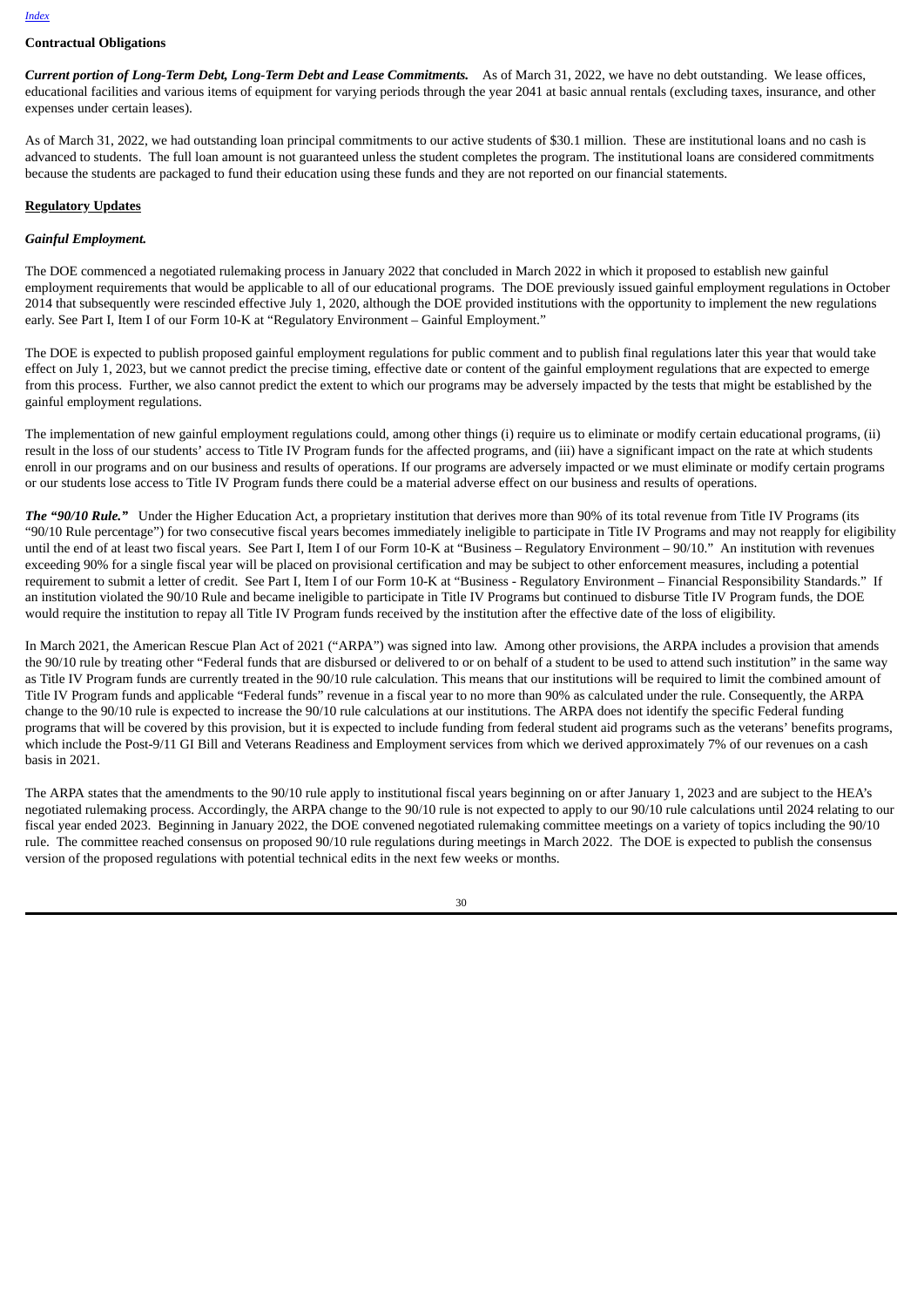#### **Contractual Obligations**

*Current portion of Long-Term Debt, Long-Term Debt and Lease Commitments.* As of March 31, 2022, we have no debt outstanding. We lease offices, educational facilities and various items of equipment for varying periods through the year 2041 at basic annual rentals (excluding taxes, insurance, and other expenses under certain leases).

As of March 31, 2022, we had outstanding loan principal commitments to our active students of \$30.1 million. These are institutional loans and no cash is advanced to students. The full loan amount is not guaranteed unless the student completes the program. The institutional loans are considered commitments because the students are packaged to fund their education using these funds and they are not reported on our financial statements.

#### **Regulatory Updates**

#### *Gainful Employment.*

The DOE commenced a negotiated rulemaking process in January 2022 that concluded in March 2022 in which it proposed to establish new gainful employment requirements that would be applicable to all of our educational programs. The DOE previously issued gainful employment regulations in October 2014 that subsequently were rescinded effective July 1, 2020, although the DOE provided institutions with the opportunity to implement the new regulations early. See Part I, Item I of our Form 10-K at "Regulatory Environment – Gainful Employment."

The DOE is expected to publish proposed gainful employment regulations for public comment and to publish final regulations later this year that would take effect on July 1, 2023, but we cannot predict the precise timing, effective date or content of the gainful employment regulations that are expected to emerge from this process. Further, we also cannot predict the extent to which our programs may be adversely impacted by the tests that might be established by the gainful employment regulations.

The implementation of new gainful employment regulations could, among other things (i) require us to eliminate or modify certain educational programs, (ii) result in the loss of our students' access to Title IV Program funds for the affected programs, and (iii) have a significant impact on the rate at which students enroll in our programs and on our business and results of operations. If our programs are adversely impacted or we must eliminate or modify certain programs or our students lose access to Title IV Program funds there could be a material adverse effect on our business and results of operations.

*The "90/10 Rule."* Under the Higher Education Act, a proprietary institution that derives more than 90% of its total revenue from Title IV Programs (its "90/10 Rule percentage") for two consecutive fiscal years becomes immediately ineligible to participate in Title IV Programs and may not reapply for eligibility until the end of at least two fiscal years. See Part I, Item I of our Form 10-K at "Business – Regulatory Environment – 90/10." An institution with revenues exceeding 90% for a single fiscal year will be placed on provisional certification and may be subject to other enforcement measures, including a potential requirement to submit a letter of credit. See Part I, Item I of our Form 10-K at "Business - Regulatory Environment – Financial Responsibility Standards." If an institution violated the 90/10 Rule and became ineligible to participate in Title IV Programs but continued to disburse Title IV Program funds, the DOE would require the institution to repay all Title IV Program funds received by the institution after the effective date of the loss of eligibility.

In March 2021, the American Rescue Plan Act of 2021 ("ARPA") was signed into law. Among other provisions, the ARPA includes a provision that amends the 90/10 rule by treating other "Federal funds that are disbursed or delivered to or on behalf of a student to be used to attend such institution" in the same way as Title IV Program funds are currently treated in the 90/10 rule calculation. This means that our institutions will be required to limit the combined amount of Title IV Program funds and applicable "Federal funds" revenue in a fiscal year to no more than 90% as calculated under the rule. Consequently, the ARPA change to the 90/10 rule is expected to increase the 90/10 rule calculations at our institutions. The ARPA does not identify the specific Federal funding programs that will be covered by this provision, but it is expected to include funding from federal student aid programs such as the veterans' benefits programs, which include the Post-9/11 GI Bill and Veterans Readiness and Employment services from which we derived approximately 7% of our revenues on a cash basis in 2021.

The ARPA states that the amendments to the 90/10 rule apply to institutional fiscal years beginning on or after January 1, 2023 and are subject to the HEA's negotiated rulemaking process. Accordingly, the ARPA change to the 90/10 rule is not expected to apply to our 90/10 rule calculations until 2024 relating to our fiscal year ended 2023. Beginning in January 2022, the DOE convened negotiated rulemaking committee meetings on a variety of topics including the 90/10 rule. The committee reached consensus on proposed 90/10 rule regulations during meetings in March 2022. The DOE is expected to publish the consensus version of the proposed regulations with potential technical edits in the next few weeks or months.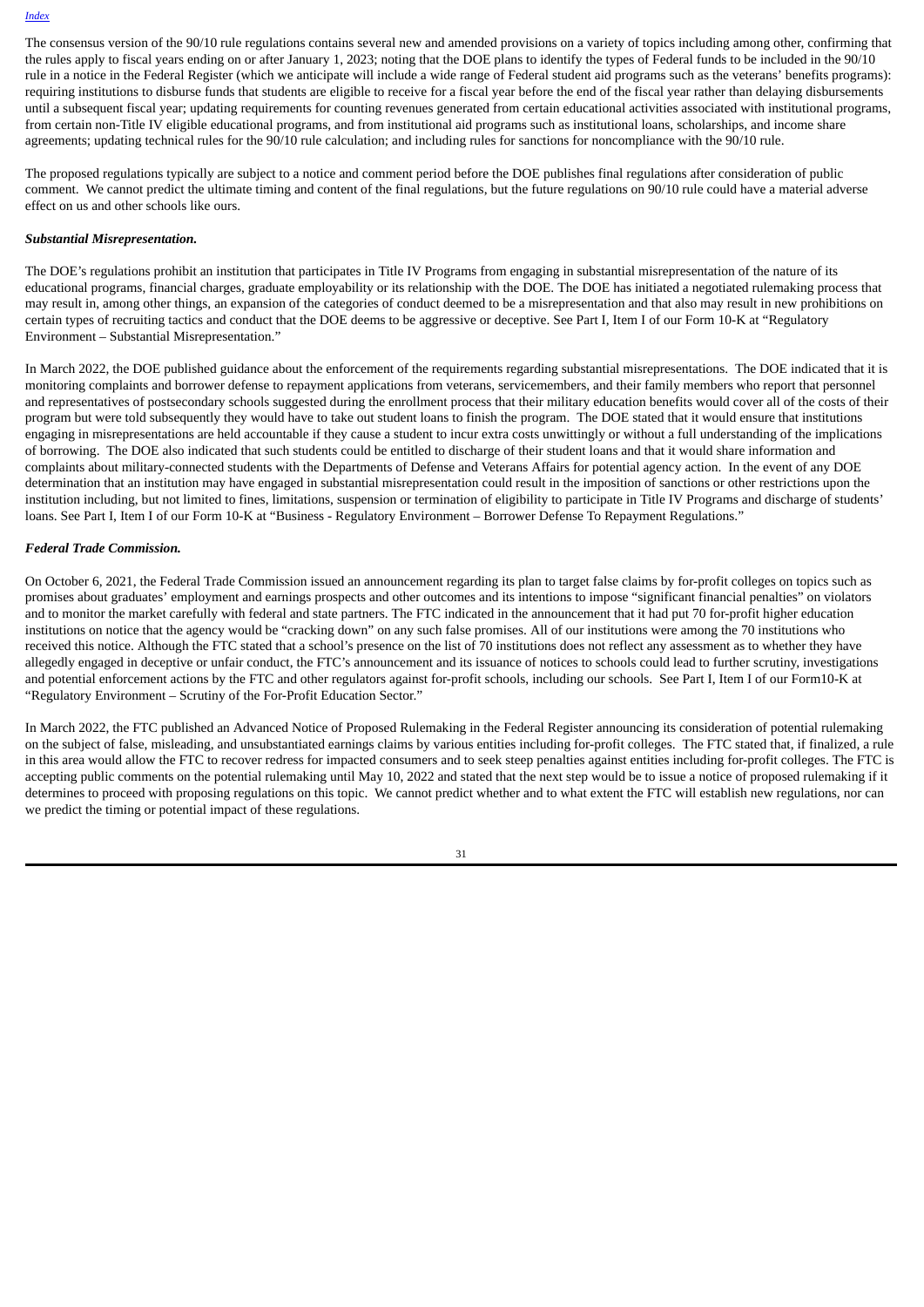The consensus version of the 90/10 rule regulations contains several new and amended provisions on a variety of topics including among other, confirming that the rules apply to fiscal years ending on or after January 1, 2023; noting that the DOE plans to identify the types of Federal funds to be included in the 90/10 rule in a notice in the Federal Register (which we anticipate will include a wide range of Federal student aid programs such as the veterans' benefits programs): requiring institutions to disburse funds that students are eligible to receive for a fiscal year before the end of the fiscal year rather than delaying disbursements until a subsequent fiscal year; updating requirements for counting revenues generated from certain educational activities associated with institutional programs, from certain non-Title IV eligible educational programs, and from institutional aid programs such as institutional loans, scholarships, and income share agreements; updating technical rules for the 90/10 rule calculation; and including rules for sanctions for noncompliance with the 90/10 rule.

The proposed regulations typically are subject to a notice and comment period before the DOE publishes final regulations after consideration of public comment. We cannot predict the ultimate timing and content of the final regulations, but the future regulations on 90/10 rule could have a material adverse effect on us and other schools like ours.

#### *Substantial Misrepresentation.*

The DOE's regulations prohibit an institution that participates in Title IV Programs from engaging in substantial misrepresentation of the nature of its educational programs, financial charges, graduate employability or its relationship with the DOE. The DOE has initiated a negotiated rulemaking process that may result in, among other things, an expansion of the categories of conduct deemed to be a misrepresentation and that also may result in new prohibitions on certain types of recruiting tactics and conduct that the DOE deems to be aggressive or deceptive. See Part I, Item I of our Form 10-K at "Regulatory Environment – Substantial Misrepresentation."

In March 2022, the DOE published guidance about the enforcement of the requirements regarding substantial misrepresentations. The DOE indicated that it is monitoring complaints and borrower defense to repayment applications from veterans, servicemembers, and their family members who report that personnel and representatives of postsecondary schools suggested during the enrollment process that their military education benefits would cover all of the costs of their program but were told subsequently they would have to take out student loans to finish the program. The DOE stated that it would ensure that institutions engaging in misrepresentations are held accountable if they cause a student to incur extra costs unwittingly or without a full understanding of the implications of borrowing. The DOE also indicated that such students could be entitled to discharge of their student loans and that it would share information and complaints about military-connected students with the Departments of Defense and Veterans Affairs for potential agency action. In the event of any DOE determination that an institution may have engaged in substantial misrepresentation could result in the imposition of sanctions or other restrictions upon the institution including, but not limited to fines, limitations, suspension or termination of eligibility to participate in Title IV Programs and discharge of students' loans. See Part I, Item I of our Form 10-K at "Business - Regulatory Environment – Borrower Defense To Repayment Regulations."

#### *Federal Trade Commission.*

On October 6, 2021, the Federal Trade Commission issued an announcement regarding its plan to target false claims by for-profit colleges on topics such as promises about graduates' employment and earnings prospects and other outcomes and its intentions to impose "significant financial penalties" on violators and to monitor the market carefully with federal and state partners. The FTC indicated in the announcement that it had put 70 for-profit higher education institutions on notice that the agency would be "cracking down" on any such false promises. All of our institutions were among the 70 institutions who received this notice. Although the FTC stated that a school's presence on the list of 70 institutions does not reflect any assessment as to whether they have allegedly engaged in deceptive or unfair conduct, the FTC's announcement and its issuance of notices to schools could lead to further scrutiny, investigations and potential enforcement actions by the FTC and other regulators against for-profit schools, including our schools. See Part I, Item I of our Form10-K at "Regulatory Environment – Scrutiny of the For-Profit Education Sector."

In March 2022, the FTC published an Advanced Notice of Proposed Rulemaking in the Federal Register announcing its consideration of potential rulemaking on the subject of false, misleading, and unsubstantiated earnings claims by various entities including for-profit colleges. The FTC stated that, if finalized, a rule in this area would allow the FTC to recover redress for impacted consumers and to seek steep penalties against entities including for-profit colleges. The FTC is accepting public comments on the potential rulemaking until May 10, 2022 and stated that the next step would be to issue a notice of proposed rulemaking if it determines to proceed with proposing regulations on this topic. We cannot predict whether and to what extent the FTC will establish new regulations, nor can we predict the timing or potential impact of these regulations.

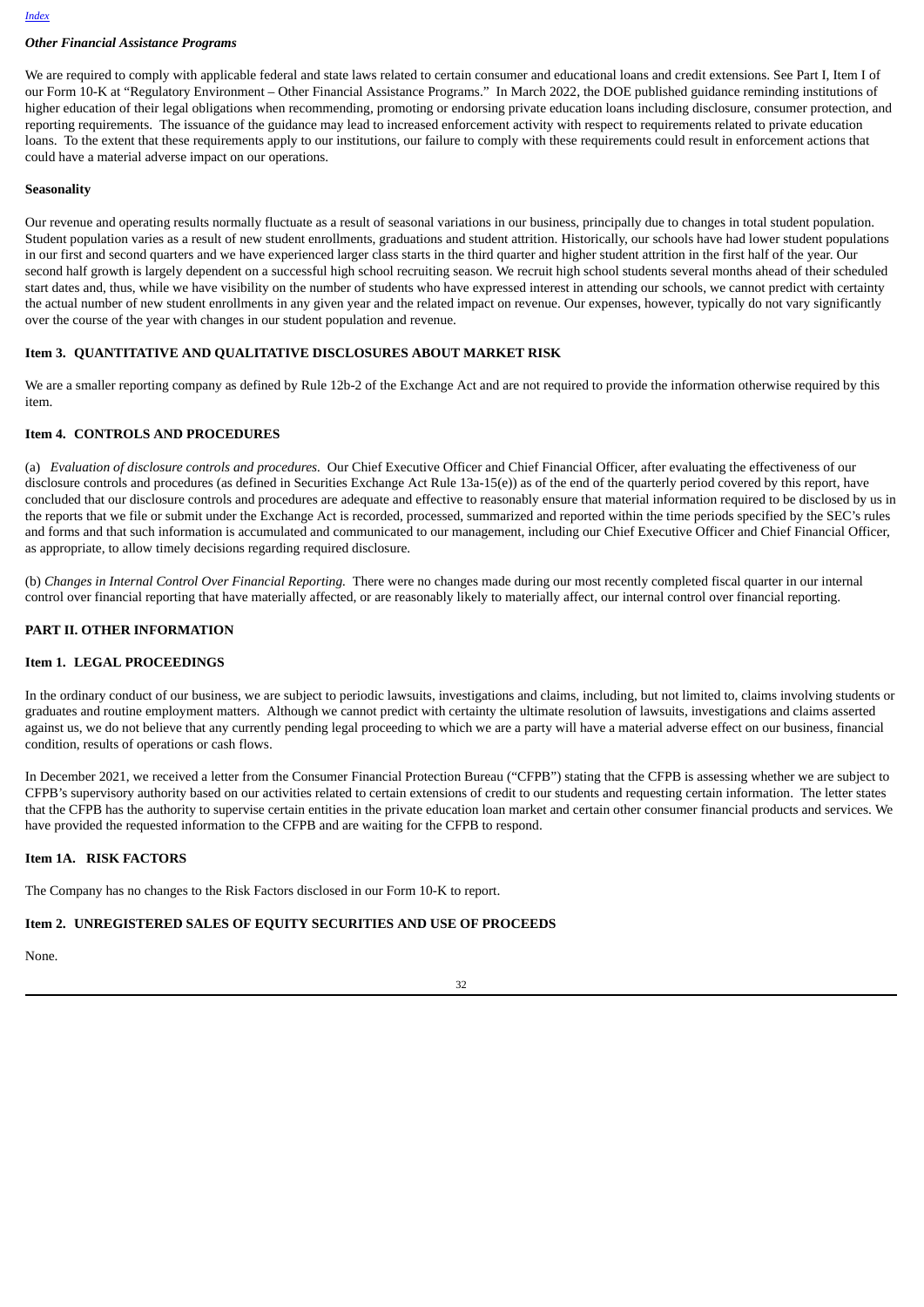# *Other Financial Assistance Programs*

We are required to comply with applicable federal and state laws related to certain consumer and educational loans and credit extensions. See Part I, Item I of our Form 10-K at "Regulatory Environment – Other Financial Assistance Programs." In March 2022, the DOE published guidance reminding institutions of higher education of their legal obligations when recommending, promoting or endorsing private education loans including disclosure, consumer protection, and reporting requirements. The issuance of the guidance may lead to increased enforcement activity with respect to requirements related to private education loans. To the extent that these requirements apply to our institutions, our failure to comply with these requirements could result in enforcement actions that could have a material adverse impact on our operations.

#### **Seasonality**

Our revenue and operating results normally fluctuate as a result of seasonal variations in our business, principally due to changes in total student population. Student population varies as a result of new student enrollments, graduations and student attrition. Historically, our schools have had lower student populations in our first and second quarters and we have experienced larger class starts in the third quarter and higher student attrition in the first half of the year. Our second half growth is largely dependent on a successful high school recruiting season. We recruit high school students several months ahead of their scheduled start dates and, thus, while we have visibility on the number of students who have expressed interest in attending our schools, we cannot predict with certainty the actual number of new student enrollments in any given year and the related impact on revenue. Our expenses, however, typically do not vary significantly over the course of the year with changes in our student population and revenue.

#### <span id="page-33-0"></span>**Item 3. QUANTITATIVE AND QUALITATIVE DISCLOSURES ABOUT MARKET RISK**

We are a smaller reporting company as defined by Rule 12b-2 of the Exchange Act and are not required to provide the information otherwise required by this item.

#### <span id="page-33-1"></span>**Item 4. CONTROLS AND PROCEDURES**

(a) *Evaluation of disclosure controls and procedures.* Our Chief Executive Officer and Chief Financial Officer, after evaluating the effectiveness of our disclosure controls and procedures (as defined in Securities Exchange Act Rule 13a-15(e)) as of the end of the quarterly period covered by this report, have concluded that our disclosure controls and procedures are adequate and effective to reasonably ensure that material information required to be disclosed by us in the reports that we file or submit under the Exchange Act is recorded, processed, summarized and reported within the time periods specified by the SEC's rules and forms and that such information is accumulated and communicated to our management, including our Chief Executive Officer and Chief Financial Officer, as appropriate, to allow timely decisions regarding required disclosure.

(b) *Changes in Internal Control Over Financial Reporting.* There were no changes made during our most recently completed fiscal quarter in our internal control over financial reporting that have materially affected, or are reasonably likely to materially affect, our internal control over financial reporting.

#### <span id="page-33-2"></span>**PART II. OTHER INFORMATION**

#### <span id="page-33-3"></span>**Item 1. LEGAL PROCEEDINGS**

In the ordinary conduct of our business, we are subject to periodic lawsuits, investigations and claims, including, but not limited to, claims involving students or graduates and routine employment matters. Although we cannot predict with certainty the ultimate resolution of lawsuits, investigations and claims asserted against us, we do not believe that any currently pending legal proceeding to which we are a party will have a material adverse effect on our business, financial condition, results of operations or cash flows.

In December 2021, we received a letter from the Consumer Financial Protection Bureau ("CFPB") stating that the CFPB is assessing whether we are subject to CFPB's supervisory authority based on our activities related to certain extensions of credit to our students and requesting certain information. The letter states that the CFPB has the authority to supervise certain entities in the private education loan market and certain other consumer financial products and services. We have provided the requested information to the CFPB and are waiting for the CFPB to respond.

#### <span id="page-33-4"></span>**Item 1A. RISK FACTORS**

The Company has no changes to the Risk Factors disclosed in our Form 10-K to report.

# <span id="page-33-5"></span>**Item 2. UNREGISTERED SALES OF EQUITY SECURITIES AND USE OF PROCEEDS**

None.

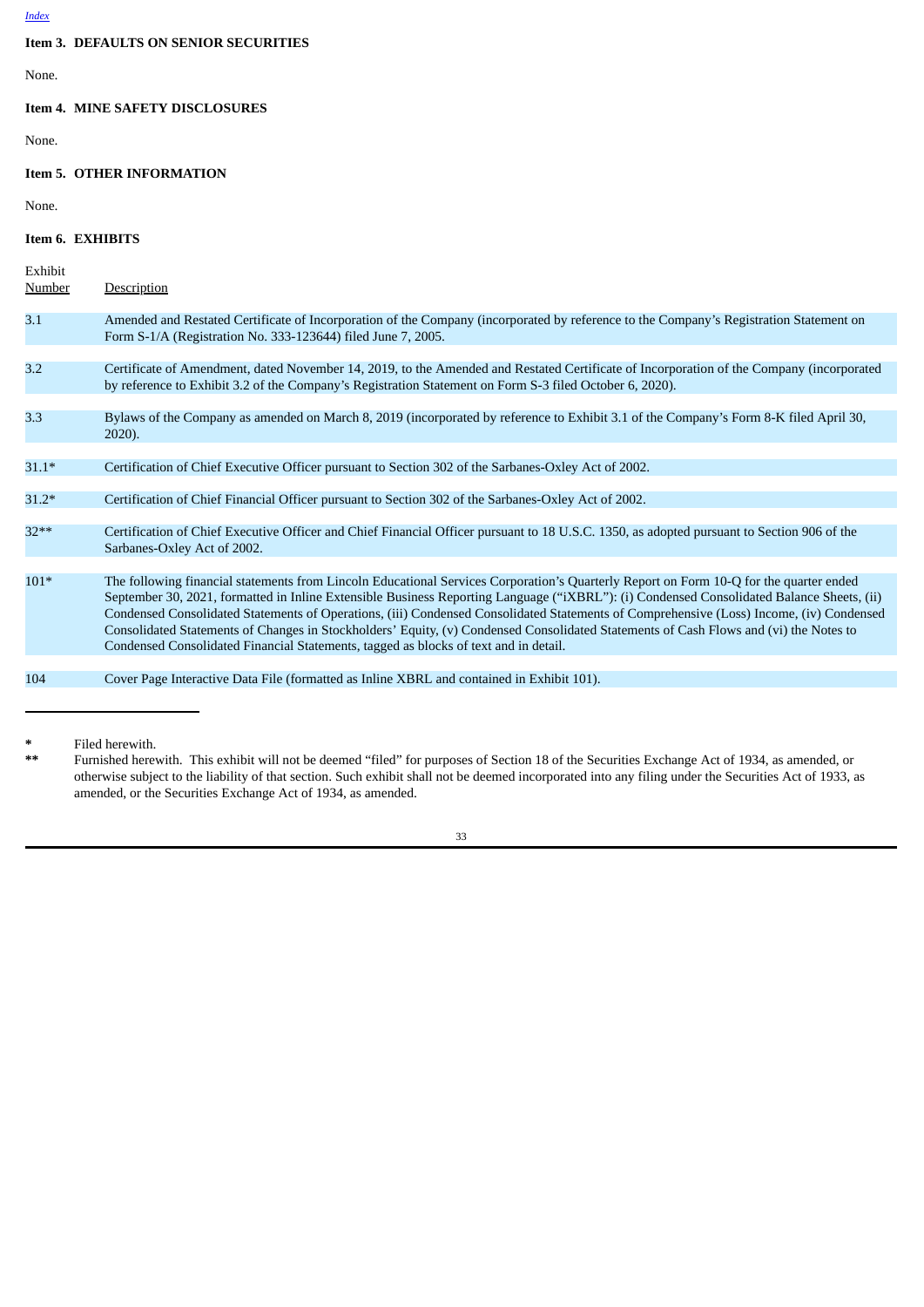# <span id="page-34-0"></span>**Item 3. DEFAULTS ON SENIOR SECURITIES**

None.

# <span id="page-34-1"></span>**Item 4. MINE SAFETY DISCLOSURES**

None.

### <span id="page-34-2"></span>**Item 5. OTHER INFORMATION**

None.

#### <span id="page-34-3"></span>**Item 6. EXHIBITS**

| Exhibit<br><b>Number</b> | <b>Description</b>                                                                                                                                                                                                                                                                                                                                                                                                                                                                                                                                                                                                                                              |
|--------------------------|-----------------------------------------------------------------------------------------------------------------------------------------------------------------------------------------------------------------------------------------------------------------------------------------------------------------------------------------------------------------------------------------------------------------------------------------------------------------------------------------------------------------------------------------------------------------------------------------------------------------------------------------------------------------|
| 3.1                      | Amended and Restated Certificate of Incorporation of the Company (incorporated by reference to the Company's Registration Statement on<br>Form S-1/A (Registration No. 333-123644) filed June 7, 2005.                                                                                                                                                                                                                                                                                                                                                                                                                                                          |
| 3.2                      | Certificate of Amendment, dated November 14, 2019, to the Amended and Restated Certificate of Incorporation of the Company (incorporated<br>by reference to Exhibit 3.2 of the Company's Registration Statement on Form S-3 filed October 6, 2020).                                                                                                                                                                                                                                                                                                                                                                                                             |
| 3.3                      | Bylaws of the Company as amended on March 8, 2019 (incorporated by reference to Exhibit 3.1 of the Company's Form 8-K filed April 30,<br>$2020$ ).                                                                                                                                                                                                                                                                                                                                                                                                                                                                                                              |
| $31.1*$                  | Certification of Chief Executive Officer pursuant to Section 302 of the Sarbanes-Oxley Act of 2002.                                                                                                                                                                                                                                                                                                                                                                                                                                                                                                                                                             |
| $31.2*$                  | Certification of Chief Financial Officer pursuant to Section 302 of the Sarbanes-Oxley Act of 2002.                                                                                                                                                                                                                                                                                                                                                                                                                                                                                                                                                             |
| $32**$                   | Certification of Chief Executive Officer and Chief Financial Officer pursuant to 18 U.S.C. 1350, as adopted pursuant to Section 906 of the<br>Sarbanes-Oxley Act of 2002.                                                                                                                                                                                                                                                                                                                                                                                                                                                                                       |
| $101*$                   | The following financial statements from Lincoln Educational Services Corporation's Quarterly Report on Form 10-Q for the quarter ended<br>September 30, 2021, formatted in Inline Extensible Business Reporting Language ("iXBRL"): (i) Condensed Consolidated Balance Sheets, (ii)<br>Condensed Consolidated Statements of Operations, (iii) Condensed Consolidated Statements of Comprehensive (Loss) Income, (iv) Condensed<br>Consolidated Statements of Changes in Stockholders' Equity, (v) Condensed Consolidated Statements of Cash Flows and (vi) the Notes to<br>Condensed Consolidated Financial Statements, tagged as blocks of text and in detail. |
| 104                      | Cover Page Interactive Data File (formatted as Inline XBRL and contained in Exhibit 101).                                                                                                                                                                                                                                                                                                                                                                                                                                                                                                                                                                       |
|                          |                                                                                                                                                                                                                                                                                                                                                                                                                                                                                                                                                                                                                                                                 |

**\*** Filed herewith.

**\*\*** Furnished herewith. This exhibit will not be deemed "filed" for purposes of Section 18 of the Securities Exchange Act of 1934, as amended, or otherwise subject to the liability of that section. Such exhibit shall not be deemed incorporated into any filing under the Securities Act of 1933, as amended, or the Securities Exchange Act of 1934, as amended.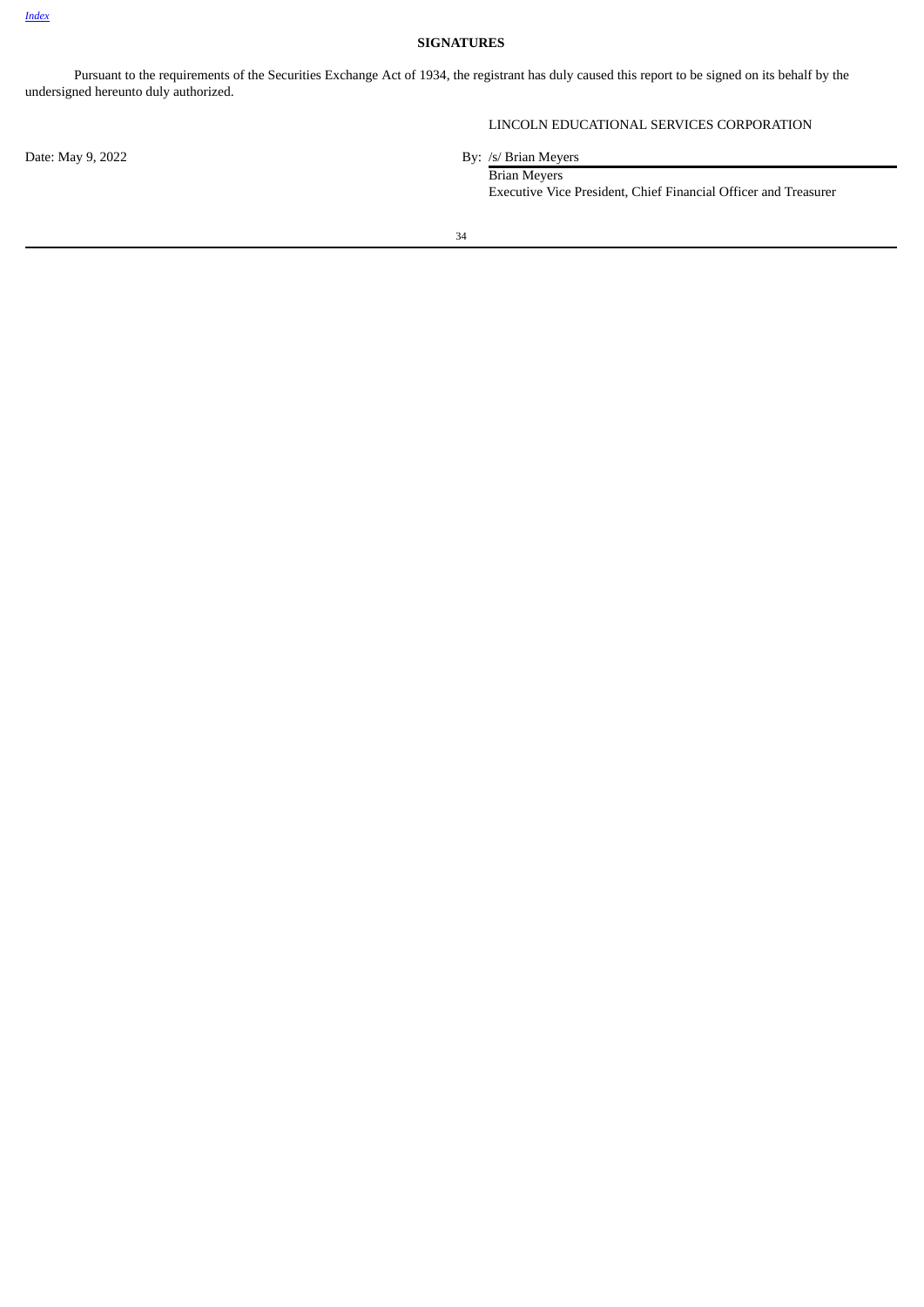# **SIGNATURES**

<span id="page-35-0"></span>Pursuant to the requirements of the Securities Exchange Act of 1934, the registrant has duly caused this report to be signed on its behalf by the undersigned hereunto duly authorized.

Date: May 9, 2022 By: /s/ Brian Meyers

# LINCOLN EDUCATIONAL SERVICES CORPORATION

Brian Meyers Executive Vice President, Chief Financial Officer and Treasurer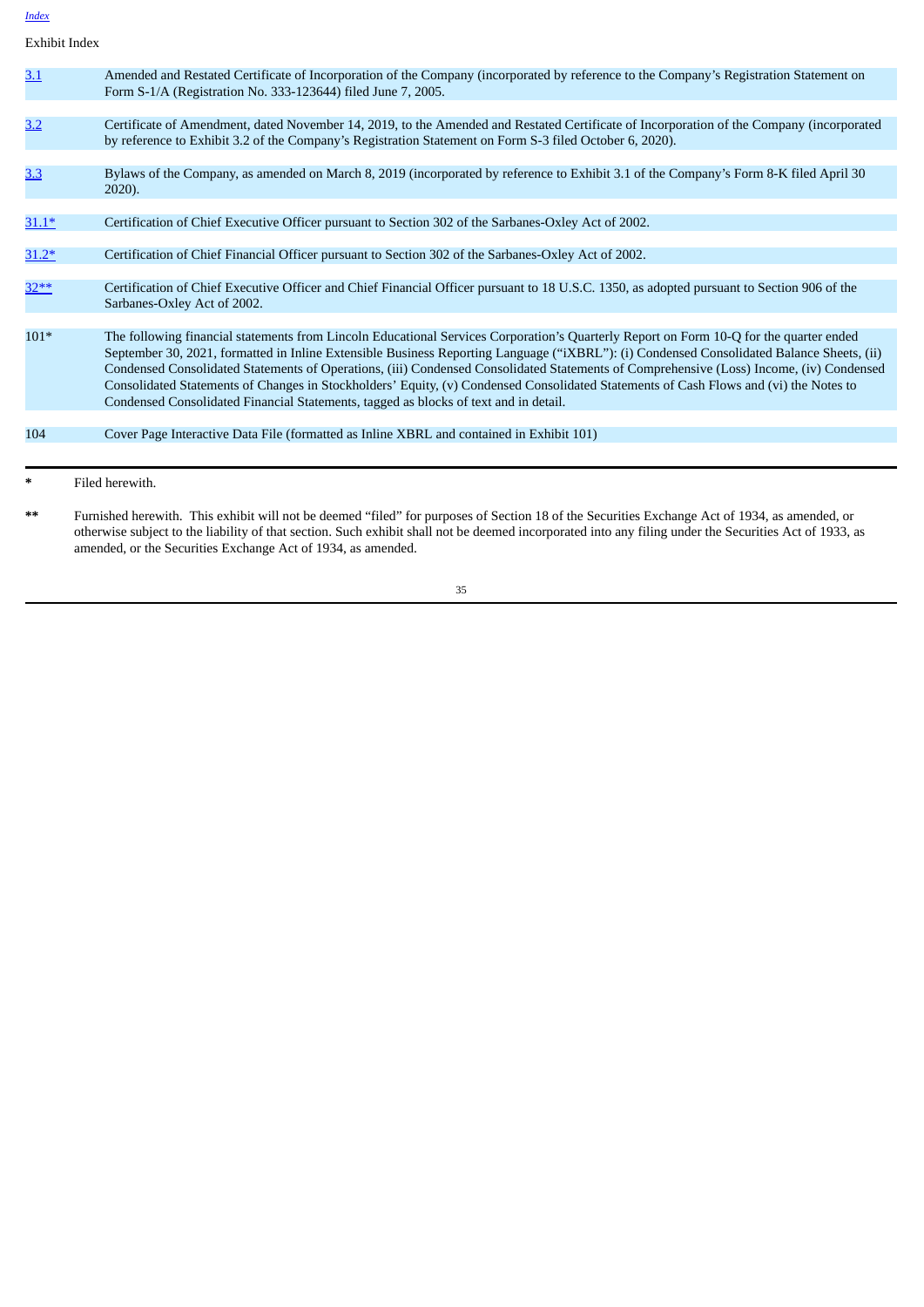Exhibit Index

|         | Filed herewith.                                                                                                                                                                                                                                                                                                                                                                                                                                                                                                                                                                                                                                                 |
|---------|-----------------------------------------------------------------------------------------------------------------------------------------------------------------------------------------------------------------------------------------------------------------------------------------------------------------------------------------------------------------------------------------------------------------------------------------------------------------------------------------------------------------------------------------------------------------------------------------------------------------------------------------------------------------|
|         |                                                                                                                                                                                                                                                                                                                                                                                                                                                                                                                                                                                                                                                                 |
| 104     | Cover Page Interactive Data File (formatted as Inline XBRL and contained in Exhibit 101)                                                                                                                                                                                                                                                                                                                                                                                                                                                                                                                                                                        |
| $101*$  | The following financial statements from Lincoln Educational Services Corporation's Quarterly Report on Form 10-Q for the quarter ended<br>September 30, 2021, formatted in Inline Extensible Business Reporting Language ("iXBRL"): (i) Condensed Consolidated Balance Sheets, (ii)<br>Condensed Consolidated Statements of Operations, (iii) Condensed Consolidated Statements of Comprehensive (Loss) Income, (iv) Condensed<br>Consolidated Statements of Changes in Stockholders' Equity, (v) Condensed Consolidated Statements of Cash Flows and (vi) the Notes to<br>Condensed Consolidated Financial Statements, tagged as blocks of text and in detail. |
|         | Sarbanes-Oxley Act of 2002.                                                                                                                                                                                                                                                                                                                                                                                                                                                                                                                                                                                                                                     |
| $32**$  | Certification of Chief Executive Officer and Chief Financial Officer pursuant to 18 U.S.C. 1350, as adopted pursuant to Section 906 of the                                                                                                                                                                                                                                                                                                                                                                                                                                                                                                                      |
| $31.2*$ | Certification of Chief Financial Officer pursuant to Section 302 of the Sarbanes-Oxley Act of 2002.                                                                                                                                                                                                                                                                                                                                                                                                                                                                                                                                                             |
| $31.1*$ | Certification of Chief Executive Officer pursuant to Section 302 of the Sarbanes-Oxley Act of 2002.                                                                                                                                                                                                                                                                                                                                                                                                                                                                                                                                                             |
| 3.3     | Bylaws of the Company, as amended on March 8, 2019 (incorporated by reference to Exhibit 3.1 of the Company's Form 8-K filed April 30<br>$2020$ ).                                                                                                                                                                                                                                                                                                                                                                                                                                                                                                              |
| 3.2     | Certificate of Amendment, dated November 14, 2019, to the Amended and Restated Certificate of Incorporation of the Company (incorporated<br>by reference to Exhibit 3.2 of the Company's Registration Statement on Form S-3 filed October 6, 2020).                                                                                                                                                                                                                                                                                                                                                                                                             |
|         |                                                                                                                                                                                                                                                                                                                                                                                                                                                                                                                                                                                                                                                                 |
| 3.1     | Amended and Restated Certificate of Incorporation of the Company (incorporated by reference to the Company's Registration Statement on<br>Form S-1/A (Registration No. 333-123644) filed June 7, 2005.                                                                                                                                                                                                                                                                                                                                                                                                                                                          |
|         |                                                                                                                                                                                                                                                                                                                                                                                                                                                                                                                                                                                                                                                                 |

**\*\*** Furnished herewith. This exhibit will not be deemed "filed" for purposes of Section 18 of the Securities Exchange Act of 1934, as amended, or otherwise subject to the liability of that section. Such exhibit shall not be deemed incorporated into any filing under the Securities Act of 1933, as amended, or the Securities Exchange Act of 1934, as amended.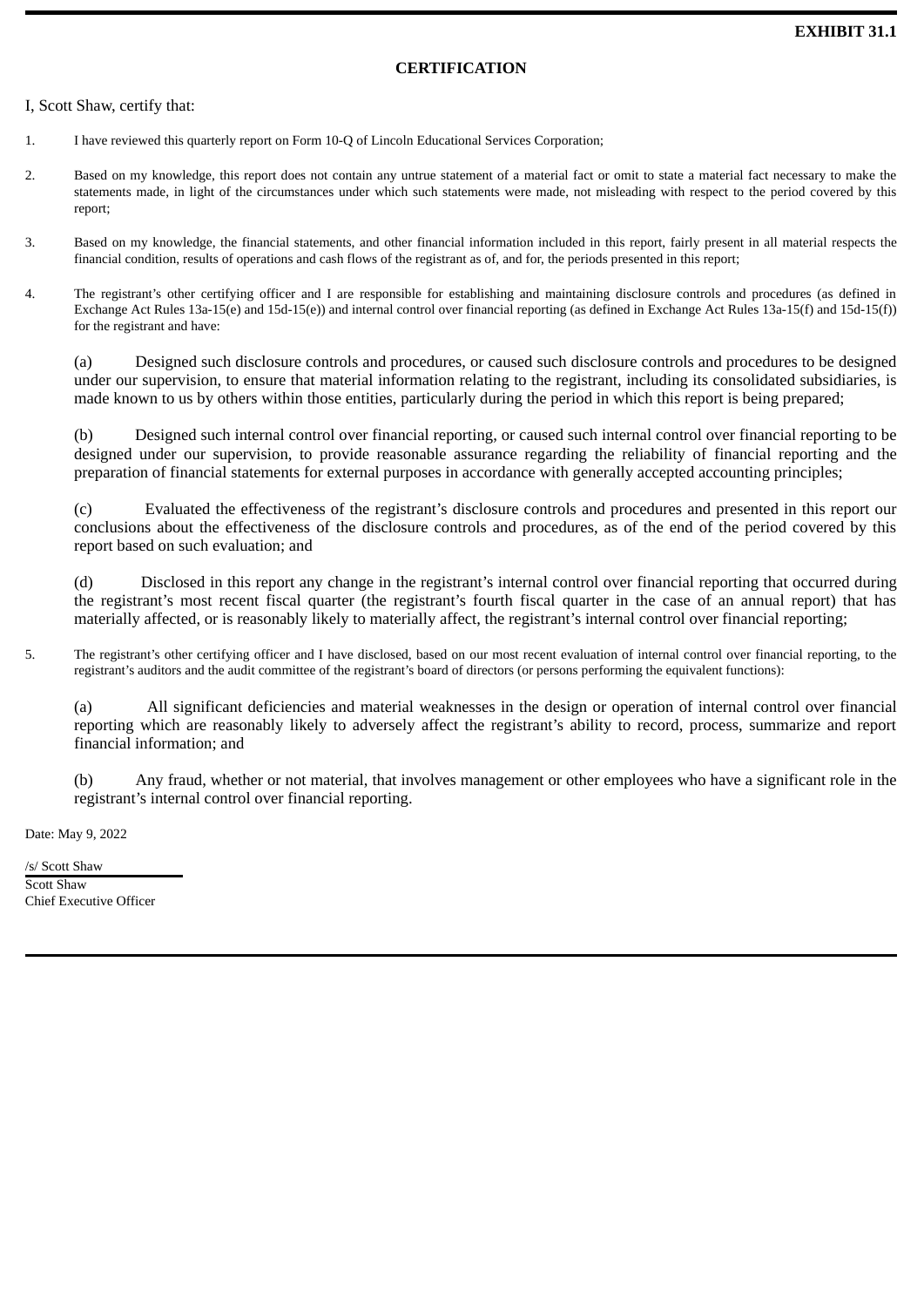# **CERTIFICATION**

# <span id="page-37-0"></span>I, Scott Shaw, certify that:

- 1. I have reviewed this quarterly report on Form 10-Q of Lincoln Educational Services Corporation;
- 2. Based on my knowledge, this report does not contain any untrue statement of a material fact or omit to state a material fact necessary to make the statements made, in light of the circumstances under which such statements were made, not misleading with respect to the period covered by this report;
- 3. Based on my knowledge, the financial statements, and other financial information included in this report, fairly present in all material respects the financial condition, results of operations and cash flows of the registrant as of, and for, the periods presented in this report;
- 4. The registrant's other certifying officer and I are responsible for establishing and maintaining disclosure controls and procedures (as defined in Exchange Act Rules 13a-15(e) and 15d-15(e)) and internal control over financial reporting (as defined in Exchange Act Rules 13a-15(f) and 15d-15(f)) for the registrant and have:

(a) Designed such disclosure controls and procedures, or caused such disclosure controls and procedures to be designed under our supervision, to ensure that material information relating to the registrant, including its consolidated subsidiaries, is made known to us by others within those entities, particularly during the period in which this report is being prepared;

(b) Designed such internal control over financial reporting, or caused such internal control over financial reporting to be designed under our supervision, to provide reasonable assurance regarding the reliability of financial reporting and the preparation of financial statements for external purposes in accordance with generally accepted accounting principles;

(c) Evaluated the effectiveness of the registrant's disclosure controls and procedures and presented in this report our conclusions about the effectiveness of the disclosure controls and procedures, as of the end of the period covered by this report based on such evaluation; and

(d) Disclosed in this report any change in the registrant's internal control over financial reporting that occurred during the registrant's most recent fiscal quarter (the registrant's fourth fiscal quarter in the case of an annual report) that has materially affected, or is reasonably likely to materially affect, the registrant's internal control over financial reporting;

5. The registrant's other certifying officer and I have disclosed, based on our most recent evaluation of internal control over financial reporting, to the registrant's auditors and the audit committee of the registrant's board of directors (or persons performing the equivalent functions):

(a) All significant deficiencies and material weaknesses in the design or operation of internal control over financial reporting which are reasonably likely to adversely affect the registrant's ability to record, process, summarize and report financial information; and

(b) Any fraud, whether or not material, that involves management or other employees who have a significant role in the registrant's internal control over financial reporting.

Date: May 9, 2022

/s/ Scott Shaw Scott Shaw Chief Executive Officer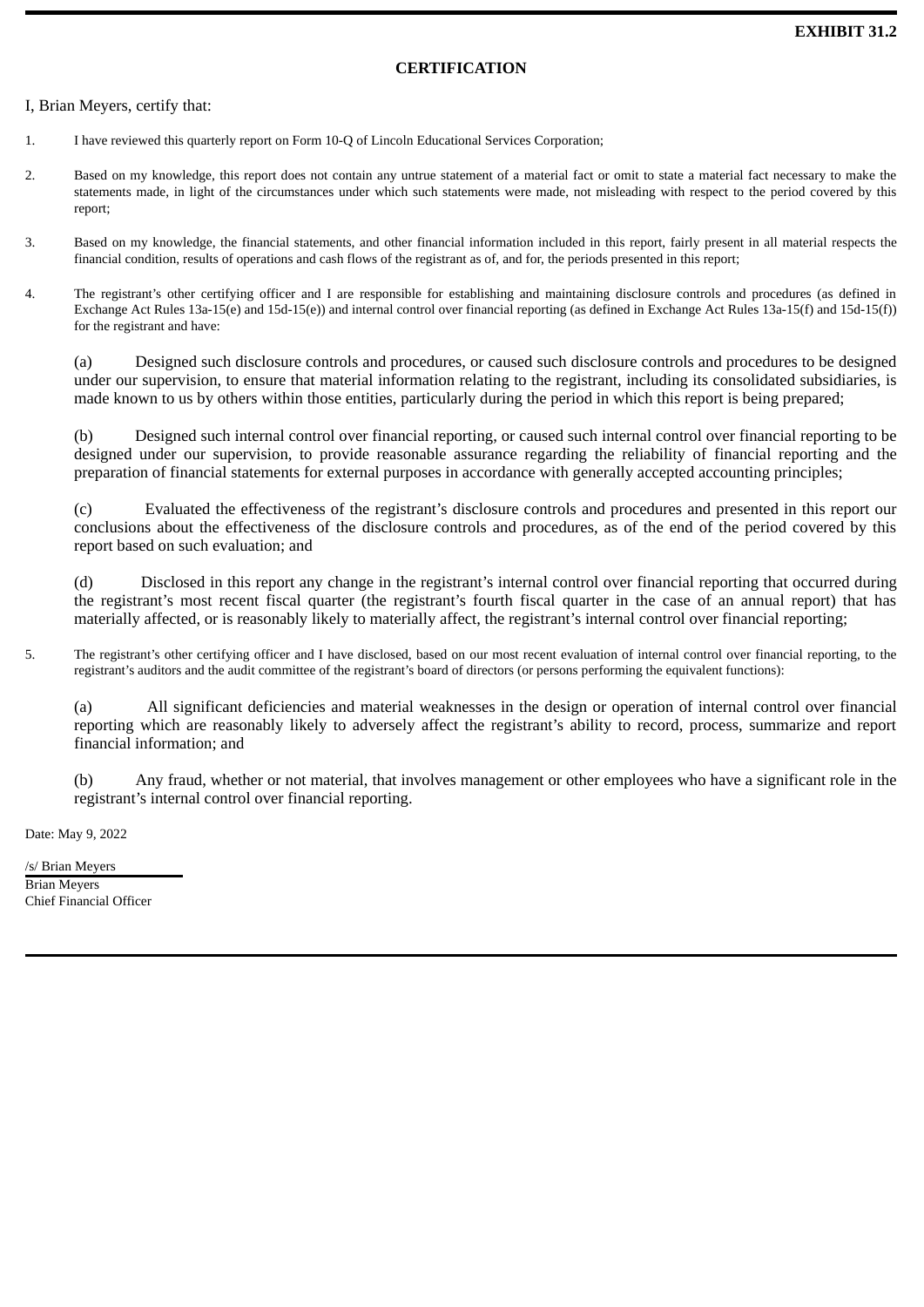# **CERTIFICATION**

# <span id="page-38-0"></span>I, Brian Meyers, certify that:

- 1. I have reviewed this quarterly report on Form 10-Q of Lincoln Educational Services Corporation;
- 2. Based on my knowledge, this report does not contain any untrue statement of a material fact or omit to state a material fact necessary to make the statements made, in light of the circumstances under which such statements were made, not misleading with respect to the period covered by this report;
- 3. Based on my knowledge, the financial statements, and other financial information included in this report, fairly present in all material respects the financial condition, results of operations and cash flows of the registrant as of, and for, the periods presented in this report;
- 4. The registrant's other certifying officer and I are responsible for establishing and maintaining disclosure controls and procedures (as defined in Exchange Act Rules 13a-15(e) and 15d-15(e)) and internal control over financial reporting (as defined in Exchange Act Rules 13a-15(f) and 15d-15(f)) for the registrant and have:

(a) Designed such disclosure controls and procedures, or caused such disclosure controls and procedures to be designed under our supervision, to ensure that material information relating to the registrant, including its consolidated subsidiaries, is made known to us by others within those entities, particularly during the period in which this report is being prepared;

(b) Designed such internal control over financial reporting, or caused such internal control over financial reporting to be designed under our supervision, to provide reasonable assurance regarding the reliability of financial reporting and the preparation of financial statements for external purposes in accordance with generally accepted accounting principles;

(c) Evaluated the effectiveness of the registrant's disclosure controls and procedures and presented in this report our conclusions about the effectiveness of the disclosure controls and procedures, as of the end of the period covered by this report based on such evaluation; and

(d) Disclosed in this report any change in the registrant's internal control over financial reporting that occurred during the registrant's most recent fiscal quarter (the registrant's fourth fiscal quarter in the case of an annual report) that has materially affected, or is reasonably likely to materially affect, the registrant's internal control over financial reporting;

5. The registrant's other certifying officer and I have disclosed, based on our most recent evaluation of internal control over financial reporting, to the registrant's auditors and the audit committee of the registrant's board of directors (or persons performing the equivalent functions):

(a) All significant deficiencies and material weaknesses in the design or operation of internal control over financial reporting which are reasonably likely to adversely affect the registrant's ability to record, process, summarize and report financial information; and

(b) Any fraud, whether or not material, that involves management or other employees who have a significant role in the registrant's internal control over financial reporting.

Date: May 9, 2022

/s/ Brian Meyers Brian Meyers Chief Financial Officer